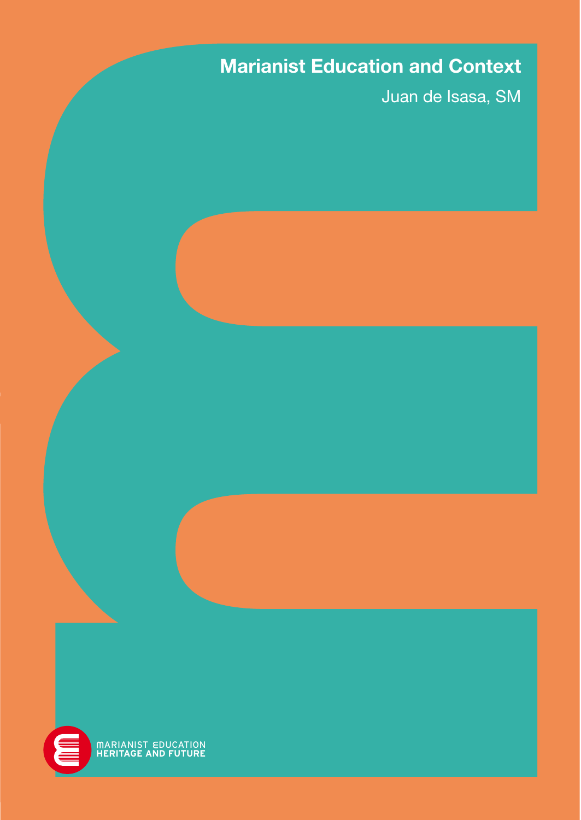# Marianist Education and Context

Juan de Isasa, SM

MARIANIST EDUCATION<br>**HERITAGE AND FUTURE**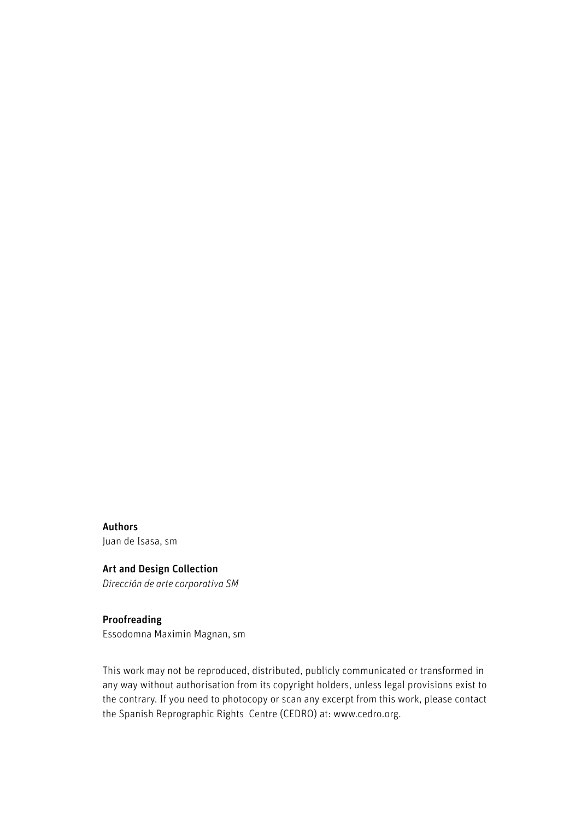Authors Juan de Isasa, sm

#### Art and Design Collection

Dirección de arte corporativa SM

#### Proofreading

Essodomna Maximin Magnan, sm

This work may not be reproduced, distributed, publicly communicated or transformed in any way without authorisation from its copyright holders, unless legal provisions exist to the contrary. If you need to photocopy or scan any excerpt from this work, please contact the Spanish Reprographic Rights Centre (CEDRO) at: www.cedro.org.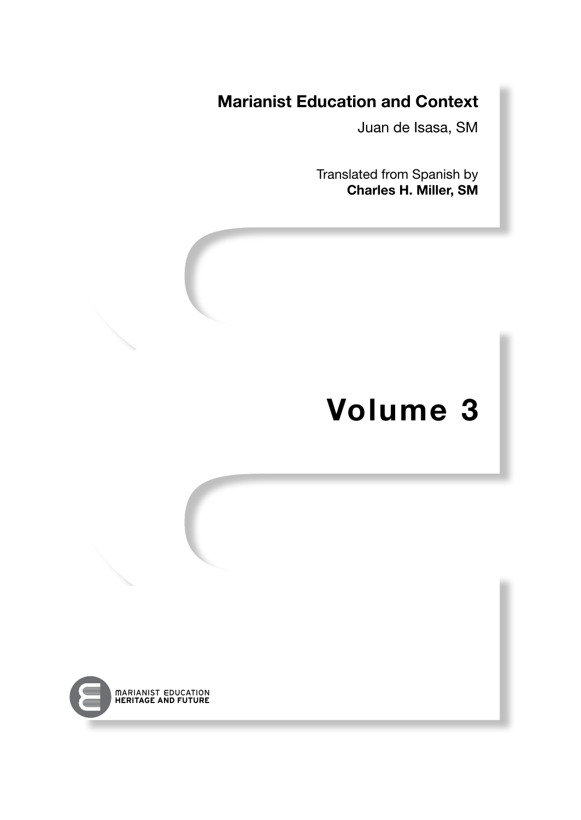# Marianist Education and Context

Juan de Isasa, SM

Translated from Spanish by Charles H. Miller, SM

# Volume 3

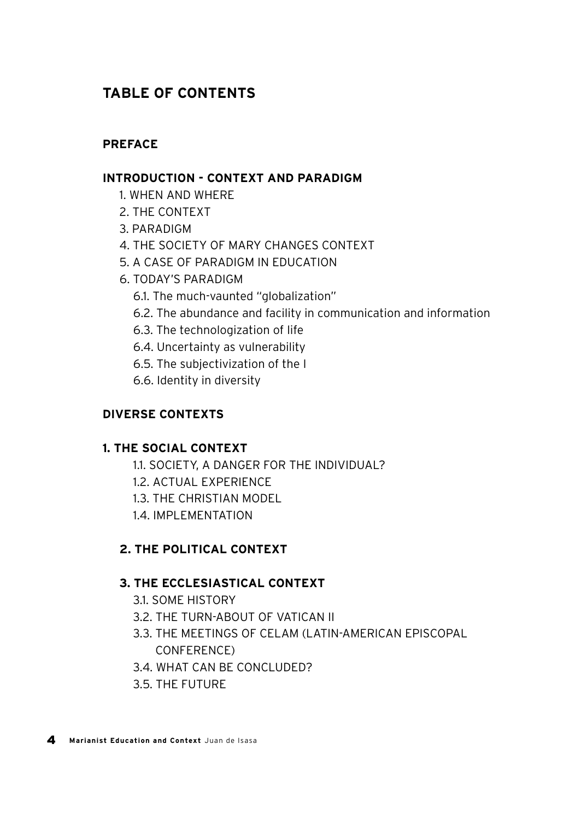# **TABLE OF CONTENTS**

#### **PREFACE**

#### **INTRODUCTION - CONTEXT AND PARADIGM**

- 1. WHEN AND WHERE
- 2. THE CONTEXT
- 3. PARADIGM
- 4. THE SOCIETY OF MARY CHANGES CONTEXT
- 5. A CASE OF PARADIGM IN EDUCATION
- 6. TODAY'S PARADIGM
	- 6.1. The much-vaunted "globalization"
	- 6.2. The abundance and facility in communication and information
	- 6.3. The technologization of life
	- 6.4. Uncertainty as vulnerability
	- 6.5. The subjectivization of the I
	- 6.6. Identity in diversity

### **DIVERSE CONTEXTS**

### **1. THE SOCIAL CONTEXT**

- 1.1. SOCIETY, A DANGER FOR THE INDIVIDUAL?
- 1.2. ACTUAL EXPERIENCE
- 1.3. THE CHRISTIAN MODEL
- 1.4. IMPLEMENTATION

### **2. THE POLITICAL CONTEXT**

#### **3. THE ECCLESIASTICAL CONTEXT**

- 3.1. SOME HISTORY
- 3.2. THE TURN-ABOUT OF VATICAN II
- 3.3. THE MEETINGS OF CELAM (LATIN-AMERICAN EPISCOPAL CONFERENCE)
- 3.4. WHAT CAN BE CONCLUDED?
- 3.5. THE FUTURE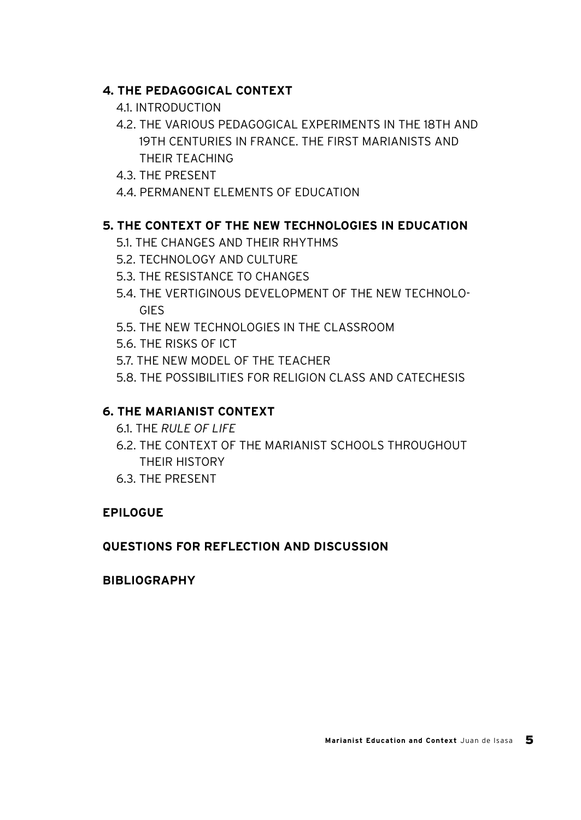### **4. THE PEDAGOGICAL CONTEXT**

- 4.1. INTRODUCTION
- 4.2. THE VARIOUS PEDAGOGICAL EXPERIMENTS IN THE 18TH AND 19TH CENTURIES IN FRANCE. THE FIRST MARIANISTS AND THEIR TEACHING
- 4.3. THE PRESENT
- 4.4. PERMANENT ELEMENTS OF EDUCATION

### **5. THE CONTEXT OF THE NEW TECHNOLOGIES IN EDUCATION**

- 5.1. THE CHANGES AND THEIR RHYTHMS
- 5.2. TECHNOLOGY AND CULTURE
- 5.3. THE RESISTANCE TO CHANGES
- 5.4. THE VERTIGINOUS DEVELOPMENT OF THE NEW TECHNOLO-**GIES**
- 5.5. THE NEW TECHNOLOGIES IN THE CLASSROOM
- 5.6. THE RISKS OF ICT
- 5.7. THE NEW MODEL OF THE TEACHER
- 5.8. THE POSSIBILITIES FOR RELIGION CLASS AND CATECHESIS

### **6. THE MARIANIST CONTEXT**

- 6.1. THE *RULE OF LIFE*
- 6.2. THE CONTEXT OF THE MARIANIST SCHOOLS THROUGHOUT THEIR HISTORY
- 6.3. THE PRESENT

#### **EPILOGUE**

### **QUESTIONS FOR REFLECTION AND DISCUSSION**

#### **BIBLIOGRAPHY**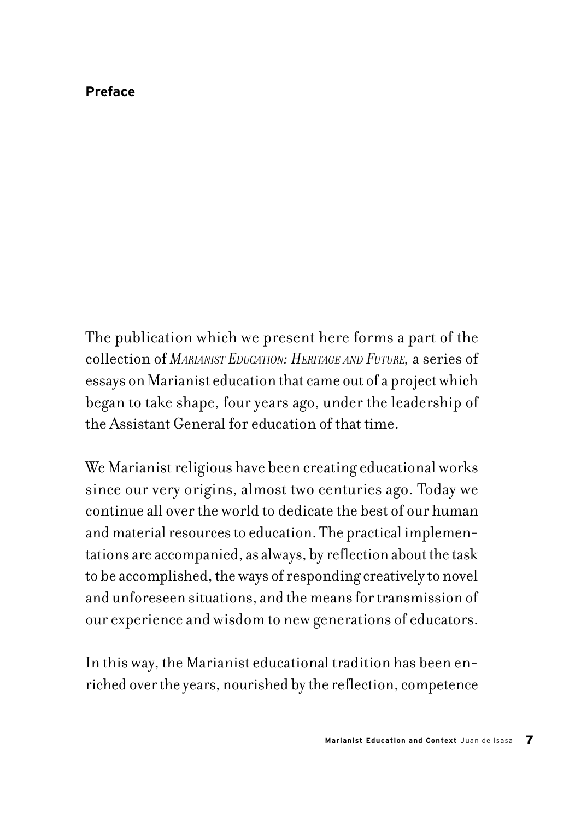### **Preface**

The publication which we present here forms a part of the collection of *MARIANIST EDUCATION: HERITAGE AND FUTURE,* a series of essays on Marianist education that came out of a project which began to take shape, four years ago, under the leadership of the Assistant General for education of that time.

We Marianist religious have been creating educational works since our very origins, almost two centuries ago. Today we continue all over the world to dedicate the best of our human and material resources to education. The practical implementations are accompanied, as always, by reflection about the task to be accomplished, the ways of responding creatively to novel and unforeseen situations, and the means for transmission of our experience and wisdom to new generations of educators.

In this way, the Marianist educational tradition has been enriched over the years, nourished by the reflection, competence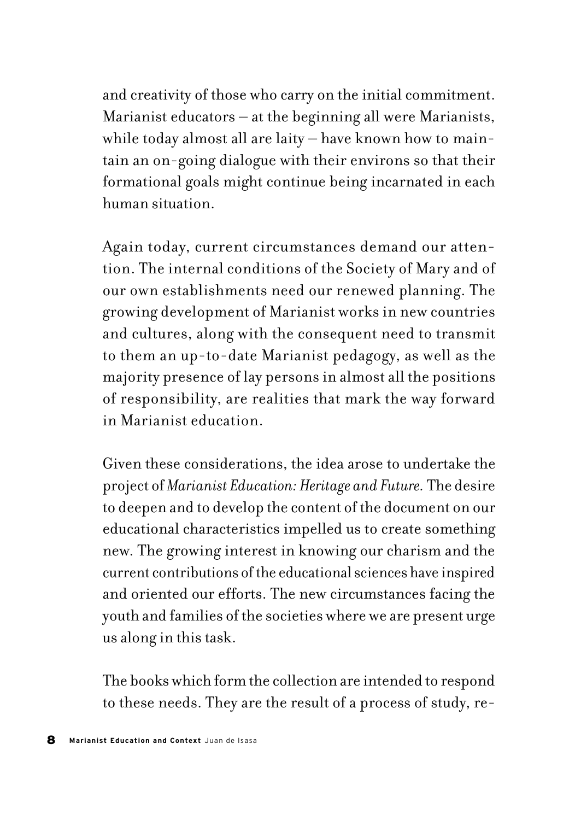and creativity of those who carry on the initial commitment. Marianist educators – at the beginning all were Marianists, while today almost all are laity – have known how to maintain an on-going dialogue with their environs so that their formational goals might continue being incarnated in each human situation.

Again today, current circumstances demand our attention. The internal conditions of the Society of Mary and of our own establishments need our renewed planning. The growing development of Marianist works in new countries and cultures, along with the consequent need to transmit to them an up-to-date Marianist pedagogy, as well as the majority presence of lay persons in almost all the positions of responsibility, are realities that mark the way forward in Marianist education.

Given these considerations, the idea arose to undertake the project of *Marianist Education: Heritage and Future.* The desire to deepen and to develop the content of the document on our educational characteristics impelled us to create something new. The growing interest in knowing our charism and the current contributions of the educational sciences have inspired and oriented our efforts. The new circumstances facing the youth and families of the societies where we are present urge us along in this task.

The books which form the collection are intended to respond to these needs. They are the result of a process of study, re-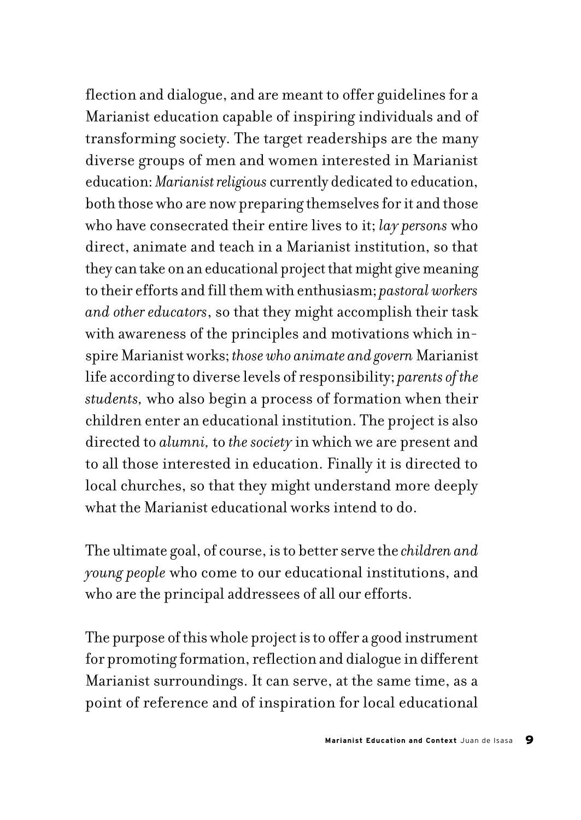flection and dialogue, and are meant to offer guidelines for a Marianist education capable of inspiring individuals and of transforming society. The target readerships are the many diverse groups of men and women interested in Marianist education: *Marianist religious* currently dedicated to education, both those who are now preparing themselves for it and those who have consecrated their entire lives to it; *lay persons* who direct, animate and teach in a Marianist institution, so that they can take on an educational project that might give meaning to their efforts and fill them with enthusiasm; *pastoral workers and other educators*, so that they might accomplish their task with awareness of the principles and motivations which inspire Marianist works; *those who animate and govern* Marianist life according to diverse levels of responsibility; *parents of the students,* who also begin a process of formation when their children enter an educational institution. The project is also directed to *alumni,* to *the society* in which we are present and to all those interested in education. Finally it is directed to local churches, so that they might understand more deeply what the Marianist educational works intend to do.

The ultimate goal, of course, is to better serve the *children and young people* who come to our educational institutions, and who are the principal addressees of all our efforts.

The purpose of this whole project is to offer a good instrument for promoting formation, reflection and dialogue in different Marianist surroundings. It can serve, at the same time, as a point of reference and of inspiration for local educational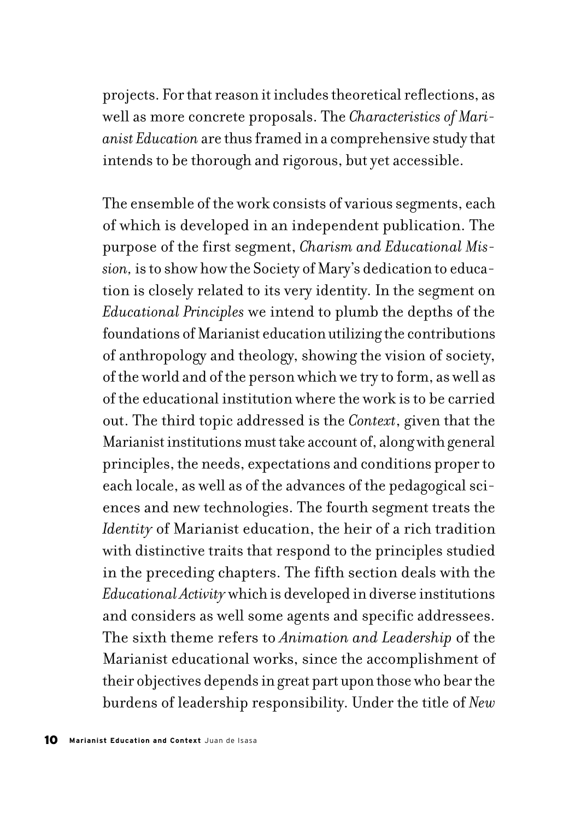projects. For that reason it includes theoretical reflections, as well as more concrete proposals. The *Characteristics of Marianist Education* are thus framed in a comprehensive study that intends to be thorough and rigorous, but yet accessible.

The ensemble of the work consists of various segments, each of which is developed in an independent publication. The purpose of the first segment, *Charism and Educational Mission,* is to show how the Society of Mary's dedication to education is closely related to its very identity. In the segment on *Educational Principles* we intend to plumb the depths of the foundations of Marianist education utilizing the contributions of anthropology and theology, showing the vision of society, of the world and of the person which we try to form, as well as of the educational institution where the work is to be carried out. The third topic addressed is the *Context*, given that the Marianist institutions must take account of, along with general principles, the needs, expectations and conditions proper to each locale, as well as of the advances of the pedagogical sciences and new technologies. The fourth segment treats the *Identity* of Marianist education, the heir of a rich tradition with distinctive traits that respond to the principles studied in the preceding chapters. The fifth section deals with the *Educational Activity* which is developed in diverse institutions and considers as well some agents and specific addressees. The sixth theme refers to *Animation and Leadership* of the Marianist educational works, since the accomplishment of their objectives depends in great part upon those who bear the burdens of leadership responsibility. Under the title of *New*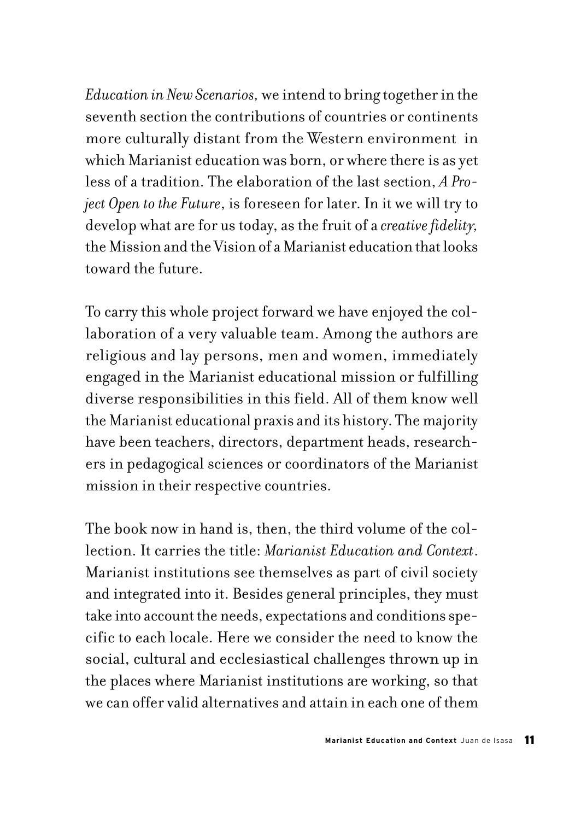*Education in New Scenarios,* we intend to bring together in the seventh section the contributions of countries or continents more culturally distant from the Western environment in which Marianist education was born, or where there is as yet less of a tradition. The elaboration of the last section, *A Project Open to the Future*, is foreseen for later. In it we will try to develop what are for us today, as the fruit of a *creative fidelity,* the Mission and the Vision of a Marianist education that looks toward the future.

To carry this whole project forward we have enjoyed the collaboration of a very valuable team. Among the authors are religious and lay persons, men and women, immediately engaged in the Marianist educational mission or fulfilling diverse responsibilities in this field. All of them know well the Marianist educational praxis and its history. The majority have been teachers, directors, department heads, researchers in pedagogical sciences or coordinators of the Marianist mission in their respective countries.

The book now in hand is, then, the third volume of the collection. It carries the title: *Marianist Education and Context*. Marianist institutions see themselves as part of civil society and integrated into it. Besides general principles, they must take into account the needs, expectations and conditions specific to each locale. Here we consider the need to know the social, cultural and ecclesiastical challenges thrown up in the places where Marianist institutions are working, so that we can offer valid alternatives and attain in each one of them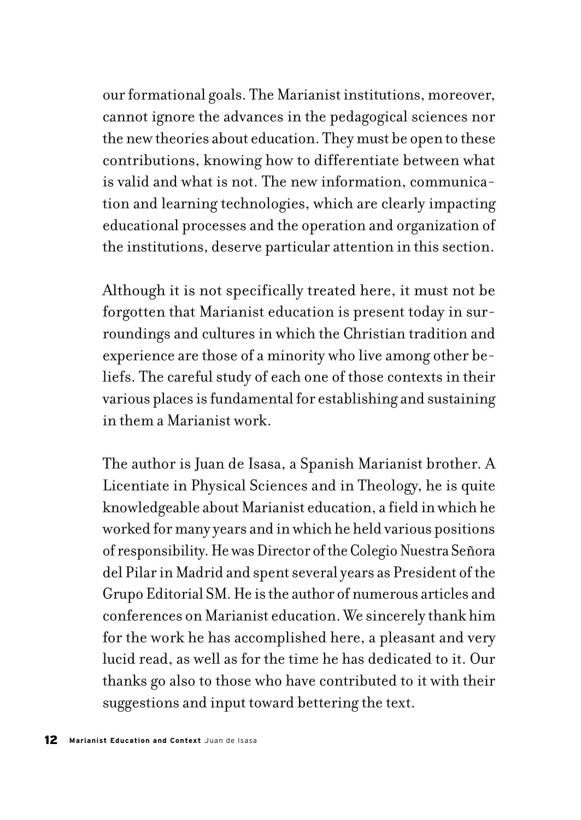our formational goals. The Marianist institutions, moreover, cannot ignore the advances in the pedagogical sciences nor the new theories about education. They must be open to these contributions, knowing how to differentiate between what is valid and what is not. The new information, communication and learning technologies, which are clearly impacting educational processes and the operation and organization of the institutions, deserve particular attention in this section.

Although it is not specifically treated here, it must not be forgotten that Marianist education is present today in surroundings and cultures in which the Christian tradition and experience are those of a minority who live among other beliefs. The careful study of each one of those contexts in their various places is fundamental for establishing and sustaining in them a Marianist work.

The author is Juan de Isasa, a Spanish Marianist brother. A Licentiate in Physical Sciences and in Theology, he is quite knowledgeable about Marianist education, a field in which he worked for many years and in which he held various positions of responsibility. He was Director of the Colegio Nuestra Señora del Pilar in Madrid and spent several years as President of the Grupo Editorial SM. He is the author of numerous articles and conferences on Marianist education. We sincerely thank him for the work he has accomplished here, a pleasant and very lucid read, as well as for the time he has dedicated to it. Our thanks go also to those who have contributed to it with their suggestions and input toward bettering the text.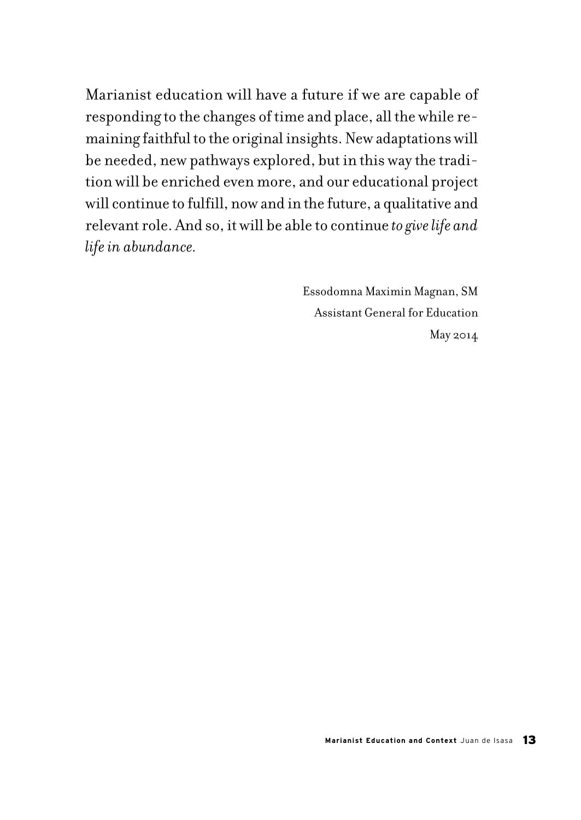Marianist education will have a future if we are capable of responding to the changes of time and place, all the while remaining faithful to the original insights. New adaptations will be needed, new pathways explored, but in this way the tradition will be enriched even more, and our educational project will continue to fulfill, now and in the future, a qualitative and relevant role. And so, it will be able to continue *to give life and life in abundance.*

> Essodomna Maximin Magnan, SM Assistant General for Education May 2014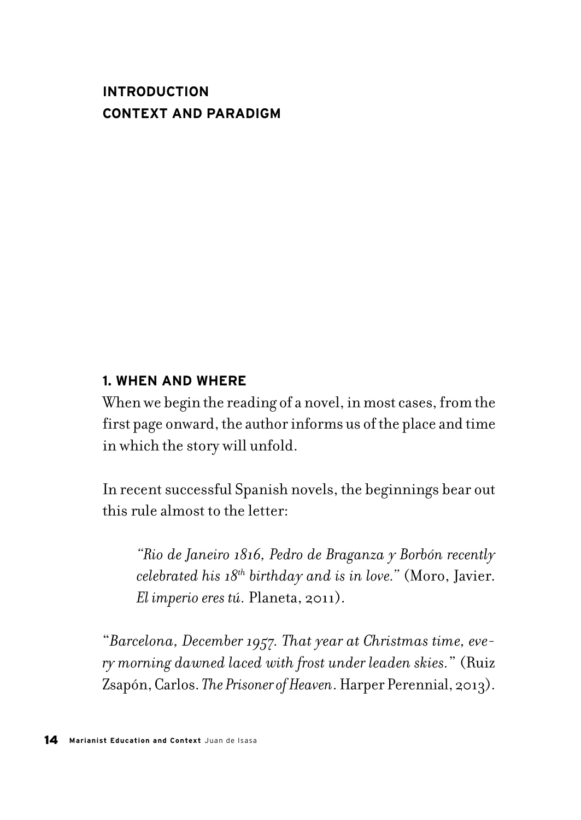# **INTRODUCTION CONTEXT AND PARADIGM**

### **1. WHEN AND WHERE**

When we begin the reading of a novel, in most cases, from the first page onward, the author informs us of the place and time in which the story will unfold.

In recent successful Spanish novels, the beginnings bear out this rule almost to the letter:

*"Rio de Janeiro 1816, Pedro de Braganza y Borbón recently celebrated his 18th birthday and is in love."* (Moro, Javier. *El imperio eres tú.* Planeta, 2011).

"*Barcelona, December 1957. That year at Christmas time, every morning dawned laced with frost under leaden skies.*" (Ruiz Zsapón, Carlos. *The Prisoner of Heaven*. Harper Perennial, 2013).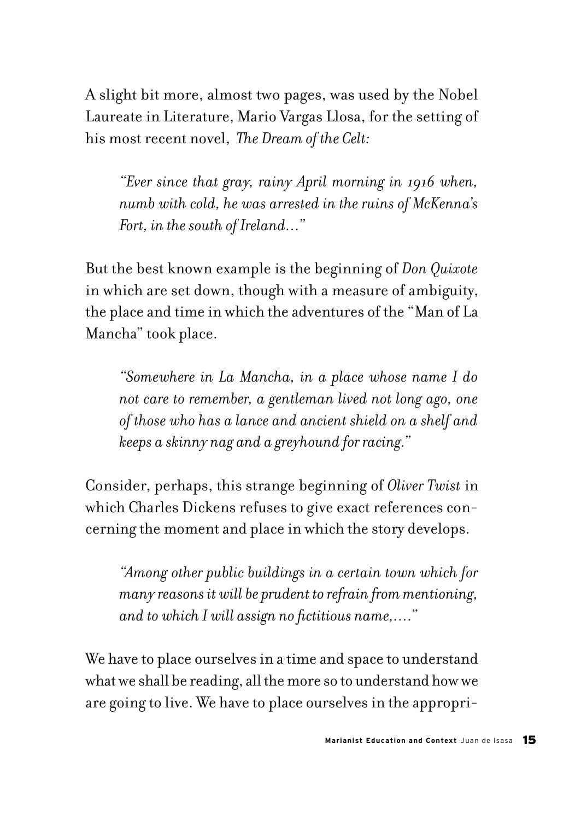A slight bit more, almost two pages, was used by the Nobel Laureate in Literature, Mario Vargas Llosa, for the setting of his most recent novel, *The Dream of the Celt:*

*"Ever since that gray, rainy April morning in 1916 when, numb with cold, he was arrested in the ruins of McKenna's Fort, in the south of Ireland…"*

But the best known example is the beginning of *Don Quixote*  in which are set down, though with a measure of ambiguity, the place and time in which the adventures of the "Man of La Mancha" took place.

*"Somewhere in La Mancha, in a place whose name I do not care to remember, a gentleman lived not long ago, one of those who has a lance and ancient shield on a shelf and keeps a skinny nag and a greyhound for racing."*

Consider, perhaps, this strange beginning of *Oliver Twist* in which Charles Dickens refuses to give exact references concerning the moment and place in which the story develops.

*"Among other public buildings in a certain town which for many reasons it will be prudent to refrain from mentioning, and to which I will assign no fictitious name,…."* 

We have to place ourselves in a time and space to understand what we shall be reading, all the more so to understand how we are going to live. We have to place ourselves in the appropri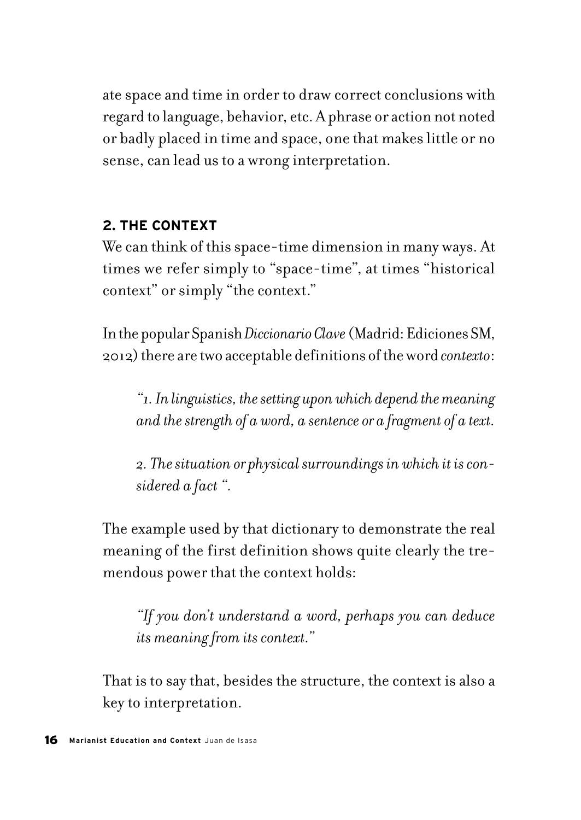ate space and time in order to draw correct conclusions with regard to language, behavior, etc. A phrase or action not noted or badly placed in time and space, one that makes little or no sense, can lead us to a wrong interpretation.

# **2. THE CONTEXT**

We can think of this space-time dimension in many ways. At times we refer simply to "space-time", at times "historical context" or simply "the context."

In the popular Spanish *Diccionario Clave* (Madrid: Ediciones SM, 2012) there are two acceptable definitions of the word *contexto*:

*"1. In linguistics, the setting upon which depend the meaning and the strength of a word, a sentence or a fragment of a text.*

*2. The situation or physical surroundings in which it is considered a fact ".*

The example used by that dictionary to demonstrate the real meaning of the first definition shows quite clearly the tremendous power that the context holds:

*"If you don't understand a word, perhaps you can deduce its meaning from its context."*

That is to say that, besides the structure, the context is also a key to interpretation.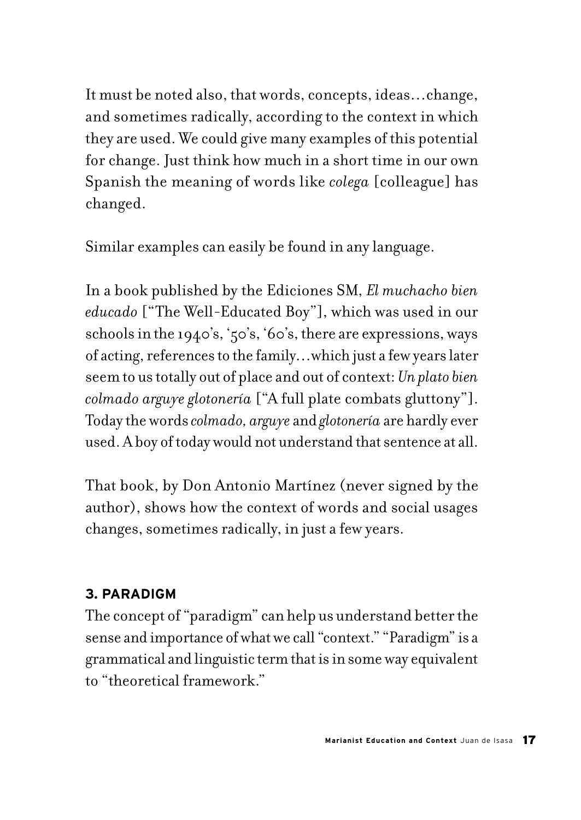It must be noted also, that words, concepts, ideas…change, and sometimes radically, according to the context in which they are used. We could give many examples of this potential for change. Just think how much in a short time in our own Spanish the meaning of words like *colega* [colleague] has changed.

Similar examples can easily be found in any language.

In a book published by the Ediciones SM, *El muchacho bien educado* ["The Well-Educated Boy"], which was used in our schools in the 1940's, '50's, '60's, there are expressions, ways of acting, references to the family…which just a few years later seem to us totally out of place and out of context: *Un plato bien colmado arguye glotonería* ["A full plate combats gluttony"]. Today the words *colmado, arguye* and *glotonería* are hardly ever used. A boy of today would not understand that sentence at all.

That book, by Don Antonio Martínez (never signed by the author), shows how the context of words and social usages changes, sometimes radically, in just a few years.

# **3. PARADIGM**

The concept of "paradigm" can help us understand better the sense and importance of what we call "context." "Paradigm" is a grammatical and linguistic term that is in some way equivalent to "theoretical framework."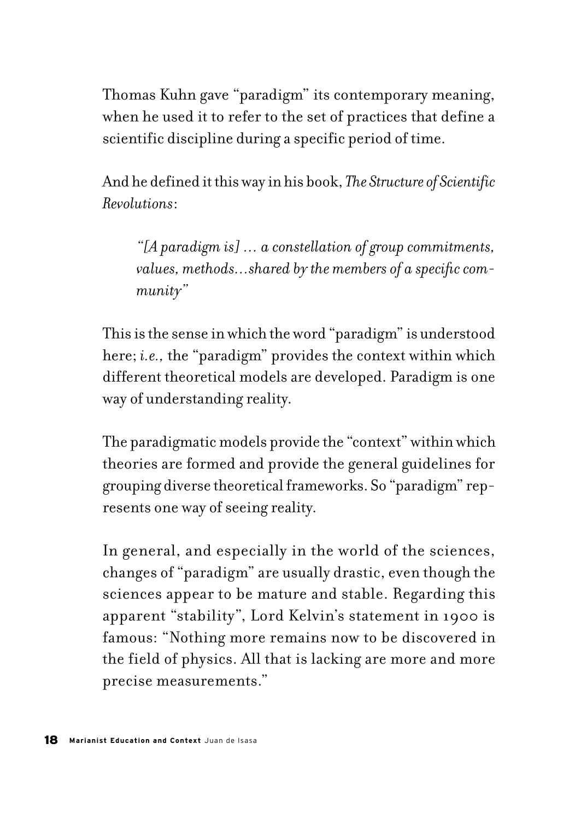Thomas Kuhn gave "paradigm" its contemporary meaning, when he used it to refer to the set of practices that define a scientific discipline during a specific period of time.

And he defined it this way in his book, *The Structure of Scientific Revolutions*:

*"[A paradigm is] … a constellation of group commitments, values, methods…shared by the members of a specific community"*

This is the sense in which the word "paradigm" is understood here; *i.e.*, the "paradigm" provides the context within which different theoretical models are developed. Paradigm is one way of understanding reality.

The paradigmatic models provide the "context" within which theories are formed and provide the general guidelines for grouping diverse theoretical frameworks. So "paradigm" represents one way of seeing reality.

In general, and especially in the world of the sciences, changes of "paradigm" are usually drastic, even though the sciences appear to be mature and stable. Regarding this apparent "stability", Lord Kelvin's statement in 1900 is famous: "Nothing more remains now to be discovered in the field of physics. All that is lacking are more and more precise measurements."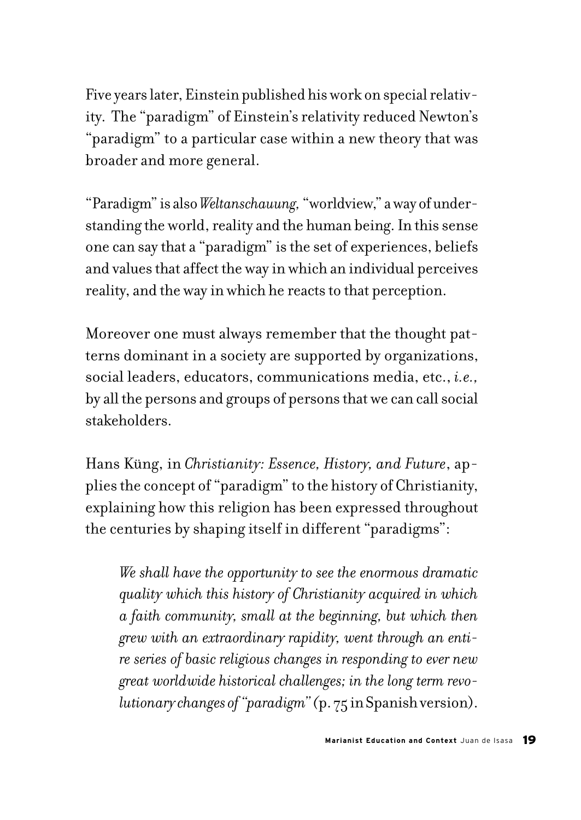Five years later, Einstein published his work on special relativity. The "paradigm" of Einstein's relativity reduced Newton's "paradigm" to a particular case within a new theory that was broader and more general.

"Paradigm" is also *Weltanschauung,* "worldview," a way of understanding the world, reality and the human being. In this sense one can say that a "paradigm" is the set of experiences, beliefs and values that affect the way in which an individual perceives reality, and the way in which he reacts to that perception.

Moreover one must always remember that the thought patterns dominant in a society are supported by organizations, social leaders, educators, communications media, etc., *i.e.,* by all the persons and groups of persons that we can call social stakeholders.

Hans Küng, in *Christianity: Essence, History, and Future*, applies the concept of "paradigm" to the history of Christianity, explaining how this religion has been expressed throughout the centuries by shaping itself in different "paradigms":

*We shall have the opportunity to see the enormous dramatic quality which this history of Christianity acquired in which a faith community, small at the beginning, but which then grew with an extraordinary rapidity, went through an entire series of basic religious changes in responding to ever new great worldwide historical challenges; in the long term revolutionary changes of "paradigm" (*p. 75 in Spanish version).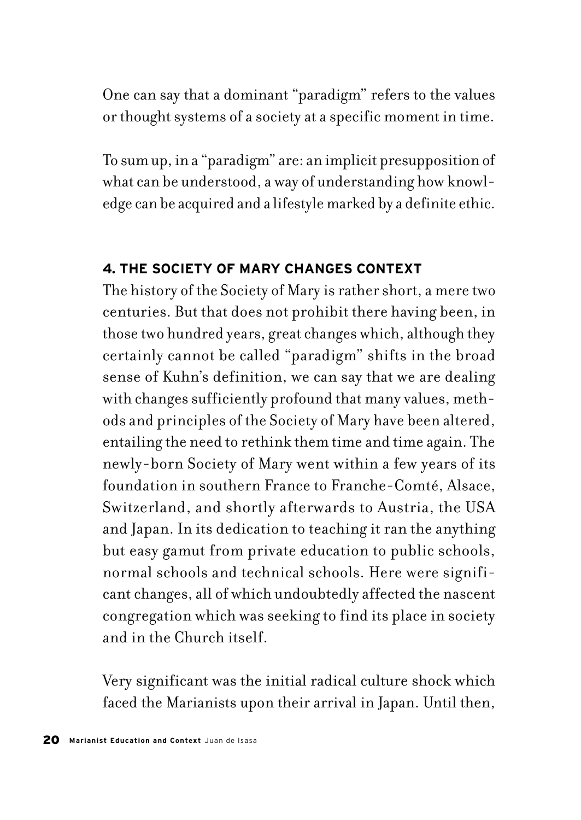One can say that a dominant "paradigm" refers to the values or thought systems of a society at a specific moment in time.

To sum up, in a "paradigm" are: an implicit presupposition of what can be understood, a way of understanding how knowledge can be acquired and a lifestyle marked by a definite ethic.

# **4. THE SOCIETY OF MARY CHANGES CONTEXT**

The history of the Society of Mary is rather short, a mere two centuries. But that does not prohibit there having been, in those two hundred years, great changes which, although they certainly cannot be called "paradigm" shifts in the broad sense of Kuhn's definition, we can say that we are dealing with changes sufficiently profound that many values, methods and principles of the Society of Mary have been altered, entailing the need to rethink them time and time again. The newly-born Society of Mary went within a few years of its foundation in southern France to Franche-Comté, Alsace, Switzerland, and shortly afterwards to Austria, the USA and Japan. In its dedication to teaching it ran the anything but easy gamut from private education to public schools, normal schools and technical schools. Here were significant changes, all of which undoubtedly affected the nascent congregation which was seeking to find its place in society and in the Church itself.

Very significant was the initial radical culture shock which faced the Marianists upon their arrival in Japan. Until then,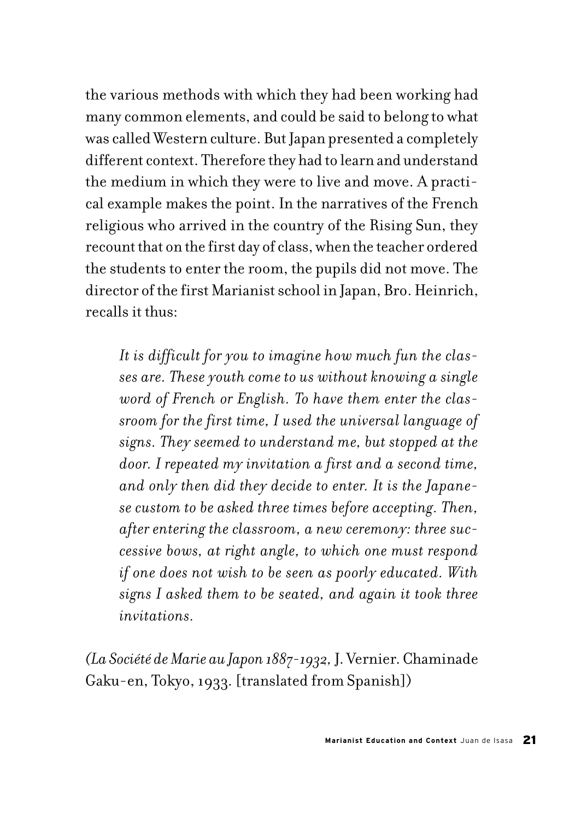the various methods with which they had been working had many common elements, and could be said to belong to what was called Western culture. But Japan presented a completely different context. Therefore they had to learn and understand the medium in which they were to live and move. A practical example makes the point. In the narratives of the French religious who arrived in the country of the Rising Sun, they recount that on the first day of class, when the teacher ordered the students to enter the room, the pupils did not move. The director of the first Marianist school in Japan, Bro. Heinrich, recalls it thus:

*It is difficult for you to imagine how much fun the classes are. These youth come to us without knowing a single word of French or English. To have them enter the classroom for the first time, I used the universal language of signs. They seemed to understand me, but stopped at the door. I repeated my invitation a first and a second time, and only then did they decide to enter. It is the Japanese custom to be asked three times before accepting. Then, after entering the classroom, a new ceremony: three successive bows, at right angle, to which one must respond if one does not wish to be seen as poorly educated. With signs I asked them to be seated, and again it took three invitations.* 

*(La Société de Marie au Japon 1887-1932,* J. Vernier. Chaminade Gaku-en, Tokyo, 1933. [translated from Spanish])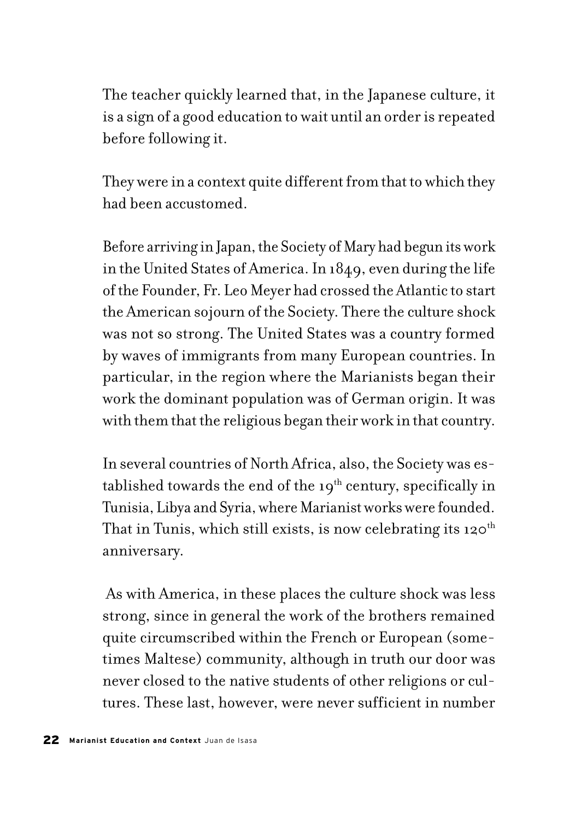The teacher quickly learned that, in the Japanese culture, it is a sign of a good education to wait until an order is repeated before following it.

They were in a context quite different from that to which they had been accustomed.

Before arriving in Japan, the Society of Mary had begun its work in the United States of America. In 1849, even during the life of the Founder, Fr. Leo Meyer had crossed the Atlantic to start the American sojourn of the Society. There the culture shock was not so strong. The United States was a country formed by waves of immigrants from many European countries. In particular, in the region where the Marianists began their work the dominant population was of German origin. It was with them that the religious began their work in that country.

In several countries of North Africa, also, the Society was established towards the end of the  $19<sup>th</sup>$  century, specifically in Tunisia, Libya and Syria, where Marianist works were founded. That in Tunis, which still exists, is now celebrating its  $120^{th}$ anniversary.

 As with America, in these places the culture shock was less strong, since in general the work of the brothers remained quite circumscribed within the French or European (sometimes Maltese) community, although in truth our door was never closed to the native students of other religions or cultures. These last, however, were never sufficient in number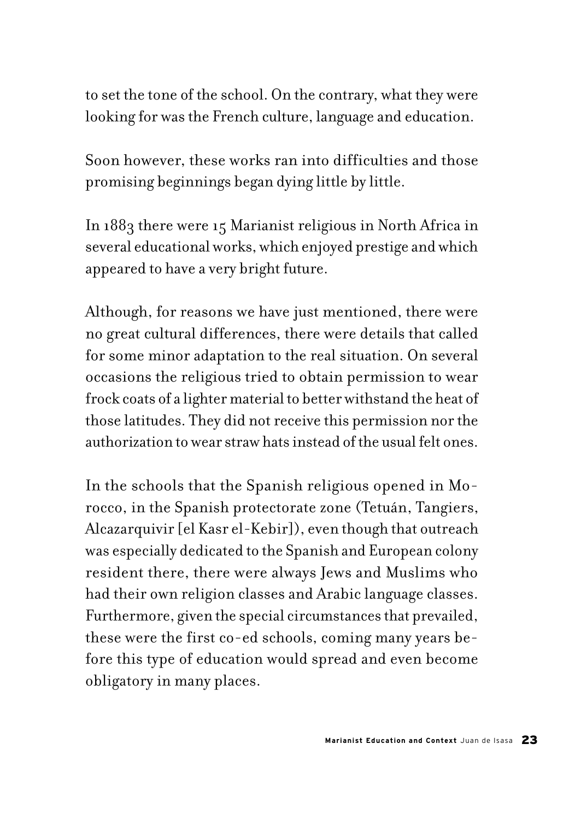to set the tone of the school. On the contrary, what they were looking for was the French culture, language and education.

Soon however, these works ran into difficulties and those promising beginnings began dying little by little.

In 1883 there were 15 Marianist religious in North Africa in several educational works, which enjoyed prestige and which appeared to have a very bright future.

Although, for reasons we have just mentioned, there were no great cultural differences, there were details that called for some minor adaptation to the real situation. On several occasions the religious tried to obtain permission to wear frock coats of a lighter material to better withstand the heat of those latitudes. They did not receive this permission nor the authorization to wear straw hats instead of the usual felt ones.

In the schools that the Spanish religious opened in Morocco, in the Spanish protectorate zone (Tetuán, Tangiers, Alcazarquivir [el Kasr el-Kebir]), even though that outreach was especially dedicated to the Spanish and European colony resident there, there were always Jews and Muslims who had their own religion classes and Arabic language classes. Furthermore, given the special circumstances that prevailed, these were the first co-ed schools, coming many years before this type of education would spread and even become obligatory in many places.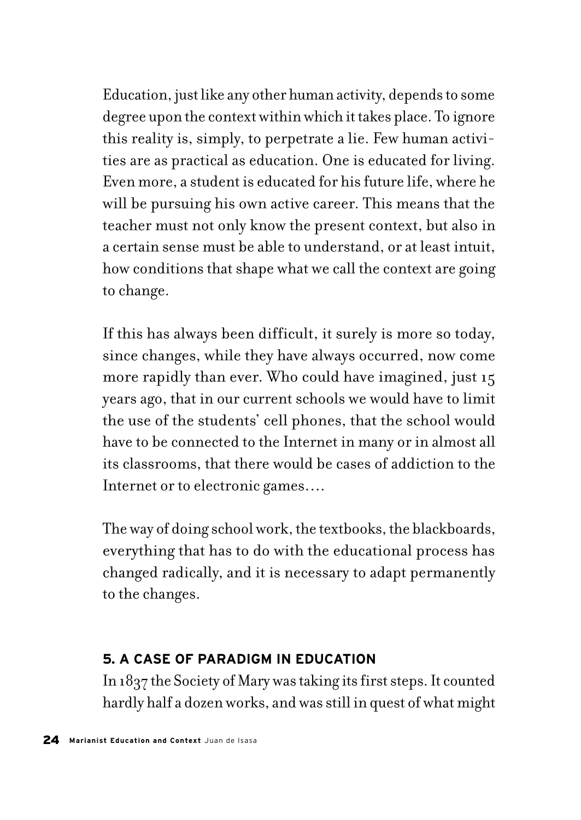Education, just like any other human activity, depends to some degree upon the context within which it takes place. To ignore this reality is, simply, to perpetrate a lie. Few human activities are as practical as education. One is educated for living. Even more, a student is educated for his future life, where he will be pursuing his own active career. This means that the teacher must not only know the present context, but also in a certain sense must be able to understand, or at least intuit, how conditions that shape what we call the context are going to change.

If this has always been difficult, it surely is more so today, since changes, while they have always occurred, now come more rapidly than ever. Who could have imagined, just 15 years ago, that in our current schools we would have to limit the use of the students' cell phones, that the school would have to be connected to the Internet in many or in almost all its classrooms, that there would be cases of addiction to the Internet or to electronic games….

The way of doing school work, the textbooks, the blackboards, everything that has to do with the educational process has changed radically, and it is necessary to adapt permanently to the changes.

### **5. A CASE OF PARADIGM IN EDUCATION**

In 1837 the Society of Mary was taking its first steps. It counted hardly half a dozen works, and was still in quest of what might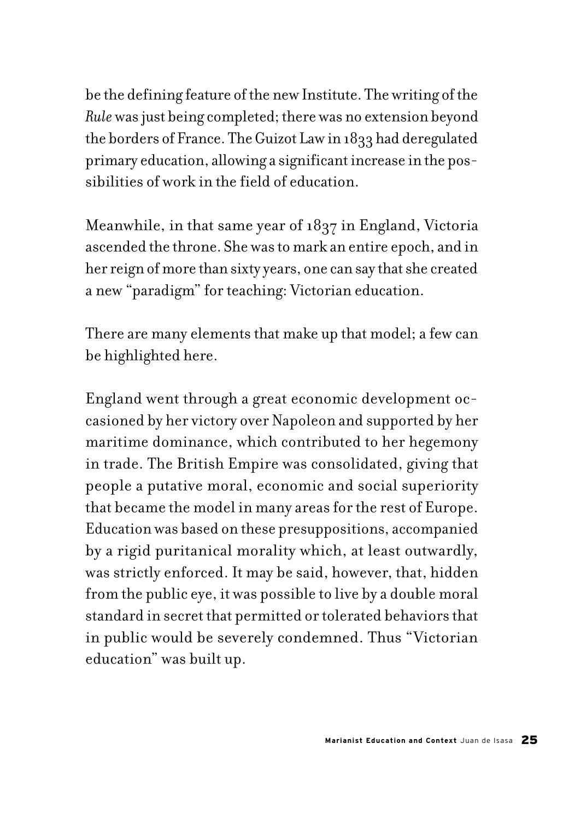be the defining feature of the new Institute. The writing of the *Rule* was just being completed; there was no extension beyond the borders of France. The Guizot Law in 1833 had deregulated primary education, allowing a significant increase in the possibilities of work in the field of education.

Meanwhile, in that same year of 1837 in England, Victoria ascended the throne. She was to mark an entire epoch, and in her reign of more than sixty years, one can say that she created a new "paradigm" for teaching: Victorian education.

There are many elements that make up that model; a few can be highlighted here.

England went through a great economic development occasioned by her victory over Napoleon and supported by her maritime dominance, which contributed to her hegemony in trade. The British Empire was consolidated, giving that people a putative moral, economic and social superiority that became the model in many areas for the rest of Europe. Education was based on these presuppositions, accompanied by a rigid puritanical morality which, at least outwardly, was strictly enforced. It may be said, however, that, hidden from the public eye, it was possible to live by a double moral standard in secret that permitted or tolerated behaviors that in public would be severely condemned. Thus "Victorian education" was built up.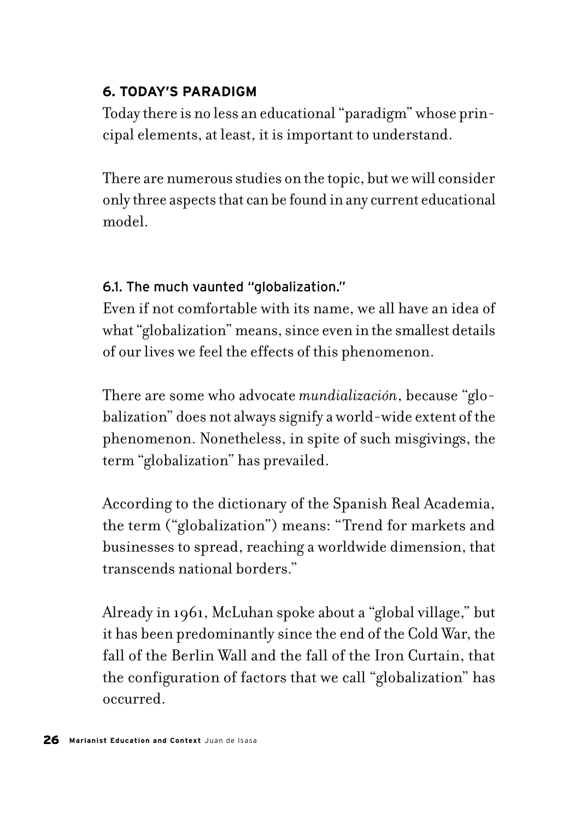# **6. TODAY'S PARADIGM**

Today there is no less an educational "paradigm" whose principal elements, at least, it is important to understand.

There are numerous studies on the topic, but we will consider only three aspects that can be found in any current educational model.

# 6.1. The much vaunted "globalization."

Even if not comfortable with its name, we all have an idea of what "globalization" means, since even in the smallest details of our lives we feel the effects of this phenomenon.

There are some who advocate *mundialización*, because "globalization" does not always signify a world-wide extent of the phenomenon. Nonetheless, in spite of such misgivings, the term "globalization" has prevailed.

According to the dictionary of the Spanish Real Academia, the term ("globalization") means: "Trend for markets and businesses to spread, reaching a worldwide dimension, that transcends national borders."

Already in 1961, McLuhan spoke about a "global village," but it has been predominantly since the end of the Cold War, the fall of the Berlin Wall and the fall of the Iron Curtain, that the configuration of factors that we call "globalization" has occurred.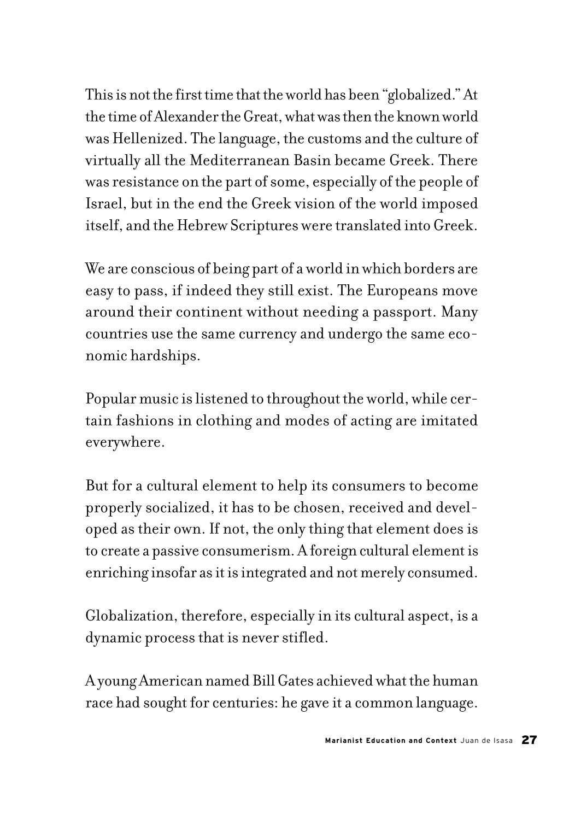This is not the first time that the world has been "globalized." At the time of Alexander the Great, what was then the known world was Hellenized. The language, the customs and the culture of virtually all the Mediterranean Basin became Greek. There was resistance on the part of some, especially of the people of Israel, but in the end the Greek vision of the world imposed itself, and the Hebrew Scriptures were translated into Greek.

We are conscious of being part of a world in which borders are easy to pass, if indeed they still exist. The Europeans move around their continent without needing a passport. Many countries use the same currency and undergo the same economic hardships.

Popular music is listened to throughout the world, while certain fashions in clothing and modes of acting are imitated everywhere.

But for a cultural element to help its consumers to become properly socialized, it has to be chosen, received and developed as their own. If not, the only thing that element does is to create a passive consumerism. A foreign cultural element is enriching insofar as it is integrated and not merely consumed.

Globalization, therefore, especially in its cultural aspect, is a dynamic process that is never stifled.

A young American named Bill Gates achieved what the human race had sought for centuries: he gave it a common language.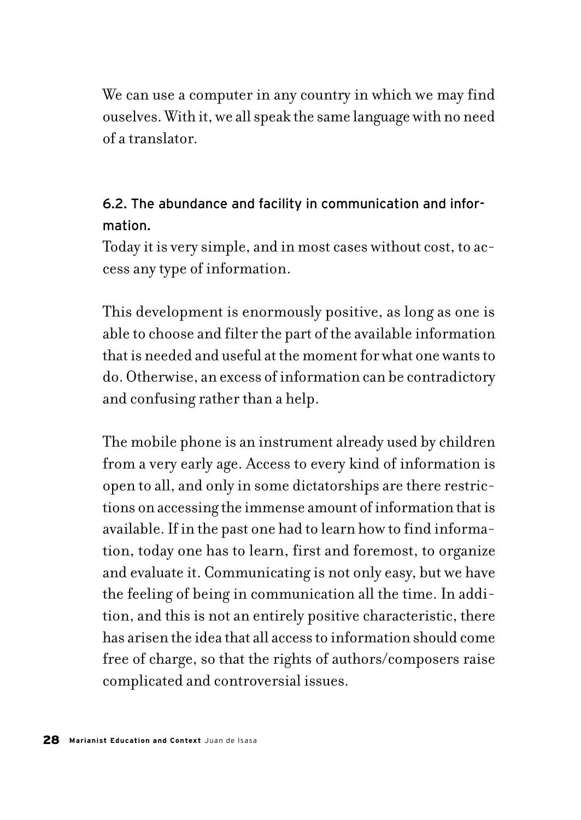We can use a computer in any country in which we may find ouselves. With it, we all speak the same language with no need of a translator.

# 6.2. The abundance and facility in communication and information.

Today it is very simple, and in most cases without cost, to access any type of information.

This development is enormously positive, as long as one is able to choose and filter the part of the available information that is needed and useful at the moment for what one wants to do. Otherwise, an excess of information can be contradictory and confusing rather than a help.

The mobile phone is an instrument already used by children from a very early age. Access to every kind of information is open to all, and only in some dictatorships are there restrictions on accessing the immense amount of information that is available. If in the past one had to learn how to find information, today one has to learn, first and foremost, to organize and evaluate it. Communicating is not only easy, but we have the feeling of being in communication all the time. In addition, and this is not an entirely positive characteristic, there has arisen the idea that all access to information should come free of charge, so that the rights of authors/composers raise complicated and controversial issues.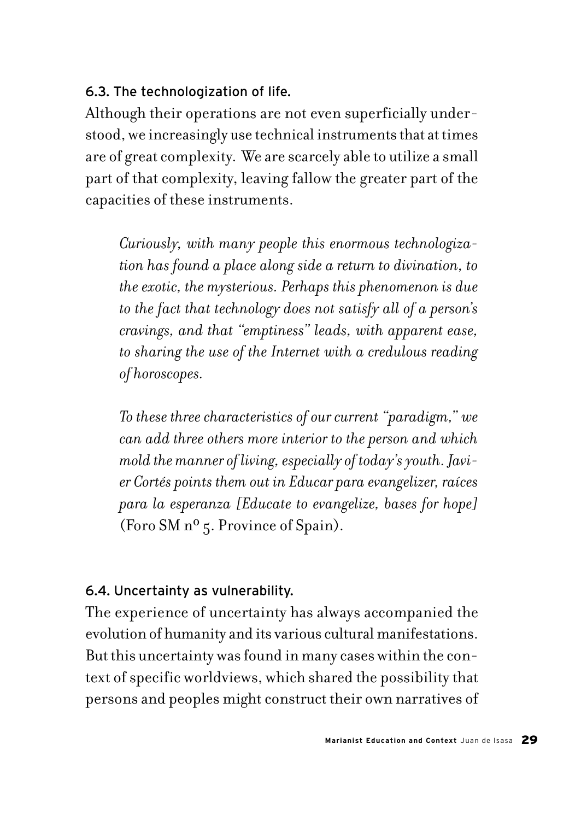# 6.3. The technologization of life.

Although their operations are not even superficially understood, we increasingly use technical instruments that at times are of great complexity. We are scarcely able to utilize a small part of that complexity, leaving fallow the greater part of the capacities of these instruments.

*Curiously, with many people this enormous technologization has found a place along side a return to divination, to the exotic, the mysterious. Perhaps this phenomenon is due to the fact that technology does not satisfy all of a person's cravings, and that "emptiness" leads, with apparent ease, to sharing the use of the Internet with a credulous reading of horoscopes.*

*To these three characteristics of our current "paradigm," we can add three others more interior to the person and which mold the manner of living, especially of today's youth. Javier Cortés points them out in Educar para evangelizer, raíces para la esperanza [Educate to evangelize, bases for hope]*  (Foro SM nº 5. Province of Spain).

# 6.4. Uncertainty as vulnerability.

The experience of uncertainty has always accompanied the evolution of humanity and its various cultural manifestations. But this uncertainty was found in many cases within the context of specific worldviews, which shared the possibility that persons and peoples might construct their own narratives of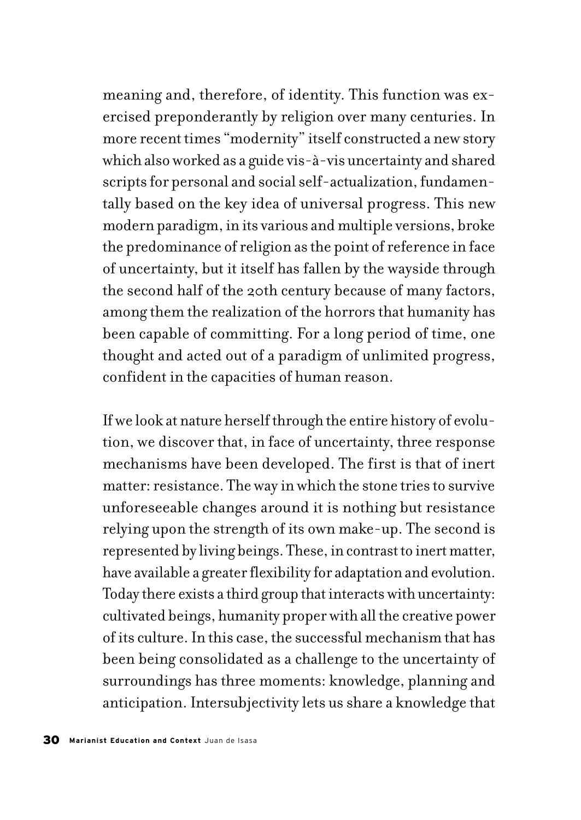meaning and, therefore, of identity. This function was exercised preponderantly by religion over many centuries. In more recent times "modernity" itself constructed a new story which also worked as a guide vis-à-vis uncertainty and shared scripts for personal and social self-actualization, fundamentally based on the key idea of universal progress. This new modern paradigm, in its various and multiple versions, broke the predominance of religion as the point of reference in face of uncertainty, but it itself has fallen by the wayside through the second half of the 20th century because of many factors, among them the realization of the horrors that humanity has been capable of committing. For a long period of time, one thought and acted out of a paradigm of unlimited progress, confident in the capacities of human reason.

If we look at nature herself through the entire history of evolution, we discover that, in face of uncertainty, three response mechanisms have been developed. The first is that of inert matter: resistance. The way in which the stone tries to survive unforeseeable changes around it is nothing but resistance relying upon the strength of its own make-up. The second is represented by living beings. These, in contrast to inert matter, have available a greater flexibility for adaptation and evolution. Today there exists a third group that interacts with uncertainty: cultivated beings, humanity proper with all the creative power of its culture. In this case, the successful mechanism that has been being consolidated as a challenge to the uncertainty of surroundings has three moments: knowledge, planning and anticipation. Intersubjectivity lets us share a knowledge that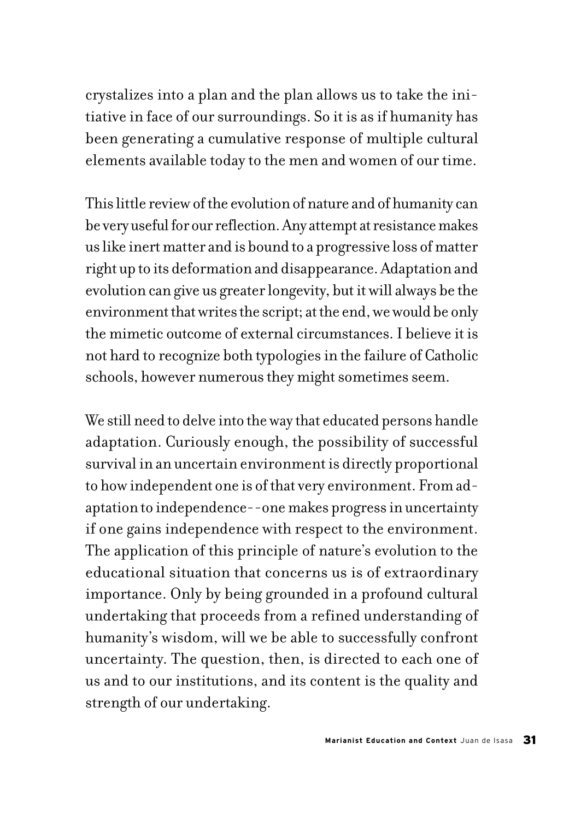crystalizes into a plan and the plan allows us to take the initiative in face of our surroundings. So it is as if humanity has been generating a cumulative response of multiple cultural elements available today to the men and women of our time.

This little review of the evolution of nature and of humanity can be very useful for our reflection. Any attempt at resistance makes us like inert matter and is bound to a progressive loss of matter right up to its deformation and disappearance. Adaptation and evolution can give us greater longevity, but it will always be the environment that writes the script; at the end, we would be only the mimetic outcome of external circumstances. I believe it is not hard to recognize both typologies in the failure of Catholic schools, however numerous they might sometimes seem.

We still need to delve into the way that educated persons handle adaptation. Curiously enough, the possibility of successful survival in an uncertain environment is directly proportional to how independent one is of that very environment. From adaptation to independence--one makes progress in uncertainty if one gains independence with respect to the environment. The application of this principle of nature's evolution to the educational situation that concerns us is of extraordinary importance. Only by being grounded in a profound cultural undertaking that proceeds from a refined understanding of humanity's wisdom, will we be able to successfully confront uncertainty. The question, then, is directed to each one of us and to our institutions, and its content is the quality and strength of our undertaking.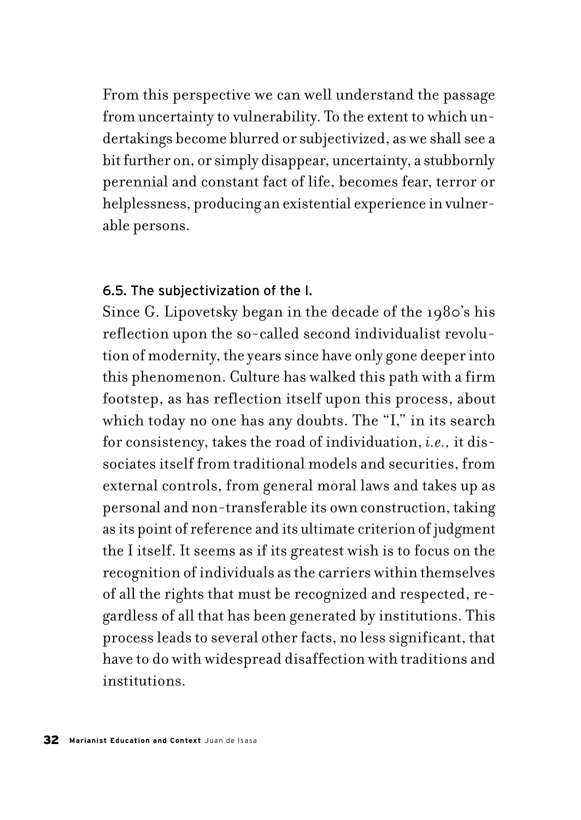From this perspective we can well understand the passage from uncertainty to vulnerability. To the extent to which undertakings become blurred or subjectivized, as we shall see a bit further on, or simply disappear, uncertainty, a stubbornly perennial and constant fact of life, becomes fear, terror or helplessness, producing an existential experience in vulnerable persons.

### 6.5. The subjectivization of the I.

Since G. Lipovetsky began in the decade of the 1980's his reflection upon the so-called second individualist revolution of modernity, the years since have only gone deeper into this phenomenon. Culture has walked this path with a firm footstep, as has reflection itself upon this process, about which today no one has any doubts. The "I," in its search for consistency, takes the road of individuation, *i.e.,* it dissociates itself from traditional models and securities, from external controls, from general moral laws and takes up as personal and non-transferable its own construction, taking as its point of reference and its ultimate criterion of judgment the I itself. It seems as if its greatest wish is to focus on the recognition of individuals as the carriers within themselves of all the rights that must be recognized and respected, regardless of all that has been generated by institutions. This process leads to several other facts, no less significant, that have to do with widespread disaffection with traditions and institutions.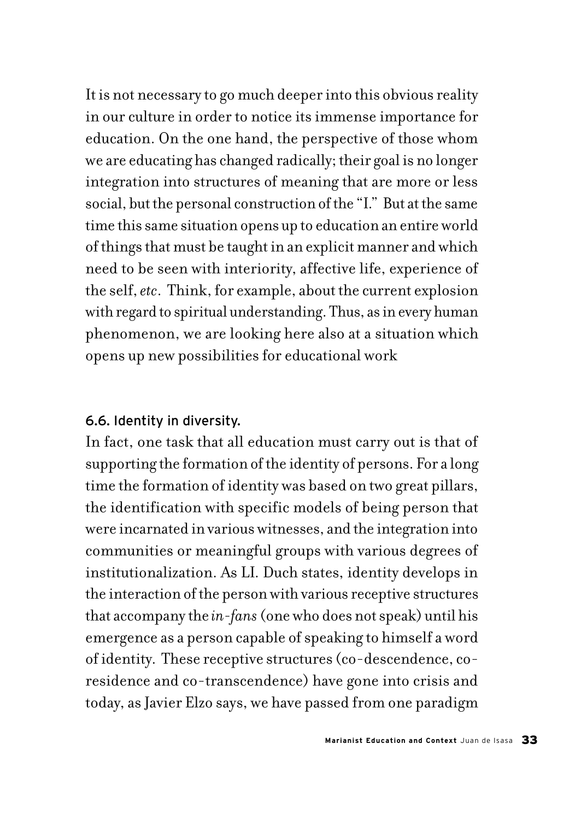It is not necessary to go much deeper into this obvious reality in our culture in order to notice its immense importance for education. On the one hand, the perspective of those whom we are educating has changed radically; their goal is no longer integration into structures of meaning that are more or less social, but the personal construction of the "I." But at the same time this same situation opens up to education an entire world of things that must be taught in an explicit manner and which need to be seen with interiority, affective life, experience of the self, *etc*. Think, for example, about the current explosion with regard to spiritual understanding. Thus, as in every human phenomenon, we are looking here also at a situation which opens up new possibilities for educational work

### 6.6. Identity in diversity.

In fact, one task that all education must carry out is that of supporting the formation of the identity of persons. For a long time the formation of identity was based on two great pillars, the identification with specific models of being person that were incarnated in various witnesses, and the integration into communities or meaningful groups with various degrees of institutionalization. As LI. Duch states, identity develops in the interaction of the person with various receptive structures that accompany the *in-fans* (one who does not speak) until his emergence as a person capable of speaking to himself a word of identity. These receptive structures (co-descendence, coresidence and co-transcendence) have gone into crisis and today, as Javier Elzo says, we have passed from one paradigm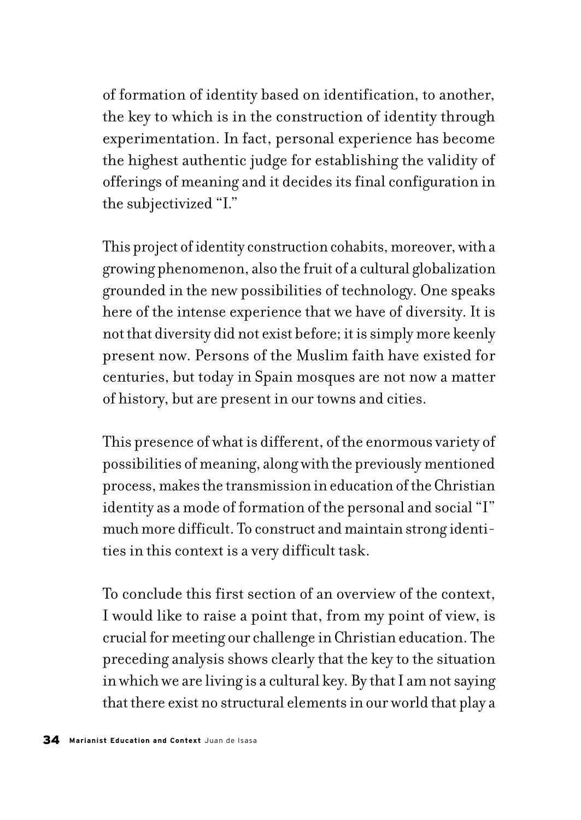of formation of identity based on identification, to another, the key to which is in the construction of identity through experimentation. In fact, personal experience has become the highest authentic judge for establishing the validity of offerings of meaning and it decides its final configuration in the subjectivized "I."

This project of identity construction cohabits, moreover, with a growing phenomenon, also the fruit of a cultural globalization grounded in the new possibilities of technology. One speaks here of the intense experience that we have of diversity. It is not that diversity did not exist before; it is simply more keenly present now. Persons of the Muslim faith have existed for centuries, but today in Spain mosques are not now a matter of history, but are present in our towns and cities.

This presence of what is different, of the enormous variety of possibilities of meaning, along with the previously mentioned process, makes the transmission in education of the Christian identity as a mode of formation of the personal and social "I" much more difficult. To construct and maintain strong identities in this context is a very difficult task.

To conclude this first section of an overview of the context, I would like to raise a point that, from my point of view, is crucial for meeting our challenge in Christian education. The preceding analysis shows clearly that the key to the situation in which we are living is a cultural key. By that I am not saying that there exist no structural elements in our world that play a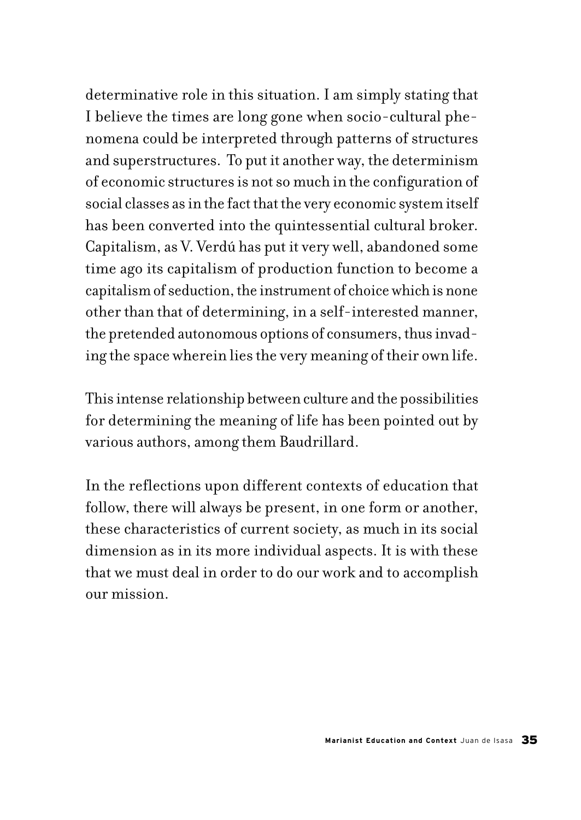determinative role in this situation. I am simply stating that I believe the times are long gone when socio-cultural phenomena could be interpreted through patterns of structures and superstructures. To put it another way, the determinism of economic structures is not so much in the configuration of social classes as in the fact that the very economic system itself has been converted into the quintessential cultural broker. Capitalism, as V. Verdú has put it very well, abandoned some time ago its capitalism of production function to become a capitalism of seduction, the instrument of choice which is none other than that of determining, in a self-interested manner, the pretended autonomous options of consumers, thus invading the space wherein lies the very meaning of their own life.

This intense relationship between culture and the possibilities for determining the meaning of life has been pointed out by various authors, among them Baudrillard.

In the reflections upon different contexts of education that follow, there will always be present, in one form or another, these characteristics of current society, as much in its social dimension as in its more individual aspects. It is with these that we must deal in order to do our work and to accomplish our mission.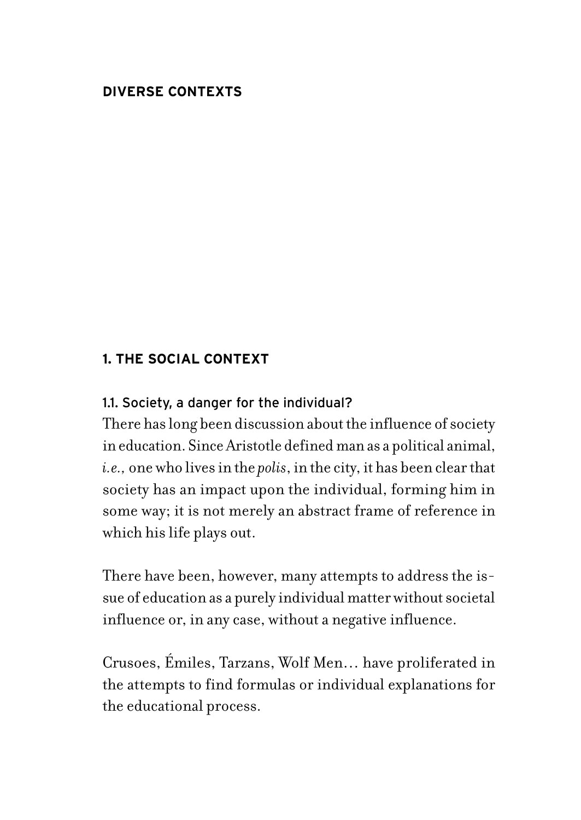## **DIVERSE CONTEXTS**

### **1. THE SOCIAL CONTEXT**

### 1.1. Society, a danger for the individual?

There has long been discussion about the influence of society in education. Since Aristotle defined man as a political animal, *i.e.,* one who lives in the *polis*, in the city, it has been clear that society has an impact upon the individual, forming him in some way; it is not merely an abstract frame of reference in which his life plays out.

There have been, however, many attempts to address the issue of education as a purely individual matter without societal influence or, in any case, without a negative influence.

Crusoes, Émiles, Tarzans, Wolf Men… have proliferated in the attempts to find formulas or individual explanations for the educational process.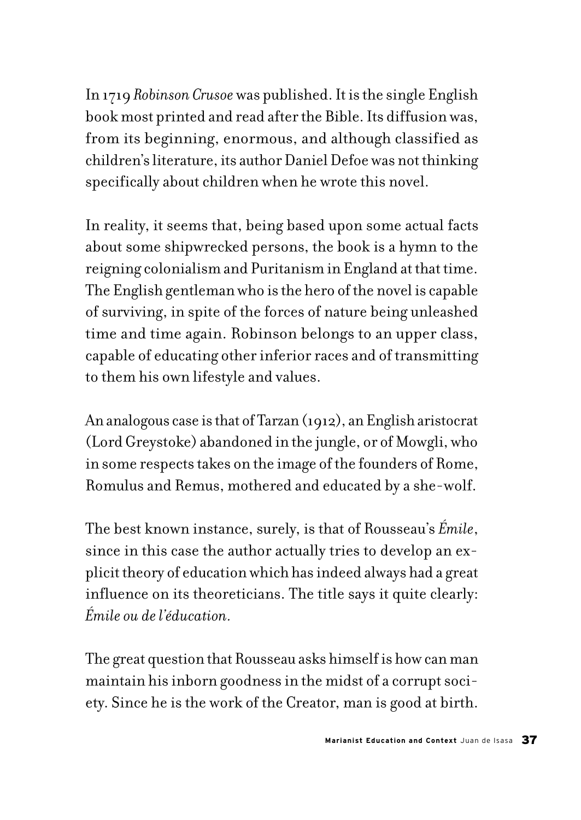In 1719 *Robinson Crusoe* was published. It is the single English book most printed and read after the Bible. Its diffusion was, from its beginning, enormous, and although classified as children's literature, its author Daniel Defoe was not thinking specifically about children when he wrote this novel.

In reality, it seems that, being based upon some actual facts about some shipwrecked persons, the book is a hymn to the reigning colonialism and Puritanism in England at that time. The English gentleman who is the hero of the novel is capable of surviving, in spite of the forces of nature being unleashed time and time again. Robinson belongs to an upper class, capable of educating other inferior races and of transmitting to them his own lifestyle and values.

An analogous case is that of Tarzan (1912), an English aristocrat (Lord Greystoke) abandoned in the jungle, or of Mowgli, who in some respects takes on the image of the founders of Rome, Romulus and Remus, mothered and educated by a she-wolf.

The best known instance, surely, is that of Rousseau's *Émile*, since in this case the author actually tries to develop an explicit theory of education which has indeed always had a great influence on its theoreticians. The title says it quite clearly: *Émile ou de l'éducation.*

The great question that Rousseau asks himself is how can man maintain his inborn goodness in the midst of a corrupt society. Since he is the work of the Creator, man is good at birth.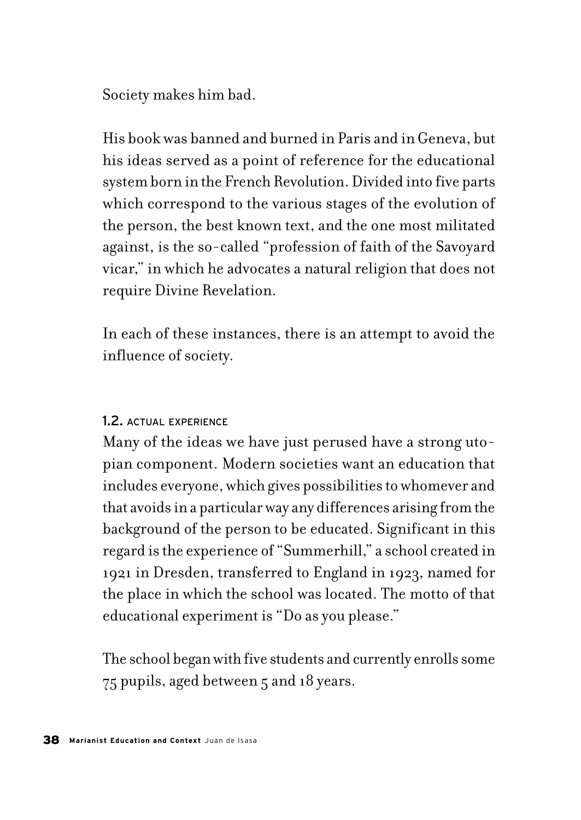Society makes him bad.

His book was banned and burned in Paris and in Geneva, but his ideas served as a point of reference for the educational system born in the French Revolution. Divided into five parts which correspond to the various stages of the evolution of the person, the best known text, and the one most militated against, is the so-called "profession of faith of the Savoyard vicar," in which he advocates a natural religion that does not require Divine Revelation.

In each of these instances, there is an attempt to avoid the influence of society.

### 1.2. ACTUAL EXPERIENCE

Many of the ideas we have just perused have a strong utopian component. Modern societies want an education that includes everyone, which gives possibilities to whomever and that avoids in a particular way any differences arising from the background of the person to be educated. Significant in this regard is the experience of "Summerhill," a school created in 1921 in Dresden, transferred to England in 1923, named for the place in which the school was located. The motto of that educational experiment is "Do as you please."

The school began with five students and currently enrolls some 75 pupils, aged between 5 and 18 years.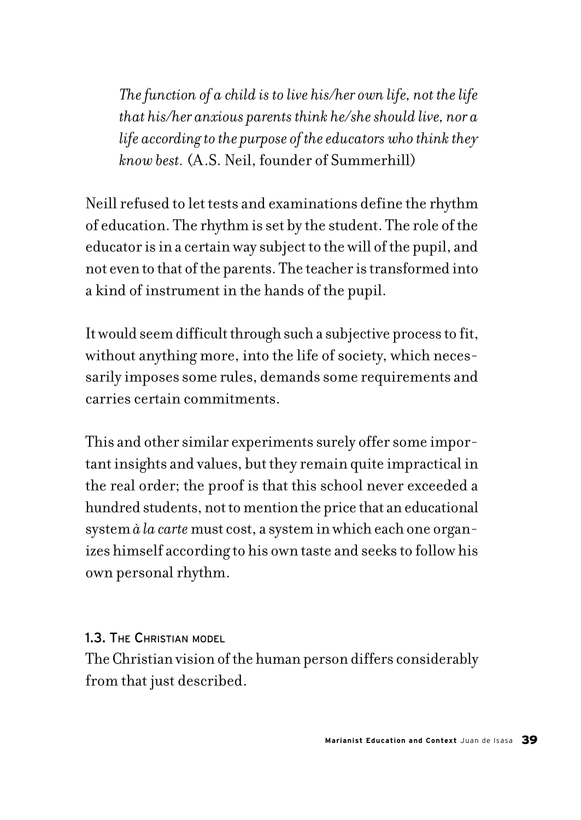*The function of a child is to live his/her own life, not the life that his/her anxious parents think he/she should live, nor a life according to the purpose of the educators who think they know best.* (A.S. Neil, founder of Summerhill)

Neill refused to let tests and examinations define the rhythm of education. The rhythm is set by the student. The role of the educator is in a certain way subject to the will of the pupil, and not even to that of the parents. The teacher is transformed into a kind of instrument in the hands of the pupil.

It would seem difficult through such a subjective process to fit, without anything more, into the life of society, which necessarily imposes some rules, demands some requirements and carries certain commitments.

This and other similar experiments surely offer some important insights and values, but they remain quite impractical in the real order; the proof is that this school never exceeded a hundred students, not to mention the price that an educational system *à la carte* must cost, a system in which each one organizes himself according to his own taste and seeks to follow his own personal rhythm.

#### 1.3. THE CHRISTIAN MODEL

The Christian vision of the human person differs considerably from that just described.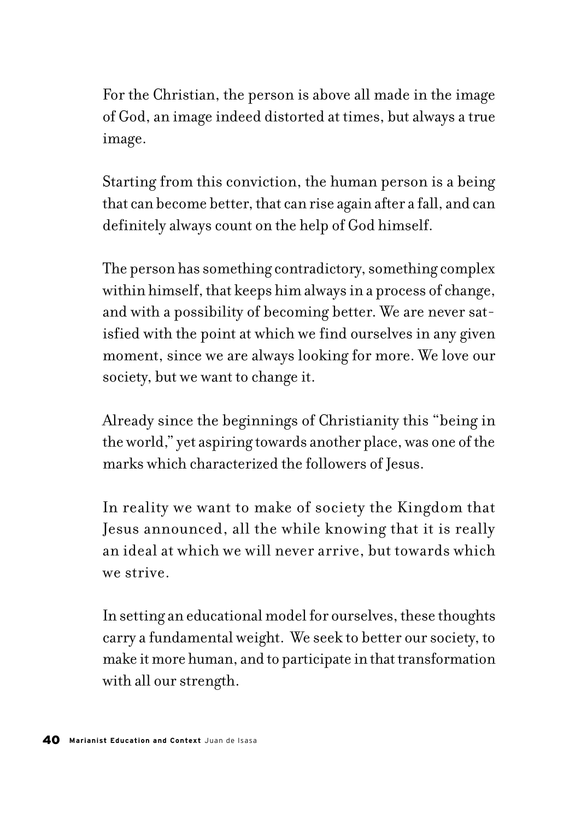For the Christian, the person is above all made in the image of God, an image indeed distorted at times, but always a true image.

Starting from this conviction, the human person is a being that can become better, that can rise again after a fall, and can definitely always count on the help of God himself.

The person has something contradictory, something complex within himself, that keeps him always in a process of change, and with a possibility of becoming better. We are never satisfied with the point at which we find ourselves in any given moment, since we are always looking for more. We love our society, but we want to change it.

Already since the beginnings of Christianity this "being in the world," yet aspiring towards another place, was one of the marks which characterized the followers of Jesus.

In reality we want to make of society the Kingdom that Jesus announced, all the while knowing that it is really an ideal at which we will never arrive, but towards which we strive.

In setting an educational model for ourselves, these thoughts carry a fundamental weight. We seek to better our society, to make it more human, and to participate in that transformation with all our strength.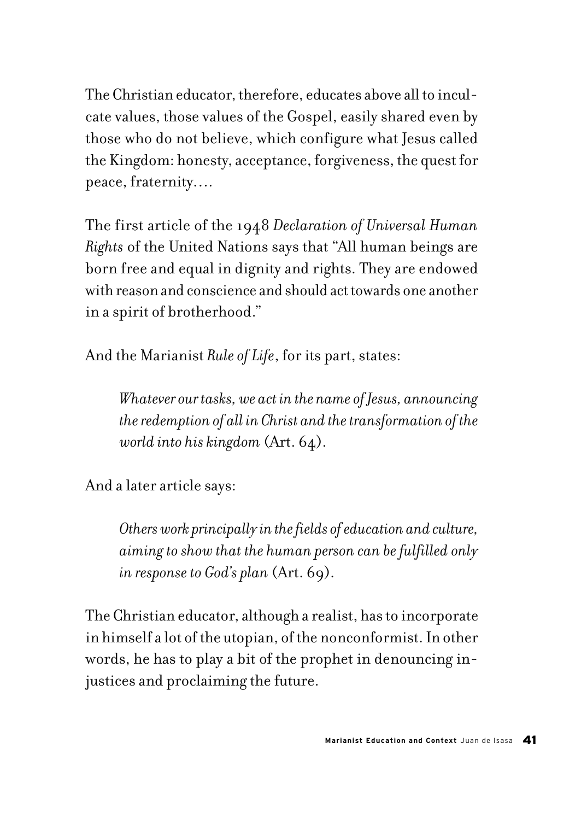The Christian educator, therefore, educates above all to inculcate values, those values of the Gospel, easily shared even by those who do not believe, which configure what Jesus called the Kingdom: honesty, acceptance, forgiveness, the quest for peace, fraternity….

The first article of the 1948 *Declaration of Universal Human Rights* of the United Nations says that "All human beings are born free and equal in dignity and rights. They are endowed with reason and conscience and should act towards one another in a spirit of brotherhood."

And the Marianist *Rule of Life*, for its part, states:

*Whatever our tasks, we act in the name of Jesus, announcing the redemption of all in Christ and the transformation of the world into his kingdom* (Art. 64).

And a later article says:

*Others work principally in the fields of education and culture, aiming to show that the human person can be fulfilled only in response to God's plan* (Art. 69).

The Christian educator, although a realist, has to incorporate in himself a lot of the utopian, of the nonconformist. In other words, he has to play a bit of the prophet in denouncing injustices and proclaiming the future.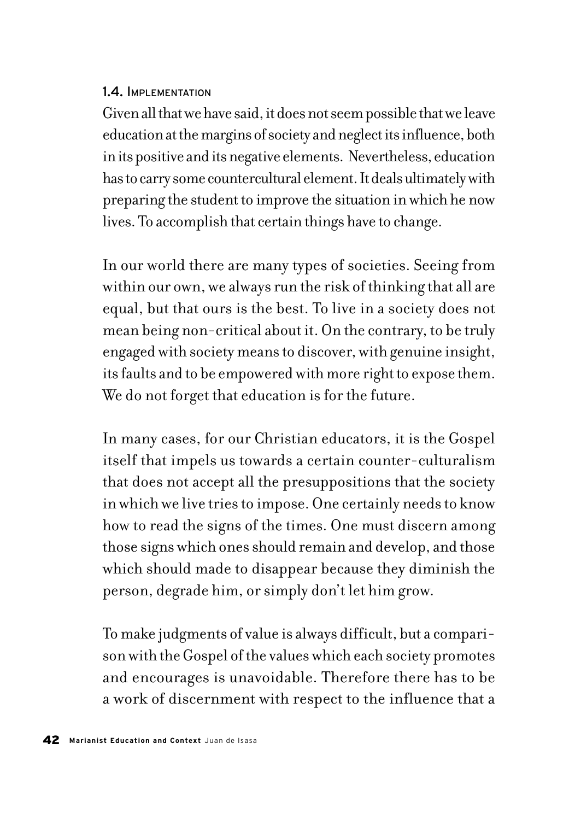#### 1.4. IMPLEMENTATION

Given all that we have said, it does not seem possible that we leave education at the margins of society and neglect its influence, both in its positive and its negative elements. Nevertheless, education has to carry some countercultural element. It deals ultimately with preparing the student to improve the situation in which he now lives. To accomplish that certain things have to change.

In our world there are many types of societies. Seeing from within our own, we always run the risk of thinking that all are equal, but that ours is the best. To live in a society does not mean being non-critical about it. On the contrary, to be truly engaged with society means to discover, with genuine insight, its faults and to be empowered with more right to expose them. We do not forget that education is for the future.

In many cases, for our Christian educators, it is the Gospel itself that impels us towards a certain counter-culturalism that does not accept all the presuppositions that the society in which we live tries to impose. One certainly needs to know how to read the signs of the times. One must discern among those signs which ones should remain and develop, and those which should made to disappear because they diminish the person, degrade him, or simply don't let him grow.

To make judgments of value is always difficult, but a comparison with the Gospel of the values which each society promotes and encourages is unavoidable. Therefore there has to be a work of discernment with respect to the influence that a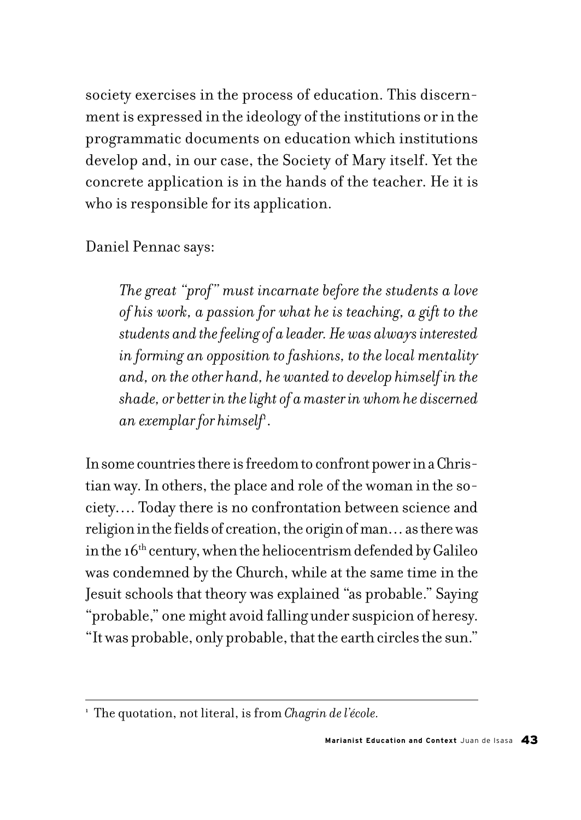society exercises in the process of education. This discernment is expressed in the ideology of the institutions or in the programmatic documents on education which institutions develop and, in our case, the Society of Mary itself. Yet the concrete application is in the hands of the teacher. He it is who is responsible for its application.

Daniel Pennac says:

*The great "prof" must incarnate before the students a love of his work, a passion for what he is teaching, a gift to the students and the feeling of a leader. He was always interested in forming an opposition to fashions, to the local mentality and, on the other hand, he wanted to develop himself in the shade, or better in the light of a master in whom he discerned*  an exemplar for himself<sup>1</sup>.

In some countries there is freedom to confront power in a Christian way. In others, the place and role of the woman in the society…. Today there is no confrontation between science and religion in the fields of creation, the origin of man… as there was in the  $16<sup>th</sup>$  century, when the heliocentrism defended by Galileo was condemned by the Church, while at the same time in the Jesuit schools that theory was explained "as probable." Saying "probable," one might avoid falling under suspicion of heresy. "It was probable, only probable, that the earth circles the sun."

<sup>1</sup> The quotation, not literal, is from *Chagrin de l'école.*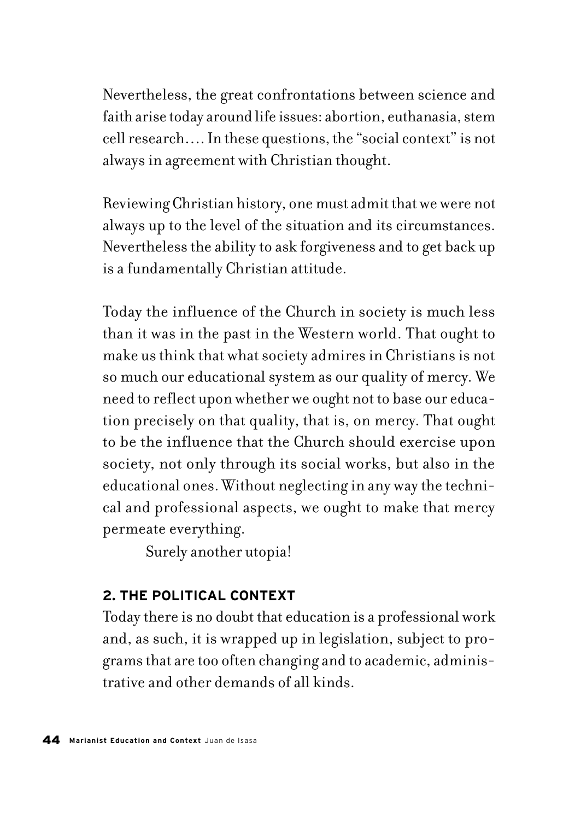Nevertheless, the great confrontations between science and faith arise today around life issues: abortion, euthanasia, stem cell research…. In these questions, the "social context" is not always in agreement with Christian thought.

Reviewing Christian history, one must admit that we were not always up to the level of the situation and its circumstances. Nevertheless the ability to ask forgiveness and to get back up is a fundamentally Christian attitude.

Today the influence of the Church in society is much less than it was in the past in the Western world. That ought to make us think that what society admires in Christians is not so much our educational system as our quality of mercy. We need to reflect upon whether we ought not to base our education precisely on that quality, that is, on mercy. That ought to be the influence that the Church should exercise upon society, not only through its social works, but also in the educational ones. Without neglecting in any way the technical and professional aspects, we ought to make that mercy permeate everything.

Surely another utopia!

# **2. THE POLITICAL CONTEXT**

Today there is no doubt that education is a professional work and, as such, it is wrapped up in legislation, subject to programs that are too often changing and to academic, administrative and other demands of all kinds.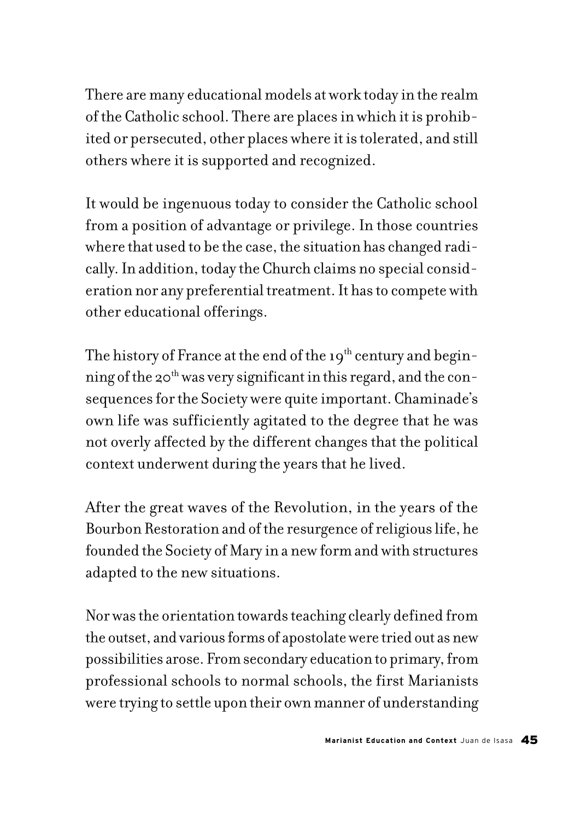There are many educational models at work today in the realm of the Catholic school. There are places in which it is prohibited or persecuted, other places where it is tolerated, and still others where it is supported and recognized.

It would be ingenuous today to consider the Catholic school from a position of advantage or privilege. In those countries where that used to be the case, the situation has changed radically. In addition, today the Church claims no special consideration nor any preferential treatment. It has to compete with other educational offerings.

The history of France at the end of the  $19<sup>th</sup>$  century and beginning of the 20<sup>th</sup> was very significant in this regard, and the consequences for the Society were quite important. Chaminade's own life was sufficiently agitated to the degree that he was not overly affected by the different changes that the political context underwent during the years that he lived.

After the great waves of the Revolution, in the years of the Bourbon Restoration and of the resurgence of religious life, he founded the Society of Mary in a new form and with structures adapted to the new situations.

Nor was the orientation towards teaching clearly defined from the outset, and various forms of apostolate were tried out as new possibilities arose. From secondary education to primary, from professional schools to normal schools, the first Marianists were trying to settle upon their own manner of understanding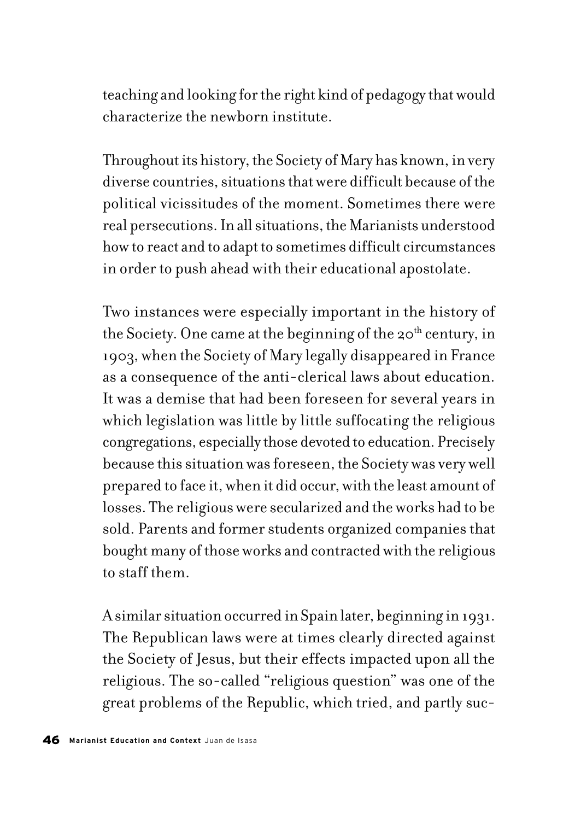teaching and looking for the right kind of pedagogy that would characterize the newborn institute.

Throughout its history, the Society of Mary has known, in very diverse countries, situations that were difficult because of the political vicissitudes of the moment. Sometimes there were real persecutions. In all situations, the Marianists understood how to react and to adapt to sometimes difficult circumstances in order to push ahead with their educational apostolate.

Two instances were especially important in the history of the Society. One came at the beginning of the  $20<sup>th</sup>$  century, in 1903, when the Society of Mary legally disappeared in France as a consequence of the anti-clerical laws about education. It was a demise that had been foreseen for several years in which legislation was little by little suffocating the religious congregations, especially those devoted to education. Precisely because this situation was foreseen, the Society was very well prepared to face it, when it did occur, with the least amount of losses. The religious were secularized and the works had to be sold. Parents and former students organized companies that bought many of those works and contracted with the religious to staff them.

A similar situation occurred in Spain later, beginning in 1931. The Republican laws were at times clearly directed against the Society of Jesus, but their effects impacted upon all the religious. The so-called "religious question" was one of the great problems of the Republic, which tried, and partly suc-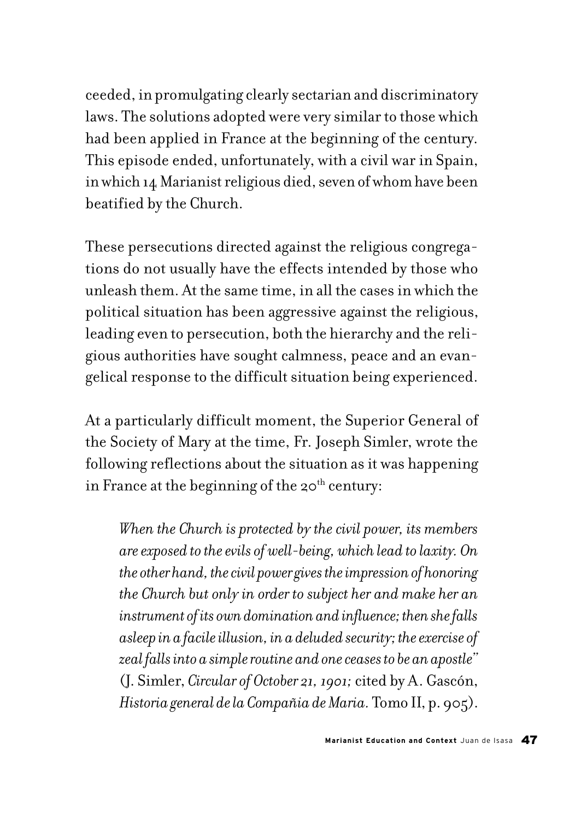ceeded, in promulgating clearly sectarian and discriminatory laws. The solutions adopted were very similar to those which had been applied in France at the beginning of the century. This episode ended, unfortunately, with a civil war in Spain, in which 14 Marianist religious died, seven of whom have been beatified by the Church.

These persecutions directed against the religious congregations do not usually have the effects intended by those who unleash them. At the same time, in all the cases in which the political situation has been aggressive against the religious, leading even to persecution, both the hierarchy and the religious authorities have sought calmness, peace and an evangelical response to the difficult situation being experienced.

At a particularly difficult moment, the Superior General of the Society of Mary at the time, Fr. Joseph Simler, wrote the following reflections about the situation as it was happening in France at the beginning of the  $20<sup>th</sup>$  century:

*When the Church is protected by the civil power, its members are exposed to the evils of well-being, which lead to laxity. On the other hand, the civil power gives the impression of honoring the Church but only in order to subject her and make her an instrument of its own domination and influence; then she falls asleep in a facile illusion, in a deluded security; the exercise of zeal falls into a simple routine and one ceases to be an apostle"* (J. Simler, *Circular of October 21, 1901;* cited by A. Gascón, *Historia general de la Compañia de Maria.* Tomo II, p. 905).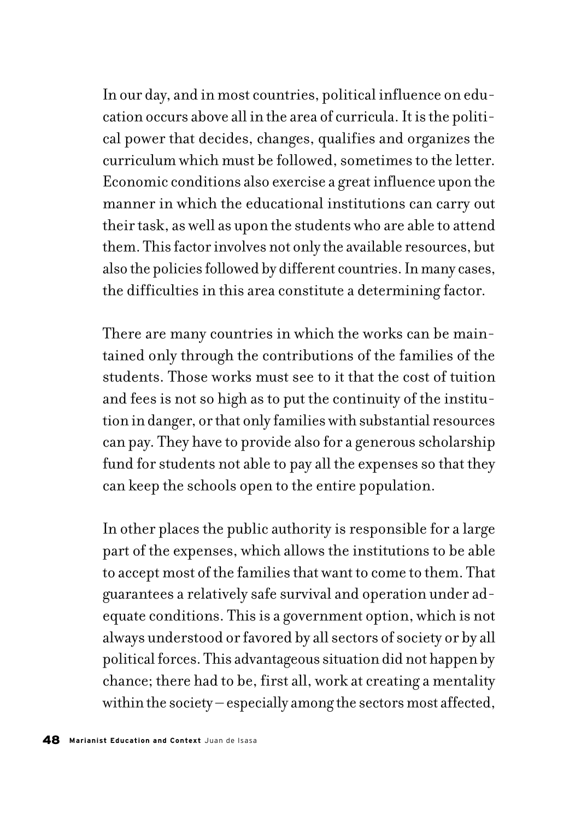In our day, and in most countries, political influence on education occurs above all in the area of curricula. It is the political power that decides, changes, qualifies and organizes the curriculum which must be followed, sometimes to the letter. Economic conditions also exercise a great influence upon the manner in which the educational institutions can carry out their task, as well as upon the students who are able to attend them. This factor involves not only the available resources, but also the policies followed by different countries. In many cases, the difficulties in this area constitute a determining factor.

There are many countries in which the works can be maintained only through the contributions of the families of the students. Those works must see to it that the cost of tuition and fees is not so high as to put the continuity of the institution in danger, or that only families with substantial resources can pay. They have to provide also for a generous scholarship fund for students not able to pay all the expenses so that they can keep the schools open to the entire population.

In other places the public authority is responsible for a large part of the expenses, which allows the institutions to be able to accept most of the families that want to come to them. That guarantees a relatively safe survival and operation under adequate conditions. This is a government option, which is not always understood or favored by all sectors of society or by all political forces. This advantageous situation did not happen by chance; there had to be, first all, work at creating a mentality within the society – especially among the sectors most affected,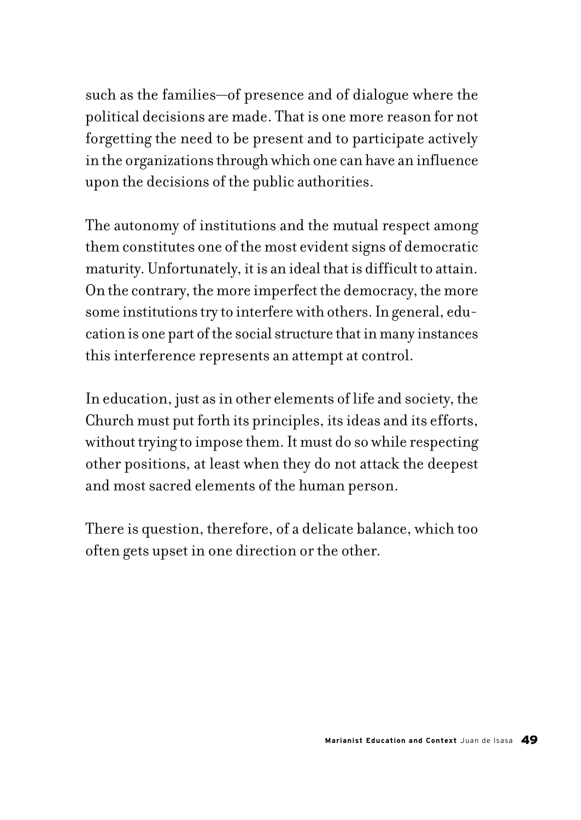such as the families—of presence and of dialogue where the political decisions are made. That is one more reason for not forgetting the need to be present and to participate actively in the organizations through which one can have an influence upon the decisions of the public authorities.

The autonomy of institutions and the mutual respect among them constitutes one of the most evident signs of democratic maturity. Unfortunately, it is an ideal that is difficult to attain. On the contrary, the more imperfect the democracy, the more some institutions try to interfere with others. In general, education is one part of the social structure that in many instances this interference represents an attempt at control.

In education, just as in other elements of life and society, the Church must put forth its principles, its ideas and its efforts, without trying to impose them. It must do so while respecting other positions, at least when they do not attack the deepest and most sacred elements of the human person.

There is question, therefore, of a delicate balance, which too often gets upset in one direction or the other.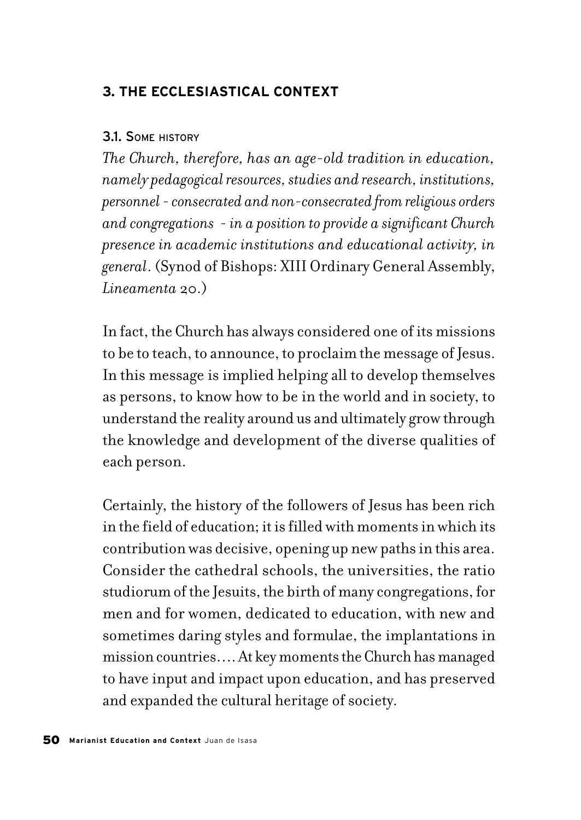## **3. THE ECCLESIASTICAL CONTEXT**

#### 3.1. SOME HISTORY

*The Church, therefore, has an age-old tradition in education, namely pedagogical resources, studies and research, institutions, personnel - consecrated and non-consecrated from religious orders and congregations - in a position to provide a significant Church presence in academic institutions and educational activity, in general*. (Synod of Bishops: XIII Ordinary General Assembly, *Lineamenta* 20.)

In fact, the Church has always considered one of its missions to be to teach, to announce, to proclaim the message of Jesus. In this message is implied helping all to develop themselves as persons, to know how to be in the world and in society, to understand the reality around us and ultimately grow through the knowledge and development of the diverse qualities of each person.

Certainly, the history of the followers of Jesus has been rich in the field of education; it is filled with moments in which its contribution was decisive, opening up new paths in this area. Consider the cathedral schools, the universities, the ratio studiorum of the Jesuits, the birth of many congregations, for men and for women, dedicated to education, with new and sometimes daring styles and formulae, the implantations in mission countries…. At key moments the Church has managed to have input and impact upon education, and has preserved and expanded the cultural heritage of society.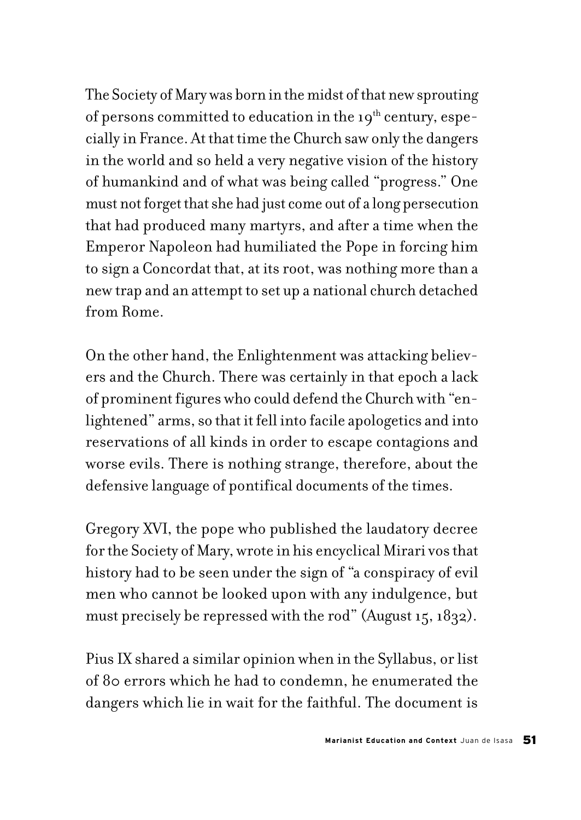The Society of Mary was born in the midst of that new sprouting of persons committed to education in the  $19<sup>th</sup>$  century, especially in France. At that time the Church saw only the dangers in the world and so held a very negative vision of the history of humankind and of what was being called "progress." One must not forget that she had just come out of a long persecution that had produced many martyrs, and after a time when the Emperor Napoleon had humiliated the Pope in forcing him to sign a Concordat that, at its root, was nothing more than a new trap and an attempt to set up a national church detached from Rome.

On the other hand, the Enlightenment was attacking believers and the Church. There was certainly in that epoch a lack of prominent figures who could defend the Church with "enlightened" arms, so that it fell into facile apologetics and into reservations of all kinds in order to escape contagions and worse evils. There is nothing strange, therefore, about the defensive language of pontifical documents of the times.

Gregory XVI, the pope who published the laudatory decree for the Society of Mary, wrote in his encyclical Mirari vos that history had to be seen under the sign of "a conspiracy of evil men who cannot be looked upon with any indulgence, but must precisely be repressed with the rod" (August 15, 1832).

Pius IX shared a similar opinion when in the Syllabus, or list of 80 errors which he had to condemn, he enumerated the dangers which lie in wait for the faithful. The document is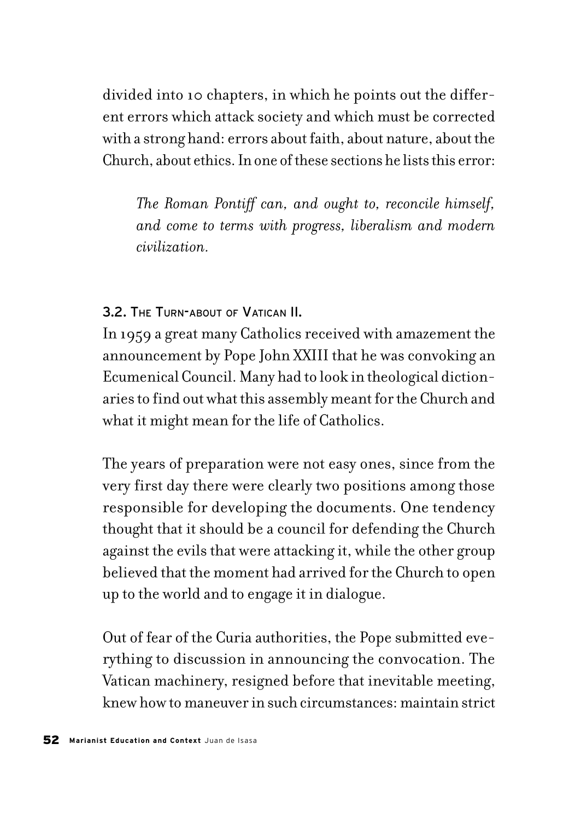divided into 10 chapters, in which he points out the different errors which attack society and which must be corrected with a strong hand: errors about faith, about nature, about the Church, about ethics. In one of these sections he lists this error:

*The Roman Pontiff can, and ought to, reconcile himself, and come to terms with progress, liberalism and modern civilization.*

3.2. THE TURN-ABOUT OF VATICAN II.

In 1959 a great many Catholics received with amazement the announcement by Pope John XXIII that he was convoking an Ecumenical Council. Many had to look in theological dictionaries to find out what this assembly meant for the Church and what it might mean for the life of Catholics.

The years of preparation were not easy ones, since from the very first day there were clearly two positions among those responsible for developing the documents. One tendency thought that it should be a council for defending the Church against the evils that were attacking it, while the other group believed that the moment had arrived for the Church to open up to the world and to engage it in dialogue.

Out of fear of the Curia authorities, the Pope submitted everything to discussion in announcing the convocation. The Vatican machinery, resigned before that inevitable meeting, knew how to maneuver in such circumstances: maintain strict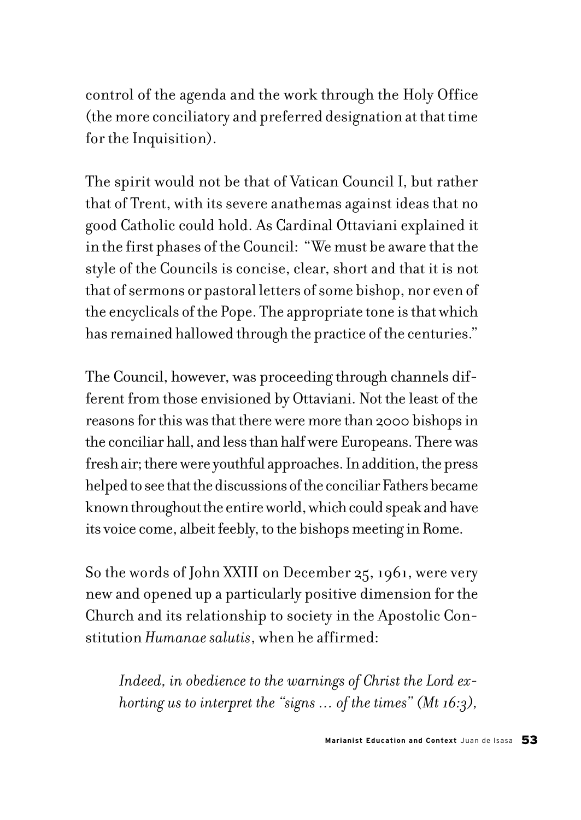control of the agenda and the work through the Holy Office (the more conciliatory and preferred designation at that time for the Inquisition).

The spirit would not be that of Vatican Council I, but rather that of Trent, with its severe anathemas against ideas that no good Catholic could hold. As Cardinal Ottaviani explained it in the first phases of the Council: "We must be aware that the style of the Councils is concise, clear, short and that it is not that of sermons or pastoral letters of some bishop, nor even of the encyclicals of the Pope. The appropriate tone is that which has remained hallowed through the practice of the centuries."

The Council, however, was proceeding through channels different from those envisioned by Ottaviani. Not the least of the reasons for this was that there were more than 2000 bishops in the conciliar hall, and less than half were Europeans. There was fresh air; there were youthful approaches. In addition, the press helped to see that the discussions of the conciliar Fathers became known throughout the entire world, which could speak and have its voice come, albeit feebly, to the bishops meeting in Rome.

So the words of John XXIII on December 25, 1961, were very new and opened up a particularly positive dimension for the Church and its relationship to society in the Apostolic Constitution *Humanae salutis*, when he affirmed:

*Indeed, in obedience to the warnings of Christ the Lord exhorting us to interpret the "signs … of the times" (Mt 16:3),*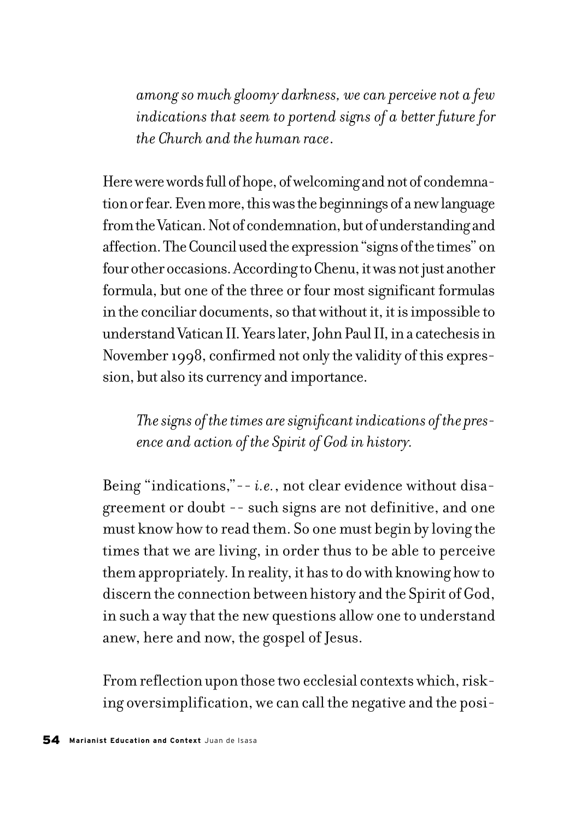*among so much gloomy darkness, we can perceive not a few indications that seem to portend signs of a better future for the Church and the human race*.

Here were words full of hope, of welcoming and not of condemnation or fear. Even more, this was the beginnings of a new language from the Vatican. Not of condemnation, but of understanding and affection. The Council used the expression "signs of the times" on four other occasions. According to Chenu, it was not just another formula, but one of the three or four most significant formulas in the conciliar documents, so that without it, it is impossible to understand Vatican II. Years later, John Paul II, in a catechesis in November 1998, confirmed not only the validity of this expression, but also its currency and importance.

*The signs of the times are significant indications of the presence and action of the Spirit of God in history.*

Being "indications,"-- *i.e.*, not clear evidence without disagreement or doubt -- such signs are not definitive, and one must know how to read them. So one must begin by loving the times that we are living, in order thus to be able to perceive them appropriately. In reality, it has to do with knowing how to discern the connection between history and the Spirit of God, in such a way that the new questions allow one to understand anew, here and now, the gospel of Jesus.

From reflection upon those two ecclesial contexts which, risking oversimplification, we can call the negative and the posi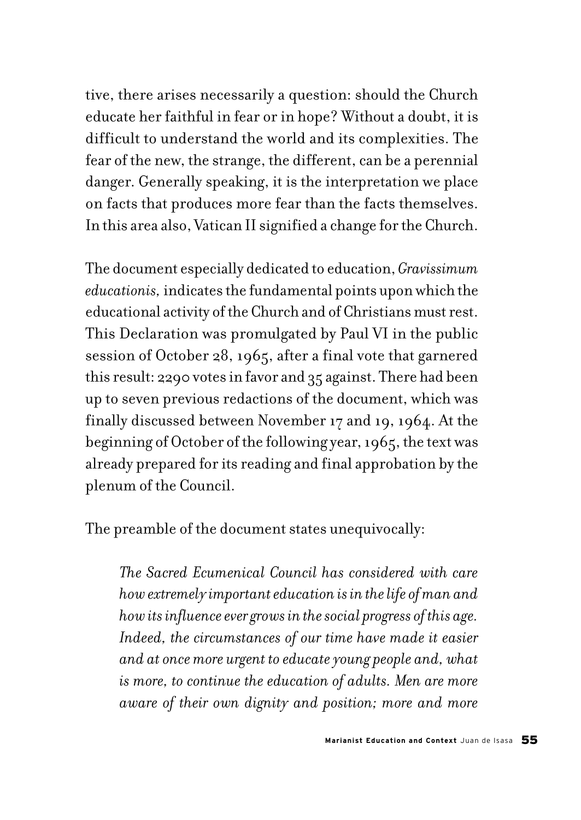tive, there arises necessarily a question: should the Church educate her faithful in fear or in hope? Without a doubt, it is difficult to understand the world and its complexities. The fear of the new, the strange, the different, can be a perennial danger. Generally speaking, it is the interpretation we place on facts that produces more fear than the facts themselves. In this area also, Vatican II signified a change for the Church.

The document especially dedicated to education, *Gravissimum educationis,* indicates the fundamental points upon which the educational activity of the Church and of Christians must rest. This Declaration was promulgated by Paul VI in the public session of October 28, 1965, after a final vote that garnered this result: 2290 votes in favor and 35 against. There had been up to seven previous redactions of the document, which was finally discussed between November 17 and 19, 1964. At the beginning of October of the following year, 1965, the text was already prepared for its reading and final approbation by the plenum of the Council.

The preamble of the document states unequivocally:

*The Sacred Ecumenical Council has considered with care how extremely important education is in the life of man and how its influence ever grows in the social progress of this age. Indeed, the circumstances of our time have made it easier and at once more urgent to educate young people and, what is more, to continue the education of adults. Men are more aware of their own dignity and position; more and more*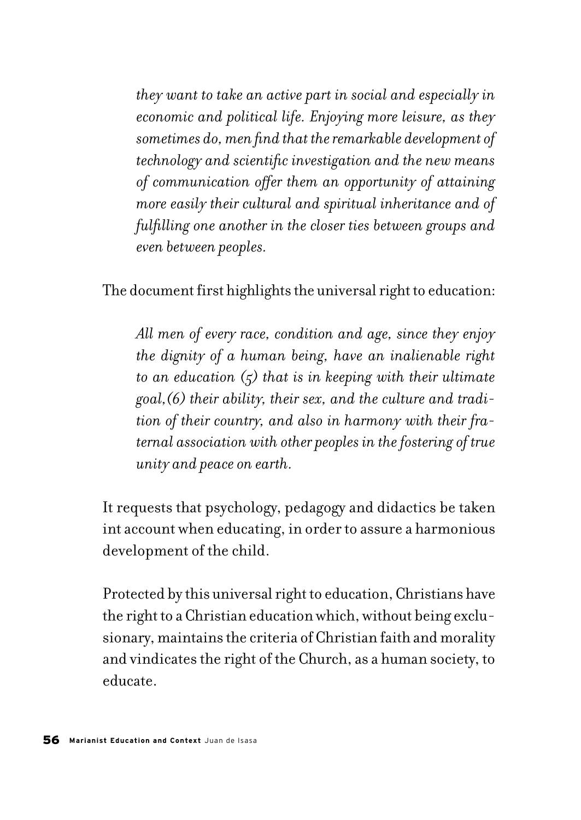*they want to take an active part in social and especially in economic and political life. Enjoying more leisure, as they sometimes do, men find that the remarkable development of technology and scientific investigation and the new means of communication offer them an opportunity of attaining more easily their cultural and spiritual inheritance and of fulfilling one another in the closer ties between groups and even between peoples.*

The document first highlights the universal right to education:

*All men of every race, condition and age, since they enjoy the dignity of a human being, have an inalienable right to an education (5) that is in keeping with their ultimate goal,(6) their ability, their sex, and the culture and tradition of their country, and also in harmony with their fraternal association with other peoples in the fostering of true unity and peace on earth.*

It requests that psychology, pedagogy and didactics be taken int account when educating, in order to assure a harmonious development of the child.

Protected by this universal right to education, Christians have the right to a Christian education which, without being exclusionary, maintains the criteria of Christian faith and morality and vindicates the right of the Church, as a human society, to educate.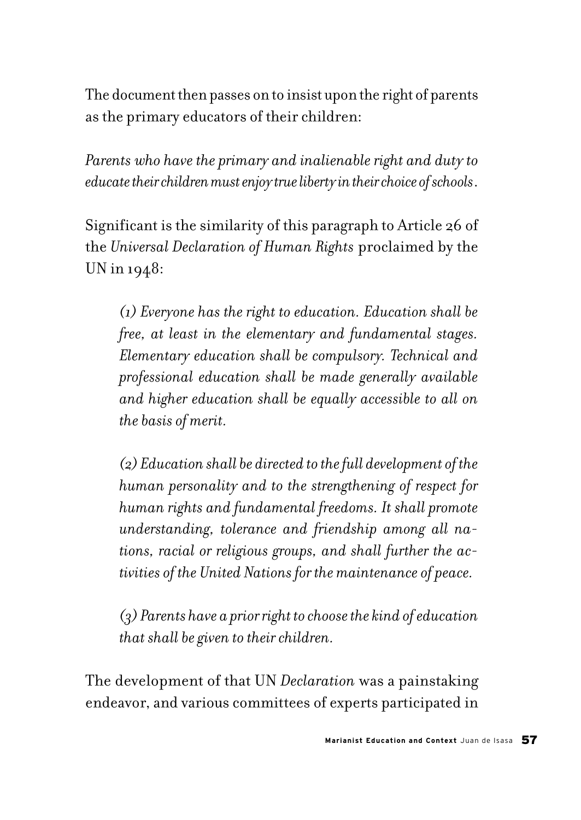The document then passes on to insist upon the right of parents as the primary educators of their children:

*Parents who have the primary and inalienable right and duty to educate their children must enjoy true liberty in their choice of schools*.

Significant is the similarity of this paragraph to Article 26 of the *Universal Declaration of Human Rights* proclaimed by the UN in 1948:

*(1) Everyone has the right to education. Education shall be free, at least in the elementary and fundamental stages. Elementary education shall be compulsory. Technical and professional education shall be made generally available and higher education shall be equally accessible to all on the basis of merit.*

*(2) Education shall be directed to the full development of the human personality and to the strengthening of respect for human rights and fundamental freedoms. It shall promote understanding, tolerance and friendship among all nations, racial or religious groups, and shall further the activities of the United Nations for the maintenance of peace.*

*(3) Parents have a prior right to choose the kind of education that shall be given to their children.*

The development of that UN *Declaration* was a painstaking endeavor, and various committees of experts participated in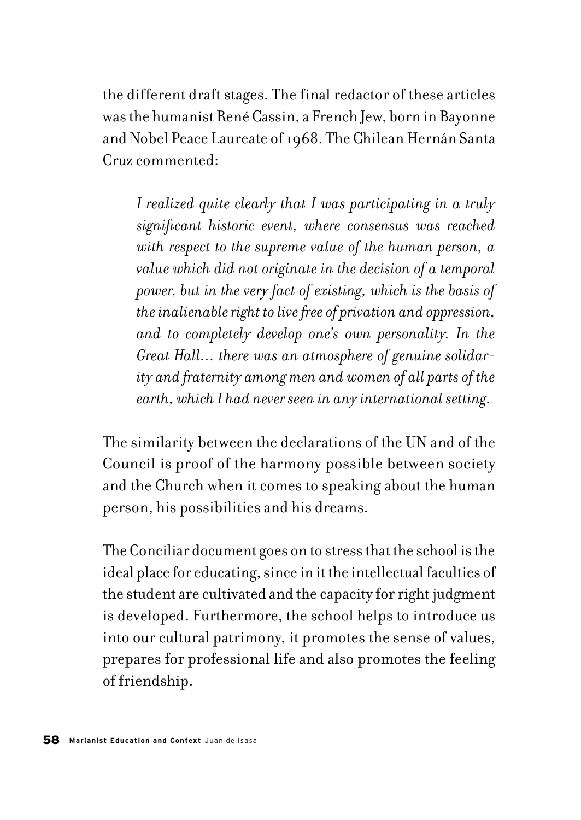the different draft stages. The final redactor of these articles was the humanist René Cassin, a French Jew, born in Bayonne and Nobel Peace Laureate of 1968. The Chilean Hernán Santa Cruz commented:

*I realized quite clearly that I was participating in a truly significant historic event, where consensus was reached with respect to the supreme value of the human person, a value which did not originate in the decision of a temporal power, but in the very fact of existing, which is the basis of the inalienable right to live free of privation and oppression, and to completely develop one's own personality. In the Great Hall… there was an atmosphere of genuine solidarity and fraternity among men and women of all parts of the earth, which I had never seen in any international setting.*

The similarity between the declarations of the UN and of the Council is proof of the harmony possible between society and the Church when it comes to speaking about the human person, his possibilities and his dreams.

The Conciliar document goes on to stress that the school is the ideal place for educating, since in it the intellectual faculties of the student are cultivated and the capacity for right judgment is developed. Furthermore, the school helps to introduce us into our cultural patrimony, it promotes the sense of values, prepares for professional life and also promotes the feeling of friendship.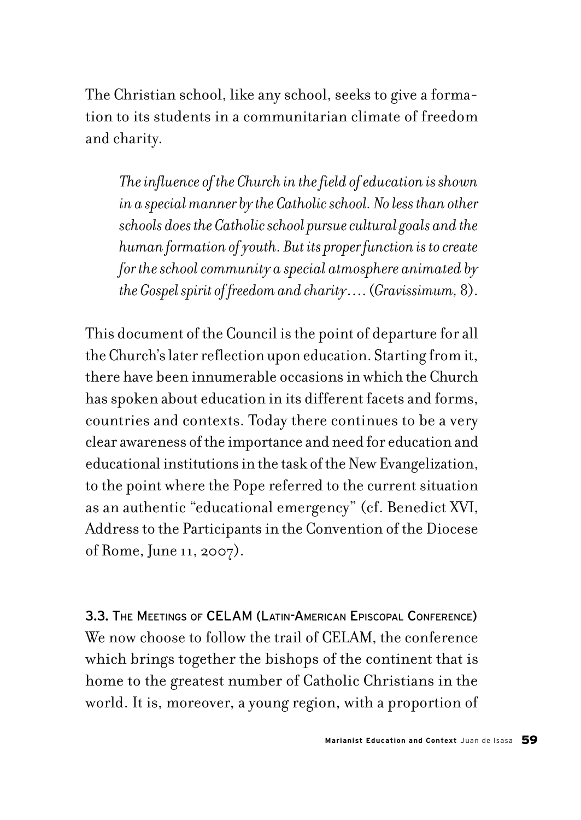The Christian school, like any school, seeks to give a formation to its students in a communitarian climate of freedom and charity.

*The influence of the Church in the field of education is shown in a special manner by the Catholic school. No less than other schools does the Catholic school pursue cultural goals and the human formation of youth. But its proper function is to create for the school community a special atmosphere animated by the Gospel spirit of freedom and charity*…. (*Gravissimum,* 8).

This document of the Council is the point of departure for all the Church's later reflection upon education. Starting from it, there have been innumerable occasions in which the Church has spoken about education in its different facets and forms, countries and contexts. Today there continues to be a very clear awareness of the importance and need for education and educational institutions in the task of the New Evangelization, to the point where the Pope referred to the current situation as an authentic "educational emergency" (cf. Benedict XVI, Address to the Participants in the Convention of the Diocese of Rome, June 11, 2007).

3.3. THE MEETINGS OF CELAM (LATIN-AMERICAN EPISCOPAL CONFERENCE) We now choose to follow the trail of CELAM, the conference which brings together the bishops of the continent that is home to the greatest number of Catholic Christians in the world. It is, moreover, a young region, with a proportion of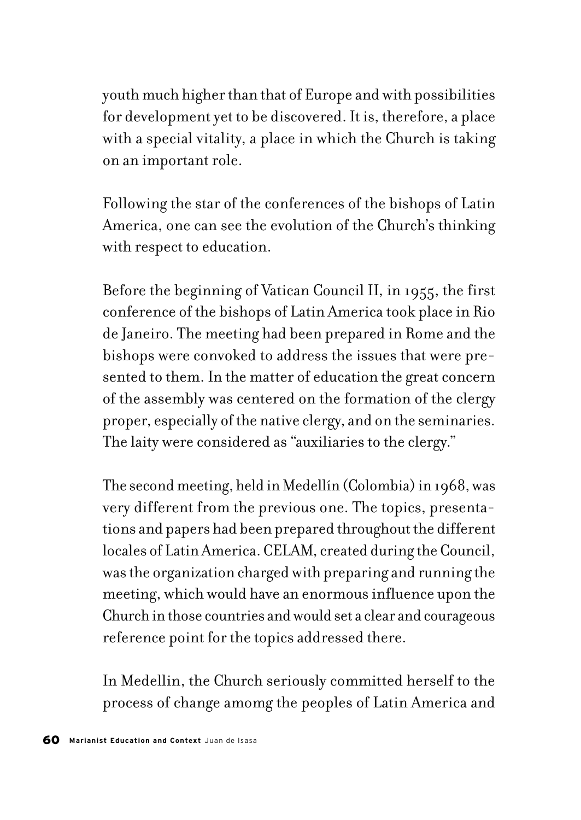youth much higher than that of Europe and with possibilities for development yet to be discovered. It is, therefore, a place with a special vitality, a place in which the Church is taking on an important role.

Following the star of the conferences of the bishops of Latin America, one can see the evolution of the Church's thinking with respect to education.

Before the beginning of Vatican Council II, in 1955, the first conference of the bishops of Latin America took place in Rio de Janeiro. The meeting had been prepared in Rome and the bishops were convoked to address the issues that were presented to them. In the matter of education the great concern of the assembly was centered on the formation of the clergy proper, especially of the native clergy, and on the seminaries. The laity were considered as "auxiliaries to the clergy."

The second meeting, held in Medellín (Colombia) in 1968, was very different from the previous one. The topics, presentations and papers had been prepared throughout the different locales of Latin America. CELAM, created during the Council, was the organization charged with preparing and running the meeting, which would have an enormous influence upon the Church in those countries and would set a clear and courageous reference point for the topics addressed there.

In Medellin, the Church seriously committed herself to the process of change amomg the peoples of Latin America and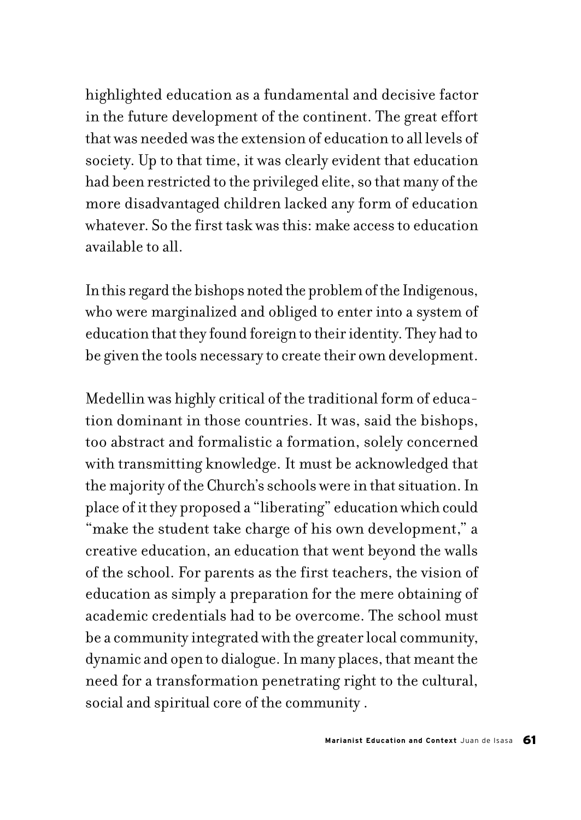highlighted education as a fundamental and decisive factor in the future development of the continent. The great effort that was needed was the extension of education to all levels of society. Up to that time, it was clearly evident that education had been restricted to the privileged elite, so that many of the more disadvantaged children lacked any form of education whatever. So the first task was this: make access to education available to all.

In this regard the bishops noted the problem of the Indigenous, who were marginalized and obliged to enter into a system of education that they found foreign to their identity. They had to be given the tools necessary to create their own development.

Medellin was highly critical of the traditional form of education dominant in those countries. It was, said the bishops, too abstract and formalistic a formation, solely concerned with transmitting knowledge. It must be acknowledged that the majority of the Church's schools were in that situation. In place of it they proposed a "liberating" education which could "make the student take charge of his own development," a creative education, an education that went beyond the walls of the school. For parents as the first teachers, the vision of education as simply a preparation for the mere obtaining of academic credentials had to be overcome. The school must be a community integrated with the greater local community, dynamic and open to dialogue. In many places, that meant the need for a transformation penetrating right to the cultural, social and spiritual core of the community .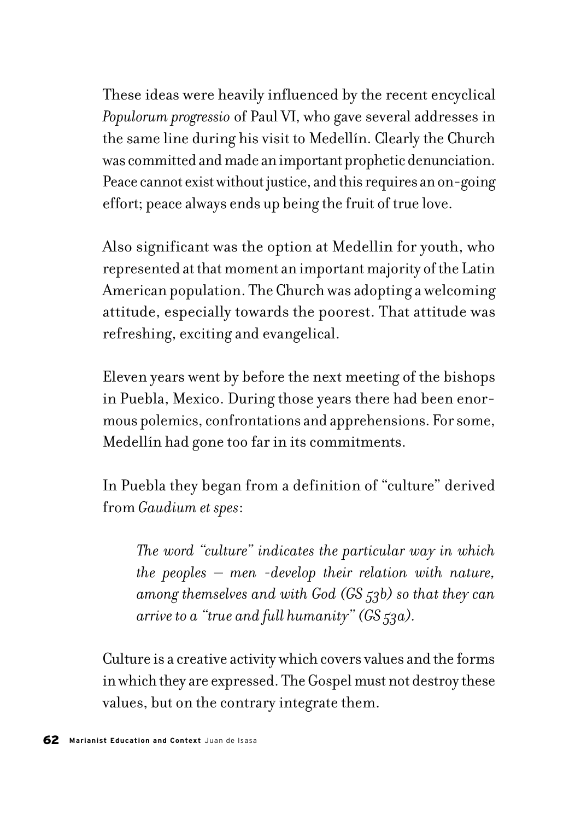These ideas were heavily influenced by the recent encyclical *Populorum progressio* of Paul VI, who gave several addresses in the same line during his visit to Medellín. Clearly the Church was committed and made an important prophetic denunciation. Peace cannot exist without justice, and this requires an on-going effort; peace always ends up being the fruit of true love.

Also significant was the option at Medellin for youth, who represented at that moment an important majority of the Latin American population. The Church was adopting a welcoming attitude, especially towards the poorest. That attitude was refreshing, exciting and evangelical.

Eleven years went by before the next meeting of the bishops in Puebla, Mexico. During those years there had been enormous polemics, confrontations and apprehensions. For some, Medellín had gone too far in its commitments.

In Puebla they began from a definition of "culture" derived from *Gaudium et spes*:

*The word "culture" indicates the particular way in which the peoples – men -develop their relation with nature, among themselves and with God (GS 53b) so that they can arrive to a "true and full humanity" (GS 53a).*

Culture is a creative activity which covers values and the forms in which they are expressed. The Gospel must not destroy these values, but on the contrary integrate them.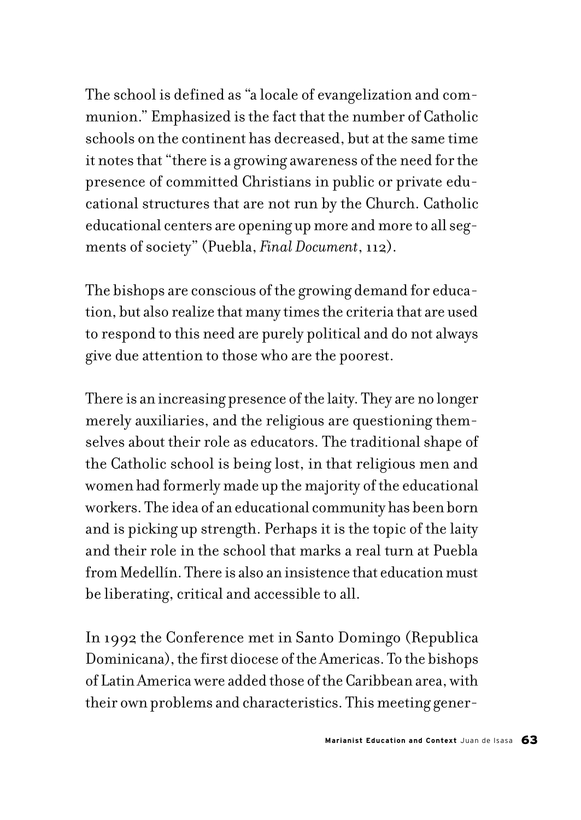The school is defined as "a locale of evangelization and communion." Emphasized is the fact that the number of Catholic schools on the continent has decreased, but at the same time it notes that "there is a growing awareness of the need for the presence of committed Christians in public or private educational structures that are not run by the Church. Catholic educational centers are opening up more and more to all segments of society" (Puebla, *Final Document*, 112).

The bishops are conscious of the growing demand for education, but also realize that many times the criteria that are used to respond to this need are purely political and do not always give due attention to those who are the poorest.

There is an increasing presence of the laity. They are no longer merely auxiliaries, and the religious are questioning themselves about their role as educators. The traditional shape of the Catholic school is being lost, in that religious men and women had formerly made up the majority of the educational workers. The idea of an educational community has been born and is picking up strength. Perhaps it is the topic of the laity and their role in the school that marks a real turn at Puebla from Medellín. There is also an insistence that education must be liberating, critical and accessible to all.

In 1992 the Conference met in Santo Domingo (Republica Dominicana), the first diocese of the Americas. To the bishops of Latin America were added those of the Caribbean area, with their own problems and characteristics. This meeting gener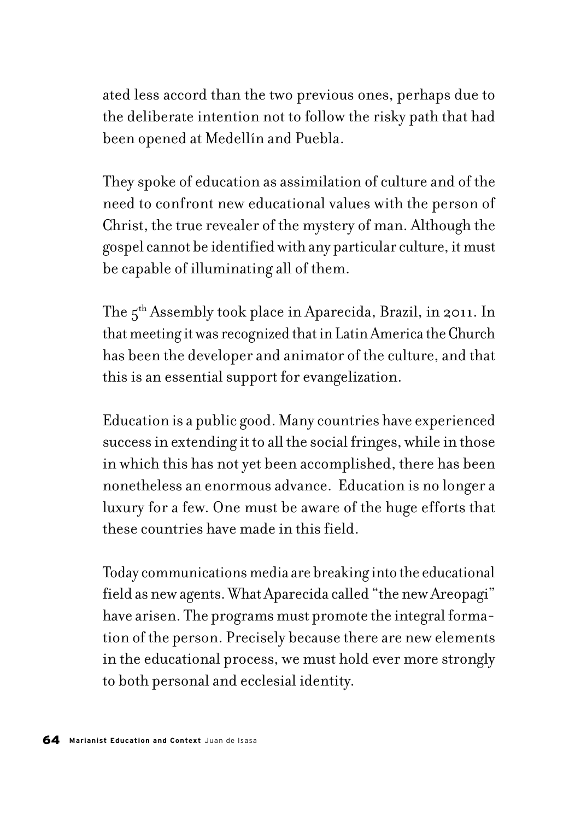ated less accord than the two previous ones, perhaps due to the deliberate intention not to follow the risky path that had been opened at Medellín and Puebla.

They spoke of education as assimilation of culture and of the need to confront new educational values with the person of Christ, the true revealer of the mystery of man. Although the gospel cannot be identified with any particular culture, it must be capable of illuminating all of them.

The 5<sup>th</sup> Assembly took place in Aparecida, Brazil, in 2011. In that meeting it was recognized that in Latin America the Church has been the developer and animator of the culture, and that this is an essential support for evangelization.

Education is a public good. Many countries have experienced success in extending it to all the social fringes, while in those in which this has not yet been accomplished, there has been nonetheless an enormous advance. Education is no longer a luxury for a few. One must be aware of the huge efforts that these countries have made in this field.

Today communications media are breaking into the educational field as new agents. What Aparecida called "the new Areopagi" have arisen. The programs must promote the integral formation of the person. Precisely because there are new elements in the educational process, we must hold ever more strongly to both personal and ecclesial identity.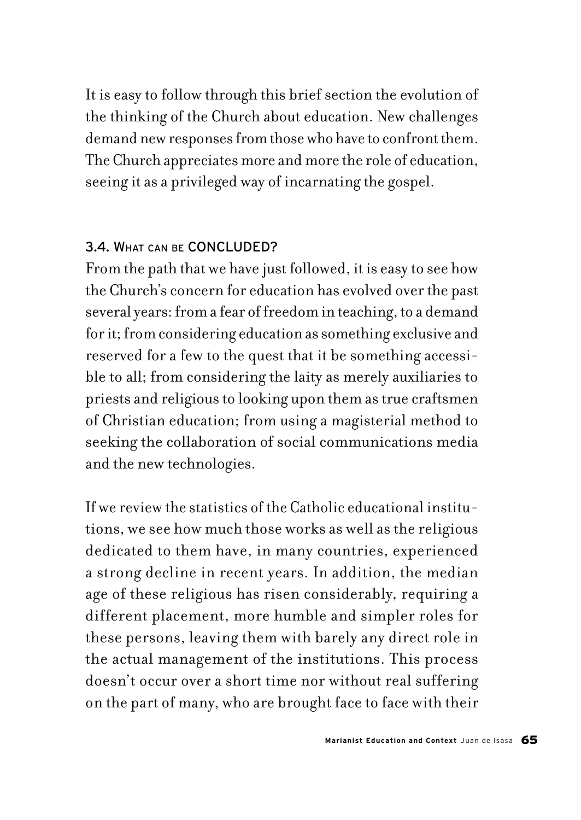It is easy to follow through this brief section the evolution of the thinking of the Church about education. New challenges demand new responses from those who have to confront them. The Church appreciates more and more the role of education, seeing it as a privileged way of incarnating the gospel.

## 3.4. WHAT CAN BE CONCLUDED?

From the path that we have just followed, it is easy to see how the Church's concern for education has evolved over the past several years: from a fear of freedom in teaching, to a demand for it; from considering education as something exclusive and reserved for a few to the quest that it be something accessible to all; from considering the laity as merely auxiliaries to priests and religious to looking upon them as true craftsmen of Christian education; from using a magisterial method to seeking the collaboration of social communications media and the new technologies.

If we review the statistics of the Catholic educational institutions, we see how much those works as well as the religious dedicated to them have, in many countries, experienced a strong decline in recent years. In addition, the median age of these religious has risen considerably, requiring a different placement, more humble and simpler roles for these persons, leaving them with barely any direct role in the actual management of the institutions. This process doesn't occur over a short time nor without real suffering on the part of many, who are brought face to face with their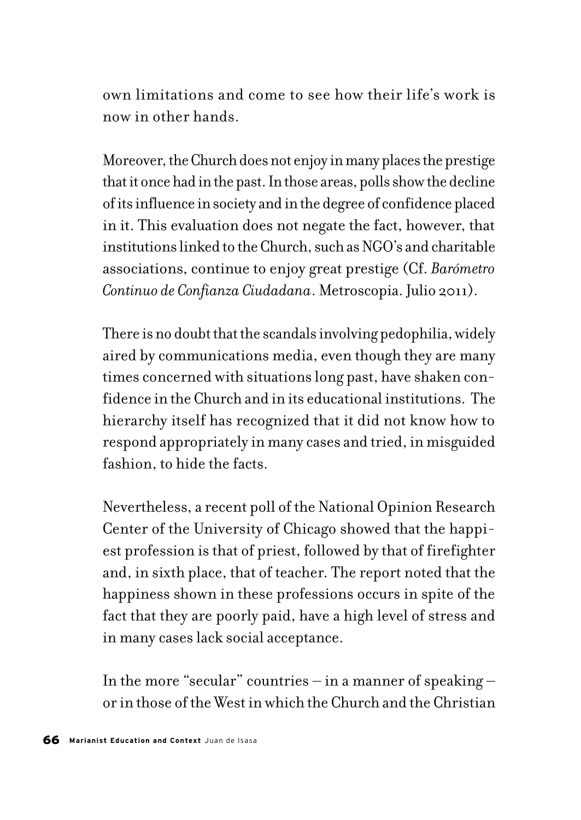own limitations and come to see how their life's work is now in other hands.

Moreover, the Church does not enjoy in many places the prestige that it once had in the past. In those areas, polls show the decline of its influence in society and in the degree of confidence placed in it. This evaluation does not negate the fact, however, that institutions linked to the Church, such as NGO's and charitable associations, continue to enjoy great prestige (Cf. *Barómetro Continuo de Confianza Ciudadana*. Metroscopia. Julio 2011).

There is no doubt that the scandals involving pedophilia, widely aired by communications media, even though they are many times concerned with situations long past, have shaken confidence in the Church and in its educational institutions. The hierarchy itself has recognized that it did not know how to respond appropriately in many cases and tried, in misguided fashion, to hide the facts.

Nevertheless, a recent poll of the National Opinion Research Center of the University of Chicago showed that the happiest profession is that of priest, followed by that of firefighter and, in sixth place, that of teacher. The report noted that the happiness shown in these professions occurs in spite of the fact that they are poorly paid, have a high level of stress and in many cases lack social acceptance.

In the more "secular" countries – in a manner of speaking – or in those of the West in which the Church and the Christian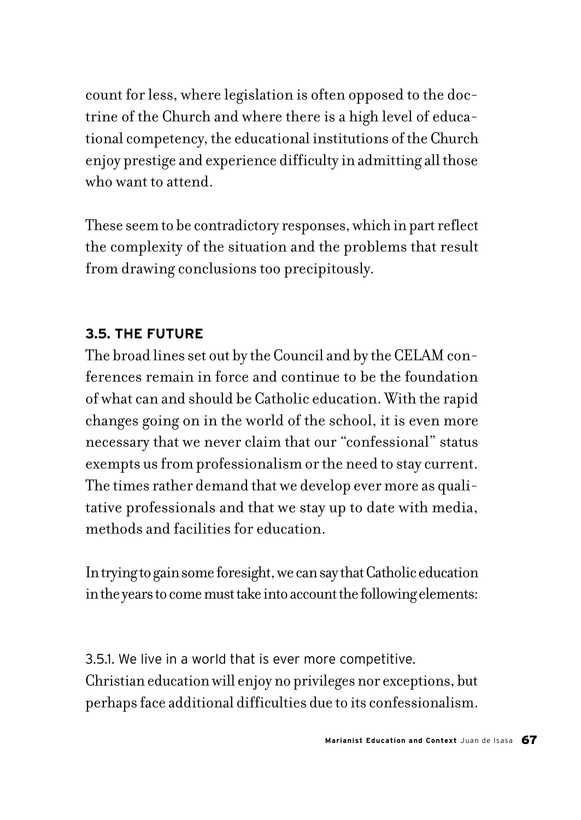count for less, where legislation is often opposed to the doctrine of the Church and where there is a high level of educational competency, the educational institutions of the Church enjoy prestige and experience difficulty in admitting all those who want to attend.

These seem to be contradictory responses, which in part reflect the complexity of the situation and the problems that result from drawing conclusions too precipitously.

# **3.5. THE FUTURE**

The broad lines set out by the Council and by the CELAM conferences remain in force and continue to be the foundation of what can and should be Catholic education. With the rapid changes going on in the world of the school, it is even more necessary that we never claim that our "confessional" status exempts us from professionalism or the need to stay current. The times rather demand that we develop ever more as qualitative professionals and that we stay up to date with media, methods and facilities for education.

In trying to gain some foresight, we can say that Catholic education in the years to come must take into account the following elements:

3.5.1. We live in a world that is ever more competitive. Christian education will enjoy no privileges nor exceptions, but perhaps face additional difficulties due to its confessionalism.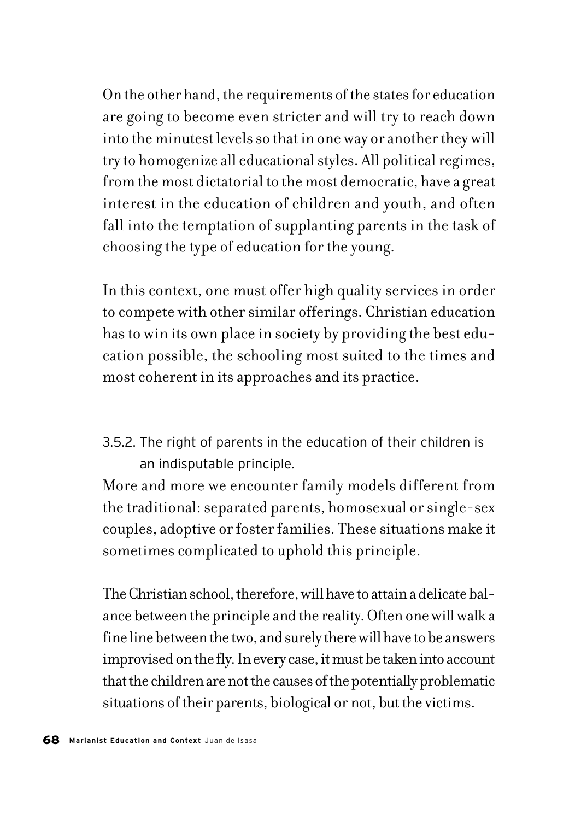On the other hand, the requirements of the states for education are going to become even stricter and will try to reach down into the minutest levels so that in one way or another they will try to homogenize all educational styles. All political regimes, from the most dictatorial to the most democratic, have a great interest in the education of children and youth, and often fall into the temptation of supplanting parents in the task of choosing the type of education for the young.

In this context, one must offer high quality services in order to compete with other similar offerings. Christian education has to win its own place in society by providing the best education possible, the schooling most suited to the times and most coherent in its approaches and its practice.

3.5.2. The right of parents in the education of their children is an indisputable principle.

More and more we encounter family models different from the traditional: separated parents, homosexual or single-sex couples, adoptive or foster families. These situations make it sometimes complicated to uphold this principle.

The Christian school, therefore, will have to attain a delicate balance between the principle and the reality. Often one will walk a fine line between the two, and surely there will have to be answers improvised on the fly. In every case, it must be taken into account that the children are not the causes of the potentially problematic situations of their parents, biological or not, but the victims.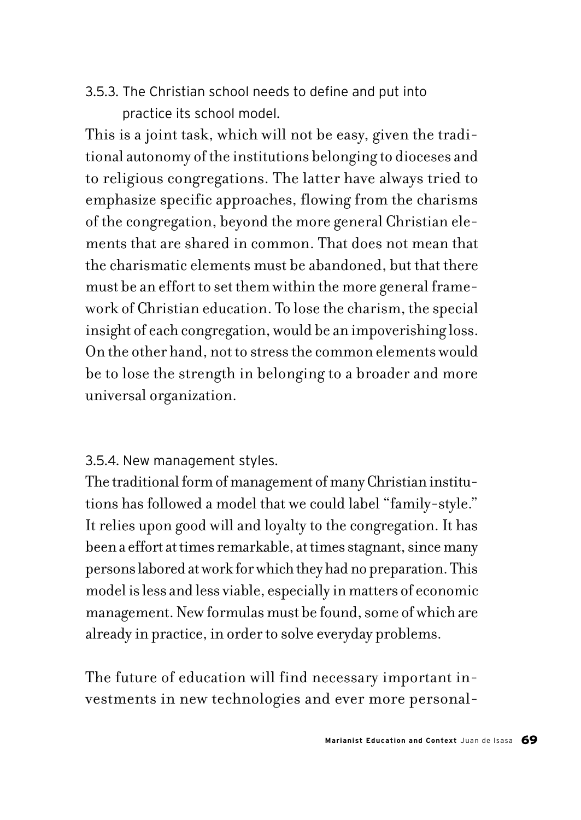3.5.3. The Christian school needs to define and put into practice its school model.

This is a joint task, which will not be easy, given the traditional autonomy of the institutions belonging to dioceses and to religious congregations. The latter have always tried to emphasize specific approaches, flowing from the charisms of the congregation, beyond the more general Christian elements that are shared in common. That does not mean that the charismatic elements must be abandoned, but that there must be an effort to set them within the more general framework of Christian education. To lose the charism, the special insight of each congregation, would be an impoverishing loss. On the other hand, not to stress the common elements would be to lose the strength in belonging to a broader and more universal organization.

### 3.5.4. New management styles.

The traditional form of management of many Christian institutions has followed a model that we could label "family-style." It relies upon good will and loyalty to the congregation. It has been a effort at times remarkable, at times stagnant, since many persons labored at work for which they had no preparation. This model is less and less viable, especially in matters of economic management. New formulas must be found, some of which are already in practice, in order to solve everyday problems.

The future of education will find necessary important investments in new technologies and ever more personal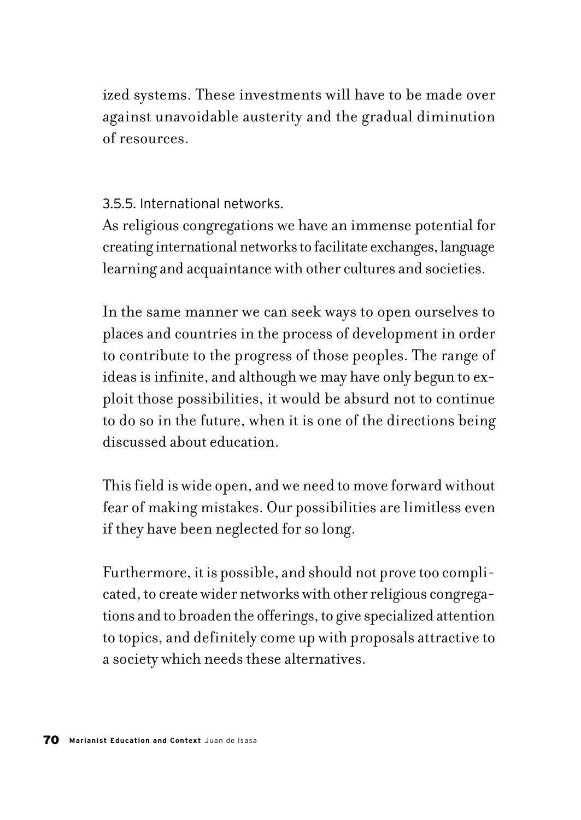ized systems. These investments will have to be made over against unavoidable austerity and the gradual diminution of resources.

3.5.5. International networks.

As religious congregations we have an immense potential for creating international networks to facilitate exchanges, language learning and acquaintance with other cultures and societies.

In the same manner we can seek ways to open ourselves to places and countries in the process of development in order to contribute to the progress of those peoples. The range of ideas is infinite, and although we may have only begun to exploit those possibilities, it would be absurd not to continue to do so in the future, when it is one of the directions being discussed about education.

This field is wide open, and we need to move forward without fear of making mistakes. Our possibilities are limitless even if they have been neglected for so long.

Furthermore, it is possible, and should not prove too complicated, to create wider networks with other religious congregations and to broaden the offerings, to give specialized attention to topics, and definitely come up with proposals attractive to a society which needs these alternatives.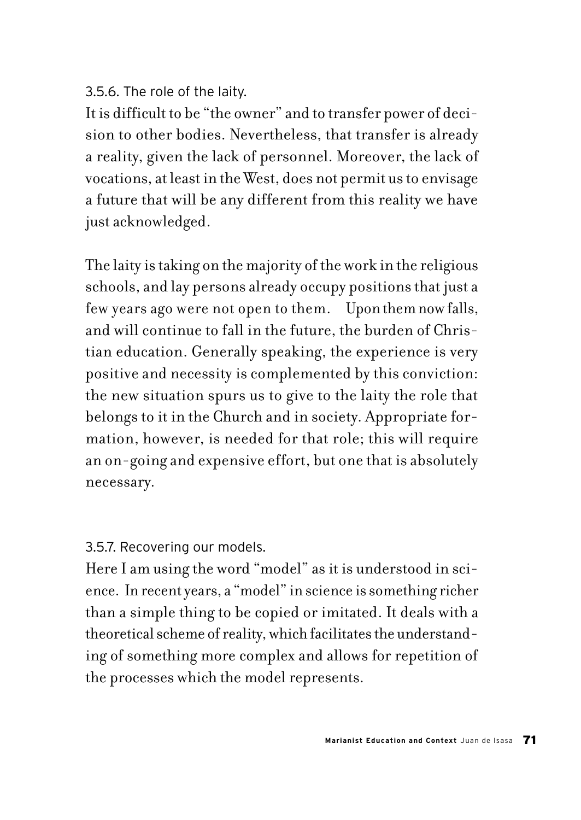## 3.5.6. The role of the laity.

It is difficult to be "the owner" and to transfer power of decision to other bodies. Nevertheless, that transfer is already a reality, given the lack of personnel. Moreover, the lack of vocations, at least in the West, does not permit us to envisage a future that will be any different from this reality we have just acknowledged.

The laity is taking on the majority of the work in the religious schools, and lay persons already occupy positions that just a few years ago were not open to them. Upon them now falls, and will continue to fall in the future, the burden of Christian education. Generally speaking, the experience is very positive and necessity is complemented by this conviction: the new situation spurs us to give to the laity the role that belongs to it in the Church and in society. Appropriate formation, however, is needed for that role; this will require an on-going and expensive effort, but one that is absolutely necessary.

3.5.7. Recovering our models.

Here I am using the word "model" as it is understood in science. In recent years, a "model" in science is something richer than a simple thing to be copied or imitated. It deals with a theoretical scheme of reality, which facilitates the understanding of something more complex and allows for repetition of the processes which the model represents.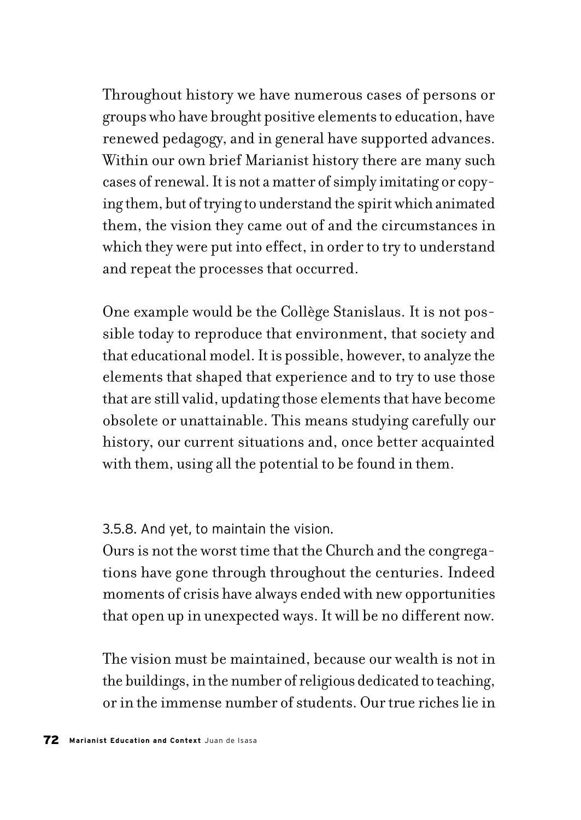Throughout history we have numerous cases of persons or groups who have brought positive elements to education, have renewed pedagogy, and in general have supported advances. Within our own brief Marianist history there are many such cases of renewal. It is not a matter of simply imitating or copying them, but of trying to understand the spirit which animated them, the vision they came out of and the circumstances in which they were put into effect, in order to try to understand and repeat the processes that occurred.

One example would be the Collège Stanislaus. It is not possible today to reproduce that environment, that society and that educational model. It is possible, however, to analyze the elements that shaped that experience and to try to use those that are still valid, updating those elements that have become obsolete or unattainable. This means studying carefully our history, our current situations and, once better acquainted with them, using all the potential to be found in them.

3.5.8. And yet, to maintain the vision.

Ours is not the worst time that the Church and the congregations have gone through throughout the centuries. Indeed moments of crisis have always ended with new opportunities that open up in unexpected ways. It will be no different now.

The vision must be maintained, because our wealth is not in the buildings, in the number of religious dedicated to teaching, or in the immense number of students. Our true riches lie in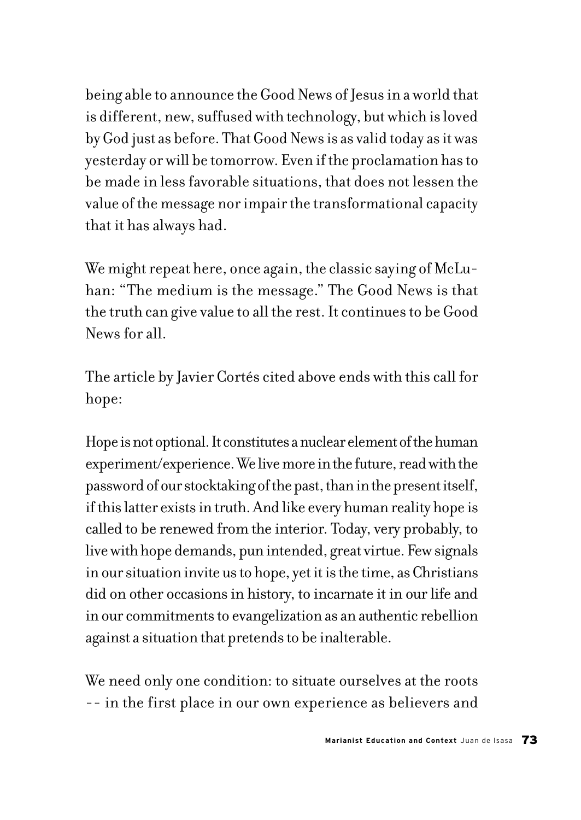being able to announce the Good News of Jesus in a world that is different, new, suffused with technology, but which is loved by God just as before. That Good News is as valid today as it was yesterday or will be tomorrow. Even if the proclamation has to be made in less favorable situations, that does not lessen the value of the message nor impair the transformational capacity that it has always had.

We might repeat here, once again, the classic saying of McLuhan: "The medium is the message." The Good News is that the truth can give value to all the rest. It continues to be Good News for all.

The article by Javier Cortés cited above ends with this call for hope:

Hope is not optional. It constitutes a nuclear element of the human experiment/experience. We live more in the future, read with the password of our stocktaking of the past, than in the present itself, if this latter exists in truth. And like every human reality hope is called to be renewed from the interior. Today, very probably, to live with hope demands, pun intended, great virtue. Few signals in our situation invite us to hope, yet it is the time, as Christians did on other occasions in history, to incarnate it in our life and in our commitments to evangelization as an authentic rebellion against a situation that pretends to be inalterable.

We need only one condition: to situate ourselves at the roots -- in the first place in our own experience as believers and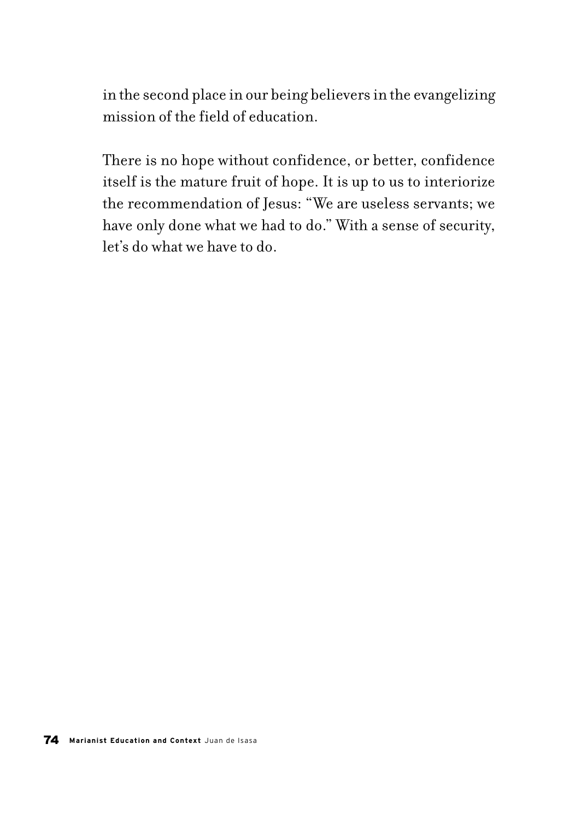in the second place in our being believers in the evangelizing mission of the field of education.

There is no hope without confidence, or better, confidence itself is the mature fruit of hope. It is up to us to interiorize the recommendation of Jesus: "We are useless servants; we have only done what we had to do." With a sense of security, let's do what we have to do.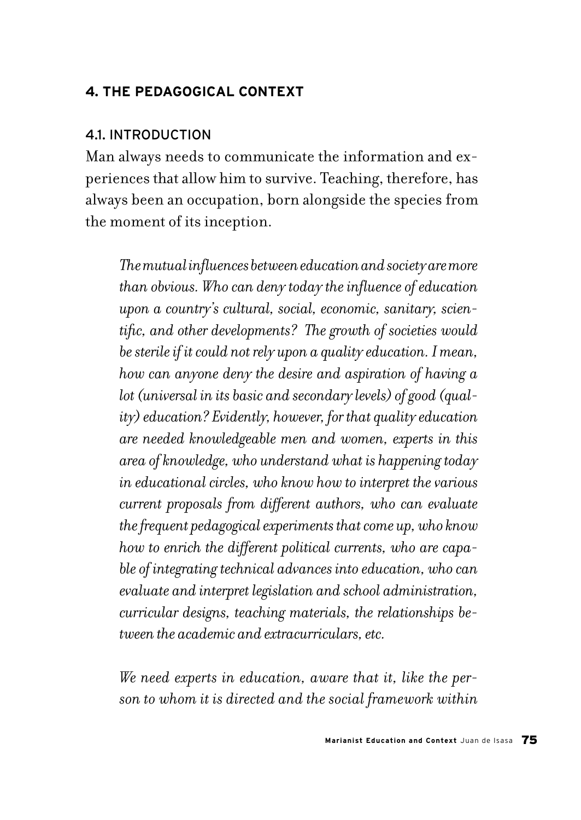### **4. THE PEDAGOGICAL CONTEXT**

#### 4.1. INTRODUCTION

Man always needs to communicate the information and experiences that allow him to survive. Teaching, therefore, has always been an occupation, born alongside the species from the moment of its inception.

*The mutual influences between education and society are more than obvious. Who can deny today the influence of education upon a country's cultural, social, economic, sanitary, scientific, and other developments? The growth of societies would be sterile if it could not rely upon a quality education. I mean, how can anyone deny the desire and aspiration of having a lot (universal in its basic and secondary levels) of good (quality) education? Evidently, however, for that quality education are needed knowledgeable men and women, experts in this area of knowledge, who understand what is happening today in educational circles, who know how to interpret the various current proposals from different authors, who can evaluate the frequent pedagogical experiments that come up, who know how to enrich the different political currents, who are capable of integrating technical advances into education, who can evaluate and interpret legislation and school administration, curricular designs, teaching materials, the relationships between the academic and extracurriculars, etc.*

*We need experts in education, aware that it, like the person to whom it is directed and the social framework within*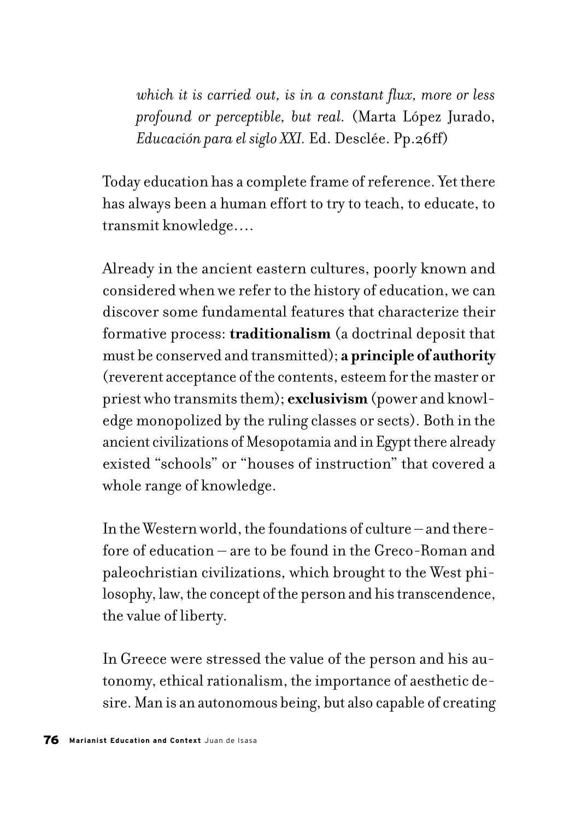*which it is carried out, is in a constant flux, more or less profound or perceptible, but real.* (Marta López Jurado, *Educación para el siglo XXI.* Ed. Desclée. Pp.26ff)

Today education has a complete frame of reference. Yet there has always been a human effort to try to teach, to educate, to transmit knowledge….

Already in the ancient eastern cultures, poorly known and considered when we refer to the history of education, we can discover some fundamental features that characterize their formative process: **traditionalism** (a doctrinal deposit that must be conserved and transmitted); **a principle of authority** (reverent acceptance of the contents, esteem for the master or priest who transmits them); **exclusivism** (power and knowledge monopolized by the ruling classes or sects). Both in the ancient civilizations of Mesopotamia and in Egypt there already existed "schools" or "houses of instruction" that covered a whole range of knowledge.

In the Western world, the foundations of culture – and therefore of education – are to be found in the Greco-Roman and paleochristian civilizations, which brought to the West philosophy, law, the concept of the person and his transcendence, the value of liberty.

In Greece were stressed the value of the person and his autonomy, ethical rationalism, the importance of aesthetic desire. Man is an autonomous being, but also capable of creating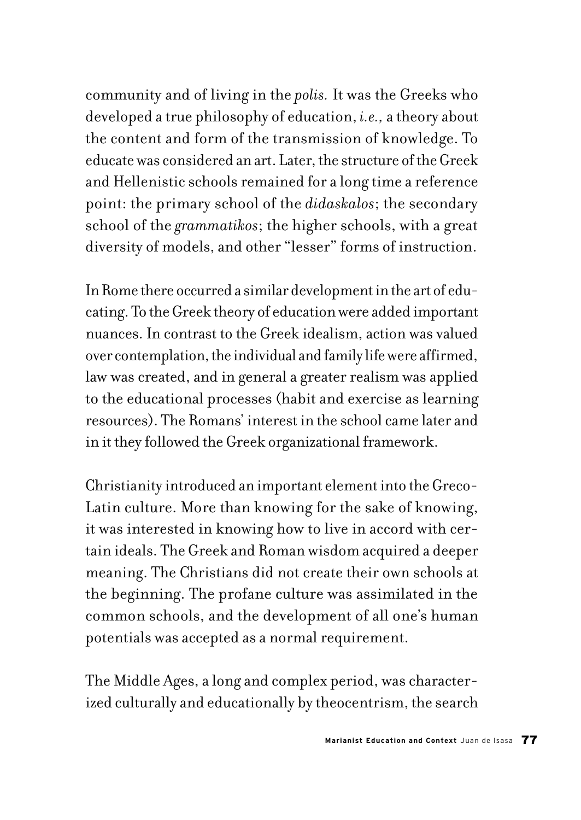community and of living in the *polis.* It was the Greeks who developed a true philosophy of education, *i.e.,* a theory about the content and form of the transmission of knowledge. To educate was considered an art. Later, the structure of the Greek and Hellenistic schools remained for a long time a reference point: the primary school of the *didaskalos*; the secondary school of the *grammatikos*; the higher schools, with a great diversity of models, and other "lesser" forms of instruction.

In Rome there occurred a similar development in the art of educating. To the Greek theory of education were added important nuances. In contrast to the Greek idealism, action was valued over contemplation, the individual and family life were affirmed, law was created, and in general a greater realism was applied to the educational processes (habit and exercise as learning resources). The Romans' interest in the school came later and in it they followed the Greek organizational framework.

Christianity introduced an important element into the Greco-Latin culture. More than knowing for the sake of knowing, it was interested in knowing how to live in accord with certain ideals. The Greek and Roman wisdom acquired a deeper meaning. The Christians did not create their own schools at the beginning. The profane culture was assimilated in the common schools, and the development of all one's human potentials was accepted as a normal requirement.

The Middle Ages, a long and complex period, was characterized culturally and educationally by theocentrism, the search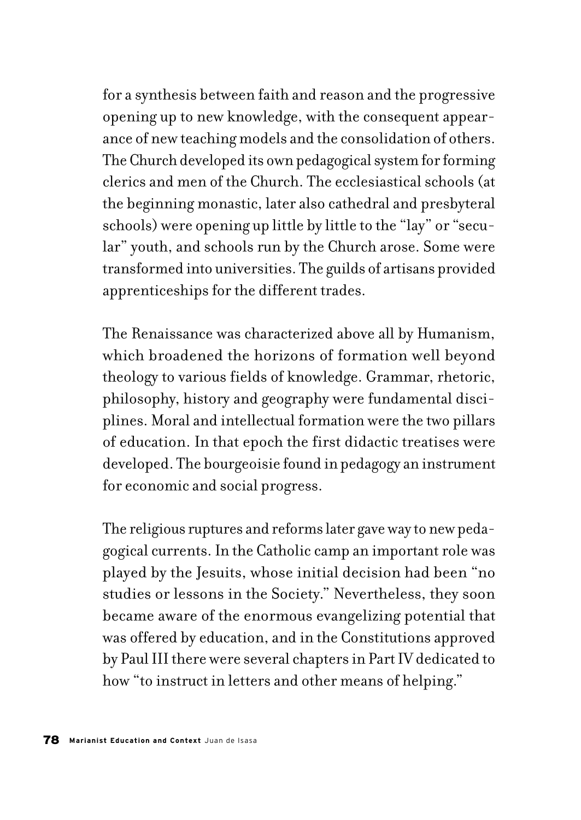for a synthesis between faith and reason and the progressive opening up to new knowledge, with the consequent appearance of new teaching models and the consolidation of others. The Church developed its own pedagogical system for forming clerics and men of the Church. The ecclesiastical schools (at the beginning monastic, later also cathedral and presbyteral schools) were opening up little by little to the "lay" or "secular" youth, and schools run by the Church arose. Some were transformed into universities. The guilds of artisans provided apprenticeships for the different trades.

The Renaissance was characterized above all by Humanism, which broadened the horizons of formation well beyond theology to various fields of knowledge. Grammar, rhetoric, philosophy, history and geography were fundamental disciplines. Moral and intellectual formation were the two pillars of education. In that epoch the first didactic treatises were developed. The bourgeoisie found in pedagogy an instrument for economic and social progress.

The religious ruptures and reforms later gave way to new pedagogical currents. In the Catholic camp an important role was played by the Jesuits, whose initial decision had been "no studies or lessons in the Society." Nevertheless, they soon became aware of the enormous evangelizing potential that was offered by education, and in the Constitutions approved by Paul III there were several chapters in Part IV dedicated to how "to instruct in letters and other means of helping."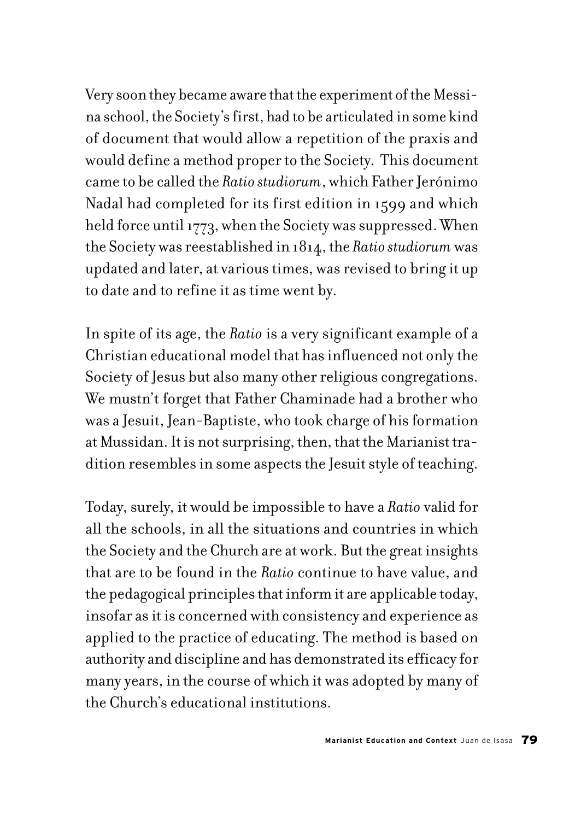Very soon they became aware that the experiment of the Messina school, the Society's first, had to be articulated in some kind of document that would allow a repetition of the praxis and would define a method proper to the Society. This document came to be called the *Ratio studiorum*, which Father Jerónimo Nadal had completed for its first edition in 1599 and which held force until 1773, when the Society was suppressed. When the Society was reestablished in 1814, the *Ratio studiorum* was updated and later, at various times, was revised to bring it up to date and to refine it as time went by.

In spite of its age, the *Ratio* is a very significant example of a Christian educational model that has influenced not only the Society of Jesus but also many other religious congregations. We mustn't forget that Father Chaminade had a brother who was a Jesuit, Jean-Baptiste, who took charge of his formation at Mussidan. It is not surprising, then, that the Marianist tradition resembles in some aspects the Jesuit style of teaching.

Today, surely, it would be impossible to have a *Ratio* valid for all the schools, in all the situations and countries in which the Society and the Church are at work. But the great insights that are to be found in the *Ratio* continue to have value, and the pedagogical principles that inform it are applicable today, insofar as it is concerned with consistency and experience as applied to the practice of educating. The method is based on authority and discipline and has demonstrated its efficacy for many years, in the course of which it was adopted by many of the Church's educational institutions.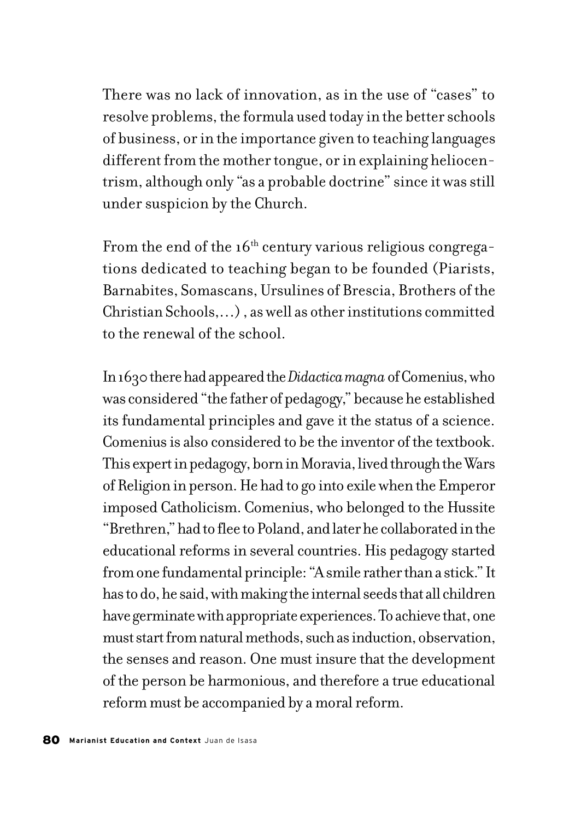There was no lack of innovation, as in the use of "cases" to resolve problems, the formula used today in the better schools of business, or in the importance given to teaching languages different from the mother tongue, or in explaining heliocentrism, although only "as a probable doctrine" since it was still under suspicion by the Church.

From the end of the  $16<sup>th</sup>$  century various religious congregations dedicated to teaching began to be founded (Piarists, Barnabites, Somascans, Ursulines of Brescia, Brothers of the Christian Schools,…) , as well as other institutions committed to the renewal of the school.

In 1630 there had appeared the *Didactica magna* of Comenius, who was considered "the father of pedagogy," because he established its fundamental principles and gave it the status of a science. Comenius is also considered to be the inventor of the textbook. This expert in pedagogy, born in Moravia, lived through the Wars of Religion in person. He had to go into exile when the Emperor imposed Catholicism. Comenius, who belonged to the Hussite "Brethren," had to flee to Poland, and later he collaborated in the educational reforms in several countries. His pedagogy started from one fundamental principle: "A smile rather than a stick." It has to do, he said, with making the internal seeds that all children have germinate with appropriate experiences. To achieve that, one must start from natural methods, such as induction, observation, the senses and reason. One must insure that the development of the person be harmonious, and therefore a true educational reform must be accompanied by a moral reform.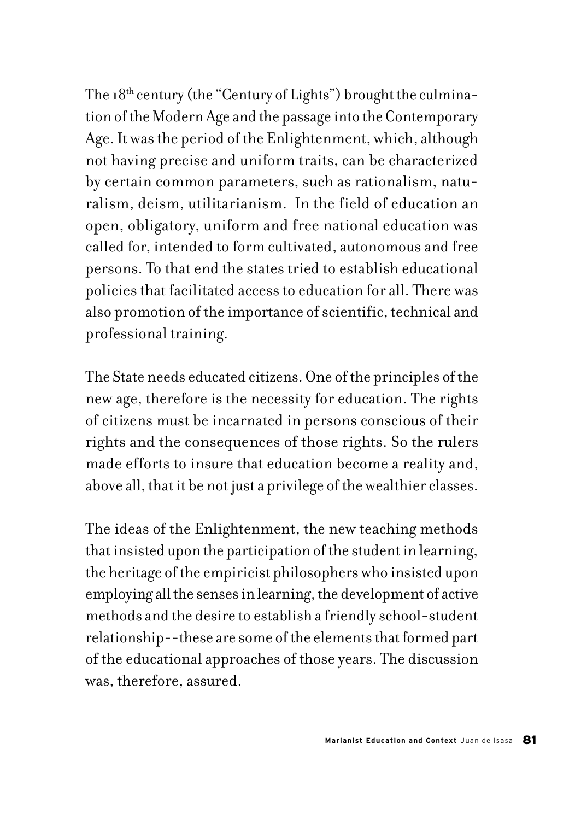The  $18<sup>th</sup>$  century (the "Century of Lights") brought the culmination of the Modern Age and the passage into the Contemporary Age. It was the period of the Enlightenment, which, although not having precise and uniform traits, can be characterized by certain common parameters, such as rationalism, naturalism, deism, utilitarianism. In the field of education an open, obligatory, uniform and free national education was called for, intended to form cultivated, autonomous and free persons. To that end the states tried to establish educational policies that facilitated access to education for all. There was also promotion of the importance of scientific, technical and professional training.

The State needs educated citizens. One of the principles of the new age, therefore is the necessity for education. The rights of citizens must be incarnated in persons conscious of their rights and the consequences of those rights. So the rulers made efforts to insure that education become a reality and, above all, that it be not just a privilege of the wealthier classes.

The ideas of the Enlightenment, the new teaching methods that insisted upon the participation of the student in learning, the heritage of the empiricist philosophers who insisted upon employing all the senses in learning, the development of active methods and the desire to establish a friendly school-student relationship--these are some of the elements that formed part of the educational approaches of those years. The discussion was, therefore, assured.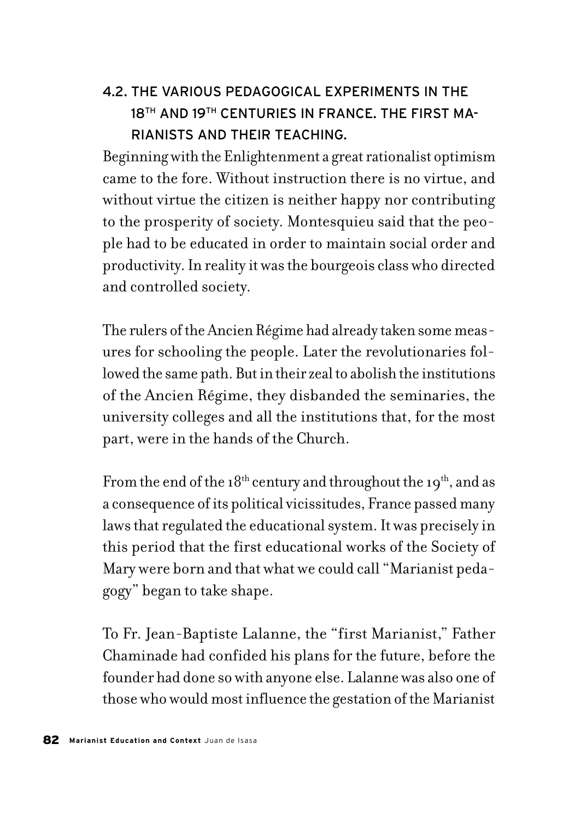# 4.2. THE VARIOUS PEDAGOGICAL EXPERIMENTS IN THE 18<sup>TH</sup> AND 19TH CENTURIES IN FRANCE. THE FIRST MA-RIANISTS AND THEIR TEACHING.

Beginning with the Enlightenment a great rationalist optimism came to the fore. Without instruction there is no virtue, and without virtue the citizen is neither happy nor contributing to the prosperity of society. Montesquieu said that the people had to be educated in order to maintain social order and productivity. In reality it was the bourgeois class who directed and controlled society.

The rulers of the Ancien Régime had already taken some measures for schooling the people. Later the revolutionaries followed the same path. But in their zeal to abolish the institutions of the Ancien Régime, they disbanded the seminaries, the university colleges and all the institutions that, for the most part, were in the hands of the Church.

From the end of the  $18<sup>th</sup>$  century and throughout the  $19<sup>th</sup>$ , and as a consequence of its political vicissitudes, France passed many laws that regulated the educational system. It was precisely in this period that the first educational works of the Society of Mary were born and that what we could call "Marianist pedagogy" began to take shape.

To Fr. Jean-Baptiste Lalanne, the "first Marianist," Father Chaminade had confided his plans for the future, before the founder had done so with anyone else. Lalanne was also one of those who would most influence the gestation of the Marianist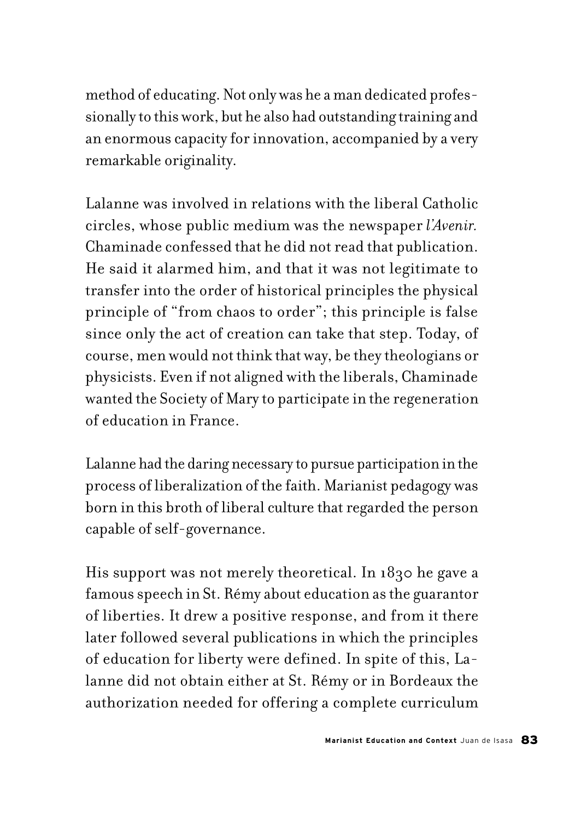method of educating. Not only was he a man dedicated professionally to this work, but he also had outstanding training and an enormous capacity for innovation, accompanied by a very remarkable originality.

Lalanne was involved in relations with the liberal Catholic circles, whose public medium was the newspaper *l'Avenir.*  Chaminade confessed that he did not read that publication. He said it alarmed him, and that it was not legitimate to transfer into the order of historical principles the physical principle of "from chaos to order"; this principle is false since only the act of creation can take that step. Today, of course, men would not think that way, be they theologians or physicists. Even if not aligned with the liberals, Chaminade wanted the Society of Mary to participate in the regeneration of education in France.

Lalanne had the daring necessary to pursue participation in the process of liberalization of the faith. Marianist pedagogy was born in this broth of liberal culture that regarded the person capable of self-governance.

His support was not merely theoretical. In 1830 he gave a famous speech in St. Rémy about education as the guarantor of liberties. It drew a positive response, and from it there later followed several publications in which the principles of education for liberty were defined. In spite of this, Lalanne did not obtain either at St. Rémy or in Bordeaux the authorization needed for offering a complete curriculum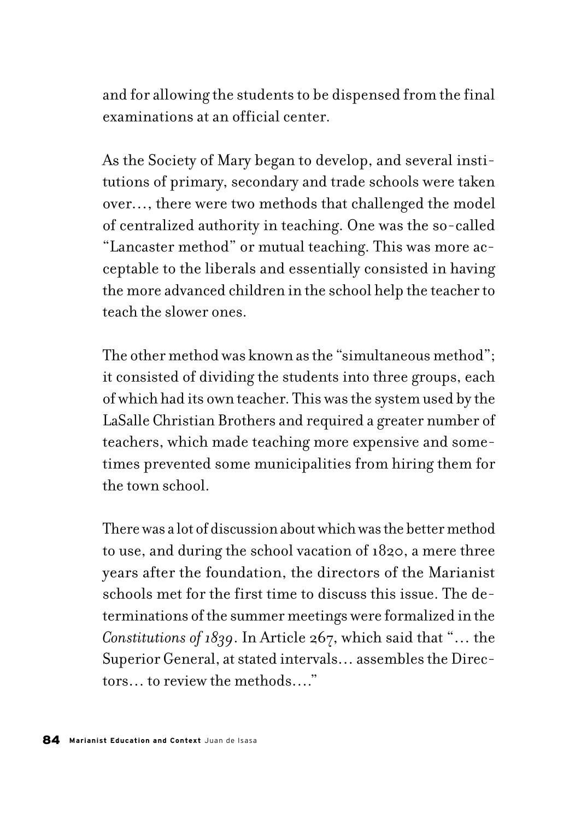and for allowing the students to be dispensed from the final examinations at an official center.

As the Society of Mary began to develop, and several institutions of primary, secondary and trade schools were taken over…, there were two methods that challenged the model of centralized authority in teaching. One was the so-called "Lancaster method" or mutual teaching. This was more acceptable to the liberals and essentially consisted in having the more advanced children in the school help the teacher to teach the slower ones.

The other method was known as the "simultaneous method"; it consisted of dividing the students into three groups, each of which had its own teacher. This was the system used by the LaSalle Christian Brothers and required a greater number of teachers, which made teaching more expensive and sometimes prevented some municipalities from hiring them for the town school.

There was a lot of discussion about which was the better method to use, and during the school vacation of 1820, a mere three years after the foundation, the directors of the Marianist schools met for the first time to discuss this issue. The determinations of the summer meetings were formalized in the *Constitutions of 1839*. In Article 267, which said that "… the Superior General, at stated intervals… assembles the Directors… to review the methods…."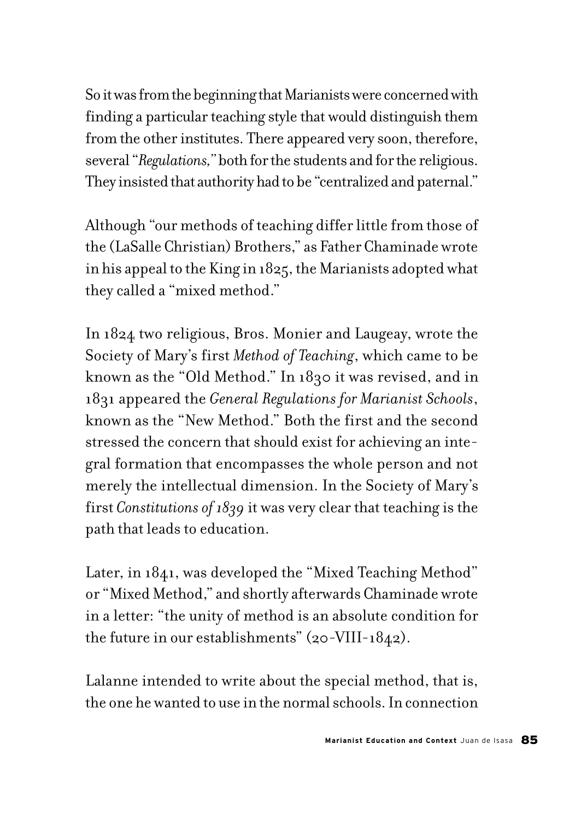So it was from the beginning that Marianists were concerned with finding a particular teaching style that would distinguish them from the other institutes. There appeared very soon, therefore, several "*Regulations,"* both for the students and for the religious. They insisted that authority had to be "centralized and paternal."

Although "our methods of teaching differ little from those of the (LaSalle Christian) Brothers," as Father Chaminade wrote in his appeal to the King in 1825, the Marianists adopted what they called a "mixed method."

In 1824 two religious, Bros. Monier and Laugeay, wrote the Society of Mary's first *Method of Teaching*, which came to be known as the "Old Method." In 1830 it was revised, and in 1831 appeared the *General Regulations for Marianist Schools*, known as the "New Method." Both the first and the second stressed the concern that should exist for achieving an integral formation that encompasses the whole person and not merely the intellectual dimension. In the Society of Mary's first *Constitutions of 1839* it was very clear that teaching is the path that leads to education.

Later, in 1841, was developed the "Mixed Teaching Method" or "Mixed Method," and shortly afterwards Chaminade wrote in a letter: "the unity of method is an absolute condition for the future in our establishments" (20-VIII-1842).

Lalanne intended to write about the special method, that is, the one he wanted to use in the normal schools. In connection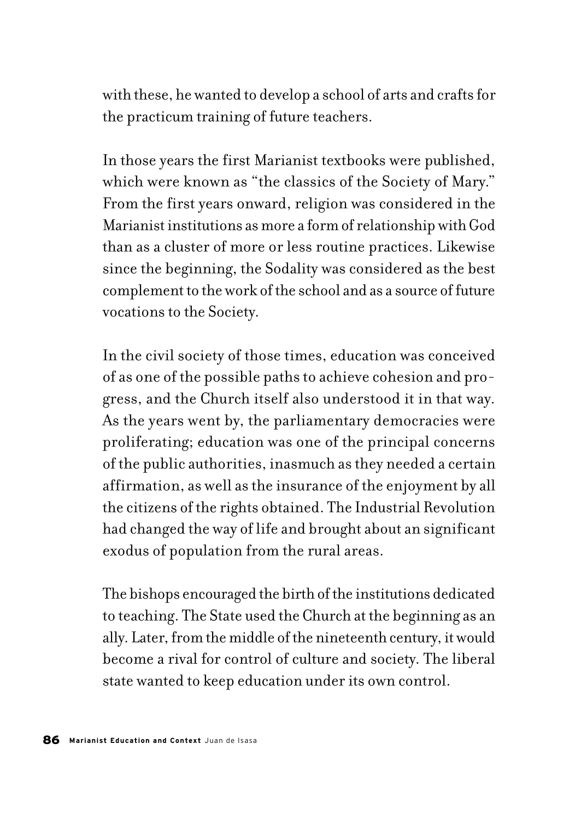with these, he wanted to develop a school of arts and crafts for the practicum training of future teachers.

In those years the first Marianist textbooks were published, which were known as "the classics of the Society of Mary." From the first years onward, religion was considered in the Marianist institutions as more a form of relationship with God than as a cluster of more or less routine practices. Likewise since the beginning, the Sodality was considered as the best complement to the work of the school and as a source of future vocations to the Society.

In the civil society of those times, education was conceived of as one of the possible paths to achieve cohesion and progress, and the Church itself also understood it in that way. As the years went by, the parliamentary democracies were proliferating; education was one of the principal concerns of the public authorities, inasmuch as they needed a certain affirmation, as well as the insurance of the enjoyment by all the citizens of the rights obtained. The Industrial Revolution had changed the way of life and brought about an significant exodus of population from the rural areas.

The bishops encouraged the birth of the institutions dedicated to teaching. The State used the Church at the beginning as an ally. Later, from the middle of the nineteenth century, it would become a rival for control of culture and society. The liberal state wanted to keep education under its own control.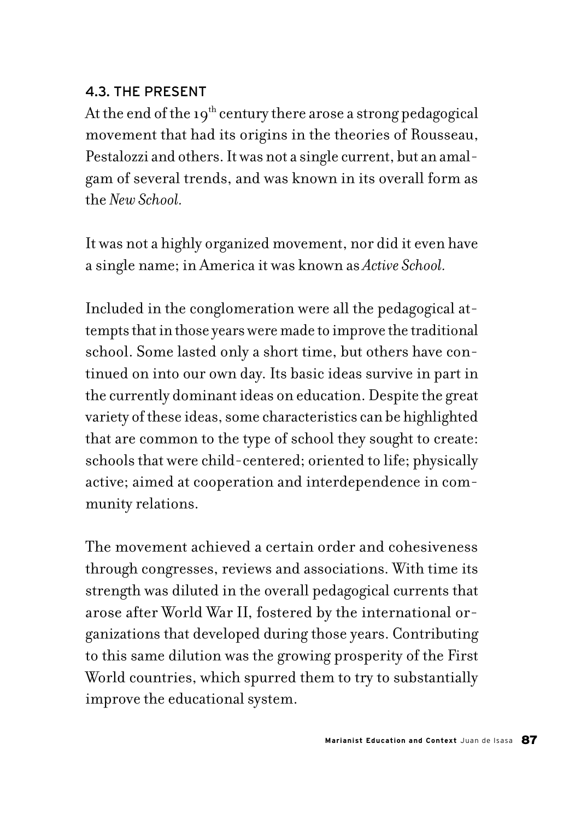## 4.3. THE PRESENT

At the end of the 19<sup>th</sup> century there arose a strong pedagogical movement that had its origins in the theories of Rousseau, Pestalozzi and others. It was not a single current, but an amalgam of several trends, and was known in its overall form as the *New School.*

It was not a highly organized movement, nor did it even have a single name; in America it was known as *Active School.*

Included in the conglomeration were all the pedagogical attempts that in those years were made to improve the traditional school. Some lasted only a short time, but others have continued on into our own day. Its basic ideas survive in part in the currently dominant ideas on education. Despite the great variety of these ideas, some characteristics can be highlighted that are common to the type of school they sought to create: schools that were child-centered; oriented to life; physically active; aimed at cooperation and interdependence in community relations.

The movement achieved a certain order and cohesiveness through congresses, reviews and associations. With time its strength was diluted in the overall pedagogical currents that arose after World War II, fostered by the international organizations that developed during those years. Contributing to this same dilution was the growing prosperity of the First World countries, which spurred them to try to substantially improve the educational system.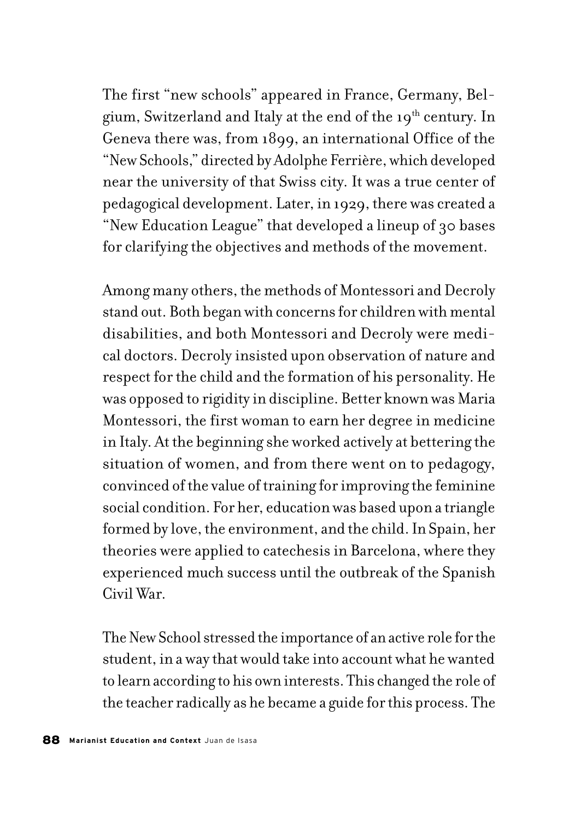The first "new schools" appeared in France, Germany, Belgium, Switzerland and Italy at the end of the 19<sup>th</sup> century. In Geneva there was, from 1899, an international Office of the "New Schools," directed by Adolphe Ferrière, which developed near the university of that Swiss city. It was a true center of pedagogical development. Later, in 1929, there was created a "New Education League" that developed a lineup of 30 bases for clarifying the objectives and methods of the movement.

Among many others, the methods of Montessori and Decroly stand out. Both began with concerns for children with mental disabilities, and both Montessori and Decroly were medical doctors. Decroly insisted upon observation of nature and respect for the child and the formation of his personality. He was opposed to rigidity in discipline. Better known was Maria Montessori, the first woman to earn her degree in medicine in Italy. At the beginning she worked actively at bettering the situation of women, and from there went on to pedagogy, convinced of the value of training for improving the feminine social condition. For her, education was based upon a triangle formed by love, the environment, and the child. In Spain, her theories were applied to catechesis in Barcelona, where they experienced much success until the outbreak of the Spanish Civil War.

The New School stressed the importance of an active role for the student, in a way that would take into account what he wanted to learn according to his own interests. This changed the role of the teacher radically as he became a guide for this process. The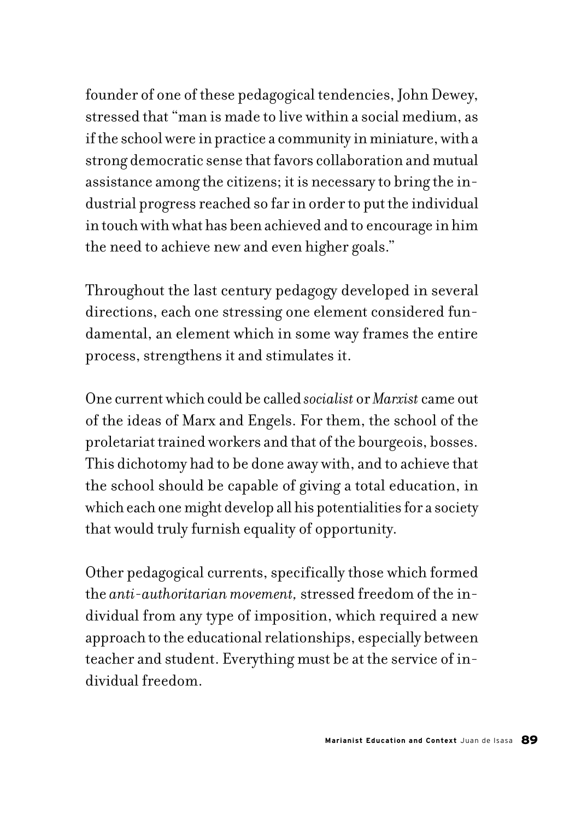founder of one of these pedagogical tendencies, John Dewey, stressed that "man is made to live within a social medium, as if the school were in practice a community in miniature, with a strong democratic sense that favors collaboration and mutual assistance among the citizens; it is necessary to bring the industrial progress reached so far in order to put the individual in touch with what has been achieved and to encourage in him the need to achieve new and even higher goals."

Throughout the last century pedagogy developed in several directions, each one stressing one element considered fundamental, an element which in some way frames the entire process, strengthens it and stimulates it.

One current which could be called *socialist* or *Marxist* came out of the ideas of Marx and Engels. For them, the school of the proletariat trained workers and that of the bourgeois, bosses. This dichotomy had to be done away with, and to achieve that the school should be capable of giving a total education, in which each one might develop all his potentialities for a society that would truly furnish equality of opportunity.

Other pedagogical currents, specifically those which formed the *anti-authoritarian movement,* stressed freedom of the individual from any type of imposition, which required a new approach to the educational relationships, especially between teacher and student. Everything must be at the service of individual freedom.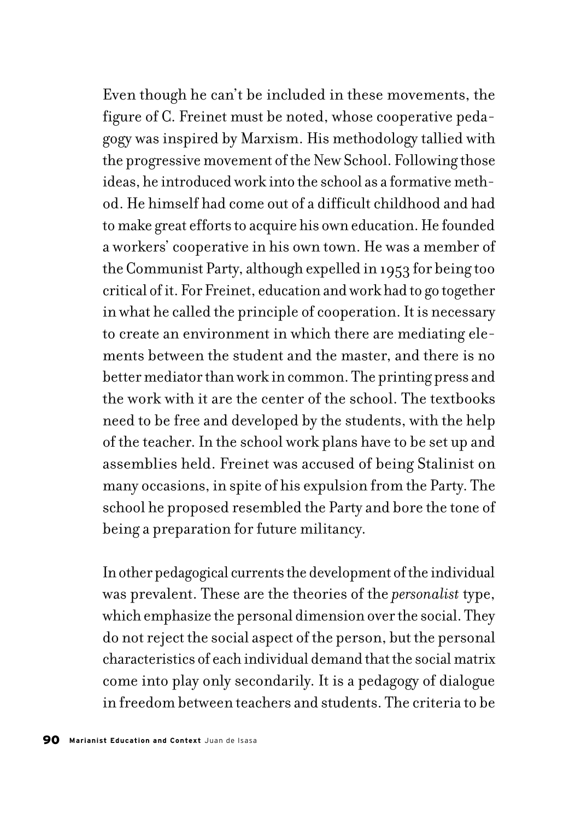Even though he can't be included in these movements, the figure of C. Freinet must be noted, whose cooperative pedagogy was inspired by Marxism. His methodology tallied with the progressive movement of the New School. Following those ideas, he introduced work into the school as a formative method. He himself had come out of a difficult childhood and had to make great efforts to acquire his own education. He founded a workers' cooperative in his own town. He was a member of the Communist Party, although expelled in 1953 for being too critical of it. For Freinet, education and work had to go together in what he called the principle of cooperation. It is necessary to create an environment in which there are mediating elements between the student and the master, and there is no better mediator than work in common. The printing press and the work with it are the center of the school. The textbooks need to be free and developed by the students, with the help of the teacher. In the school work plans have to be set up and assemblies held. Freinet was accused of being Stalinist on many occasions, in spite of his expulsion from the Party. The school he proposed resembled the Party and bore the tone of being a preparation for future militancy.

In other pedagogical currents the development of the individual was prevalent. These are the theories of the *personalist* type, which emphasize the personal dimension over the social. They do not reject the social aspect of the person, but the personal characteristics of each individual demand that the social matrix come into play only secondarily. It is a pedagogy of dialogue in freedom between teachers and students. The criteria to be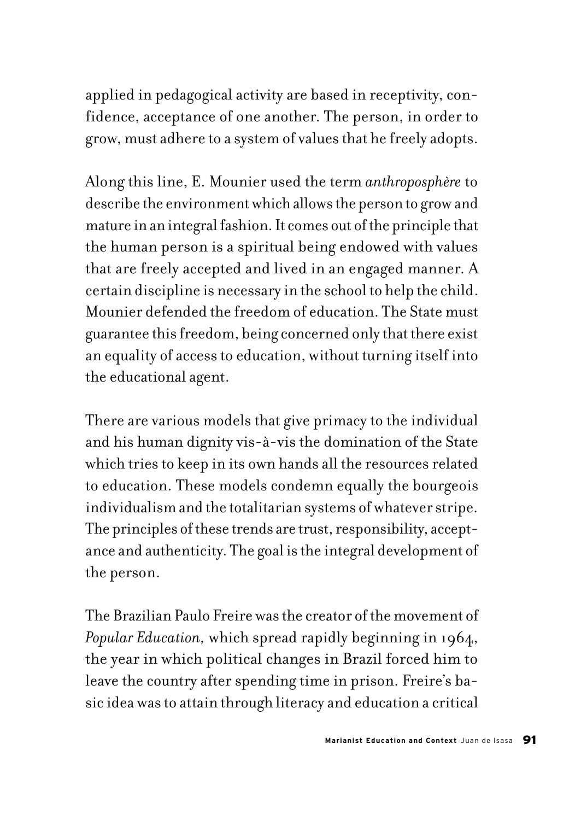applied in pedagogical activity are based in receptivity, confidence, acceptance of one another. The person, in order to grow, must adhere to a system of values that he freely adopts.

Along this line, E. Mounier used the term *anthroposphère* to describe the environment which allows the person to grow and mature in an integral fashion. It comes out of the principle that the human person is a spiritual being endowed with values that are freely accepted and lived in an engaged manner. A certain discipline is necessary in the school to help the child. Mounier defended the freedom of education. The State must guarantee this freedom, being concerned only that there exist an equality of access to education, without turning itself into the educational agent.

There are various models that give primacy to the individual and his human dignity vis-à-vis the domination of the State which tries to keep in its own hands all the resources related to education. These models condemn equally the bourgeois individualism and the totalitarian systems of whatever stripe. The principles of these trends are trust, responsibility, acceptance and authenticity. The goal is the integral development of the person.

The Brazilian Paulo Freire was the creator of the movement of *Popular Education,* which spread rapidly beginning in 1964, the year in which political changes in Brazil forced him to leave the country after spending time in prison. Freire's basic idea was to attain through literacy and education a critical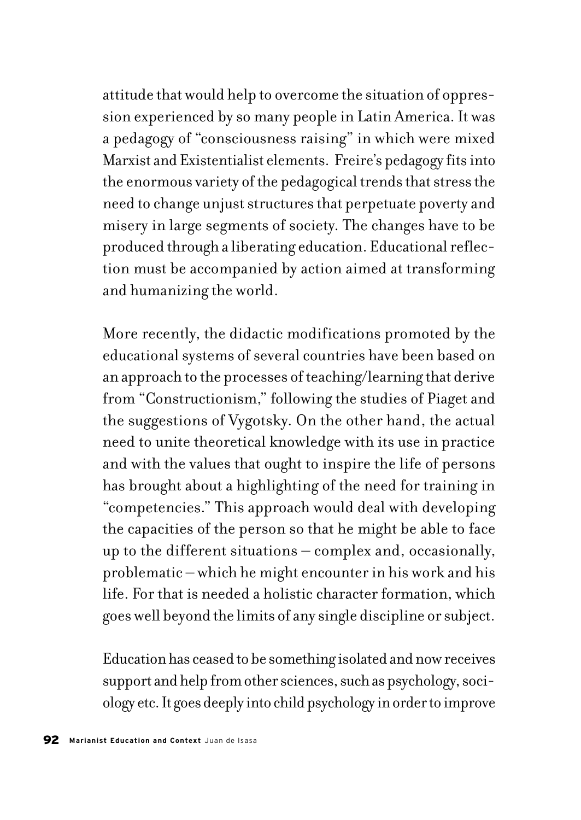attitude that would help to overcome the situation of oppression experienced by so many people in Latin America. It was a pedagogy of "consciousness raising" in which were mixed Marxist and Existentialist elements. Freire's pedagogy fits into the enormous variety of the pedagogical trends that stress the need to change unjust structures that perpetuate poverty and misery in large segments of society. The changes have to be produced through a liberating education. Educational reflection must be accompanied by action aimed at transforming and humanizing the world.

More recently, the didactic modifications promoted by the educational systems of several countries have been based on an approach to the processes of teaching/learning that derive from "Constructionism," following the studies of Piaget and the suggestions of Vygotsky. On the other hand, the actual need to unite theoretical knowledge with its use in practice and with the values that ought to inspire the life of persons has brought about a highlighting of the need for training in "competencies." This approach would deal with developing the capacities of the person so that he might be able to face up to the different situations – complex and, occasionally, problematic – which he might encounter in his work and his life. For that is needed a holistic character formation, which goes well beyond the limits of any single discipline or subject.

Education has ceased to be something isolated and now receives support and help from other sciences, such as psychology, sociology etc. It goes deeply into child psychology in order to improve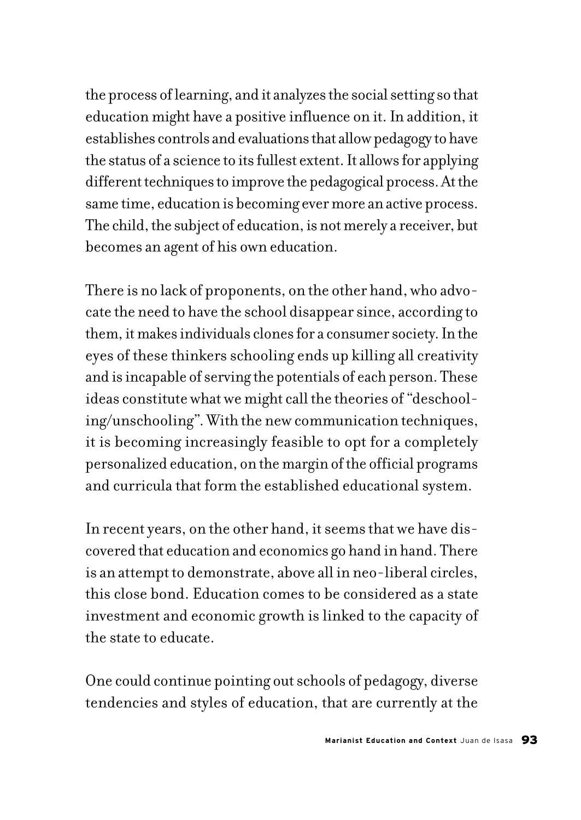the process of learning, and it analyzes the social setting so that education might have a positive influence on it. In addition, it establishes controls and evaluations that allow pedagogy to have the status of a science to its fullest extent. It allows for applying different techniques to improve the pedagogical process. At the same time, education is becoming ever more an active process. The child, the subject of education, is not merely a receiver, but becomes an agent of his own education.

There is no lack of proponents, on the other hand, who advocate the need to have the school disappear since, according to them, it makes individuals clones for a consumer society. In the eyes of these thinkers schooling ends up killing all creativity and is incapable of serving the potentials of each person. These ideas constitute what we might call the theories of "deschooling/unschooling". With the new communication techniques, it is becoming increasingly feasible to opt for a completely personalized education, on the margin of the official programs and curricula that form the established educational system.

In recent years, on the other hand, it seems that we have discovered that education and economics go hand in hand. There is an attempt to demonstrate, above all in neo-liberal circles, this close bond. Education comes to be considered as a state investment and economic growth is linked to the capacity of the state to educate.

One could continue pointing out schools of pedagogy, diverse tendencies and styles of education, that are currently at the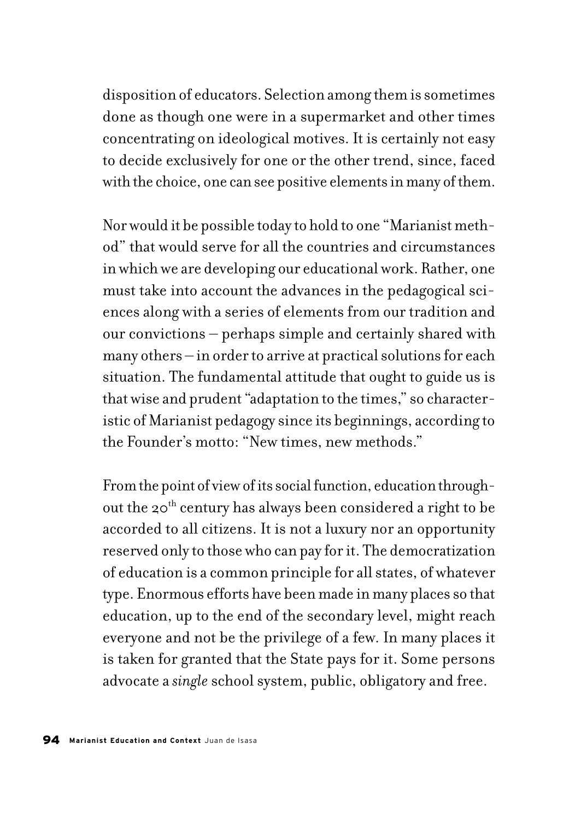disposition of educators. Selection among them is sometimes done as though one were in a supermarket and other times concentrating on ideological motives. It is certainly not easy to decide exclusively for one or the other trend, since, faced with the choice, one can see positive elements in many of them.

Nor would it be possible today to hold to one "Marianist method" that would serve for all the countries and circumstances in which we are developing our educational work. Rather, one must take into account the advances in the pedagogical sciences along with a series of elements from our tradition and our convictions – perhaps simple and certainly shared with many others – in order to arrive at practical solutions for each situation. The fundamental attitude that ought to guide us is that wise and prudent "adaptation to the times," so characteristic of Marianist pedagogy since its beginnings, according to the Founder's motto: "New times, new methods."

From the point of view of its social function, education throughout the 20<sup>th</sup> century has always been considered a right to be accorded to all citizens. It is not a luxury nor an opportunity reserved only to those who can pay for it. The democratization of education is a common principle for all states, of whatever type. Enormous efforts have been made in many places so that education, up to the end of the secondary level, might reach everyone and not be the privilege of a few. In many places it is taken for granted that the State pays for it. Some persons advocate a *single* school system, public, obligatory and free.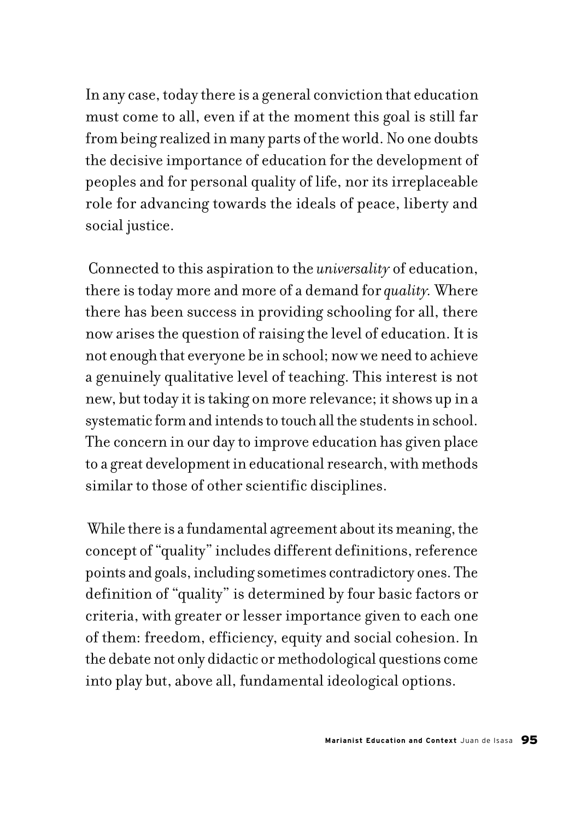In any case, today there is a general conviction that education must come to all, even if at the moment this goal is still far from being realized in many parts of the world. No one doubts the decisive importance of education for the development of peoples and for personal quality of life, nor its irreplaceable role for advancing towards the ideals of peace, liberty and social justice.

 Connected to this aspiration to the *universality* of education, there is today more and more of a demand for *quality.* Where there has been success in providing schooling for all, there now arises the question of raising the level of education. It is not enough that everyone be in school; now we need to achieve a genuinely qualitative level of teaching. This interest is not new, but today it is taking on more relevance; it shows up in a systematic form and intends to touch all the students in school. The concern in our day to improve education has given place to a great development in educational research, with methods similar to those of other scientific disciplines.

 While there is a fundamental agreement about its meaning, the concept of "quality" includes different definitions, reference points and goals, including sometimes contradictory ones. The definition of "quality" is determined by four basic factors or criteria, with greater or lesser importance given to each one of them: freedom, efficiency, equity and social cohesion. In the debate not only didactic or methodological questions come into play but, above all, fundamental ideological options.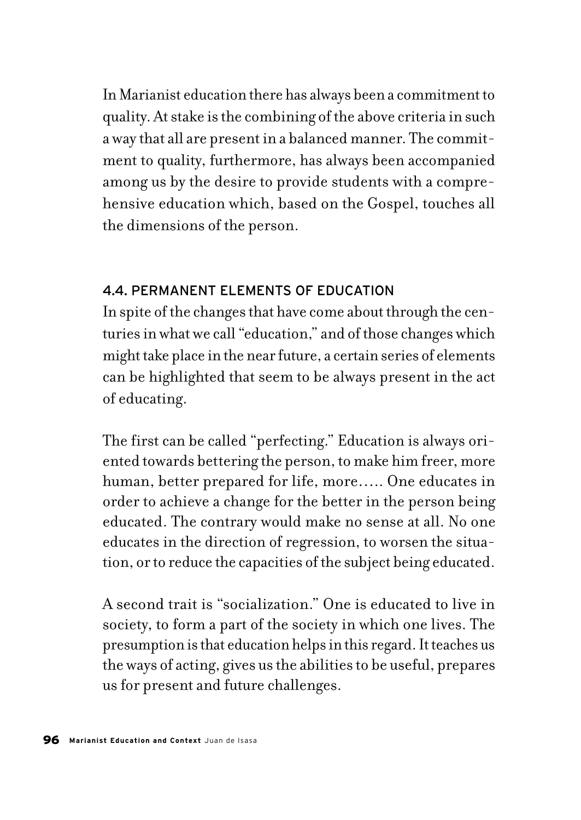In Marianist education there has always been a commitment to quality. At stake is the combining of the above criteria in such a way that all are present in a balanced manner. The commitment to quality, furthermore, has always been accompanied among us by the desire to provide students with a comprehensive education which, based on the Gospel, touches all the dimensions of the person.

### 4.4. PERMANENT ELEMENTS OF EDUCATION

In spite of the changes that have come about through the centuries in what we call "education," and of those changes which might take place in the near future, a certain series of elements can be highlighted that seem to be always present in the act of educating.

The first can be called "perfecting." Education is always oriented towards bettering the person, to make him freer, more human, better prepared for life, more….. One educates in order to achieve a change for the better in the person being educated. The contrary would make no sense at all. No one educates in the direction of regression, to worsen the situation, or to reduce the capacities of the subject being educated.

A second trait is "socialization." One is educated to live in society, to form a part of the society in which one lives. The presumption is that education helps in this regard. It teaches us the ways of acting, gives us the abilities to be useful, prepares us for present and future challenges.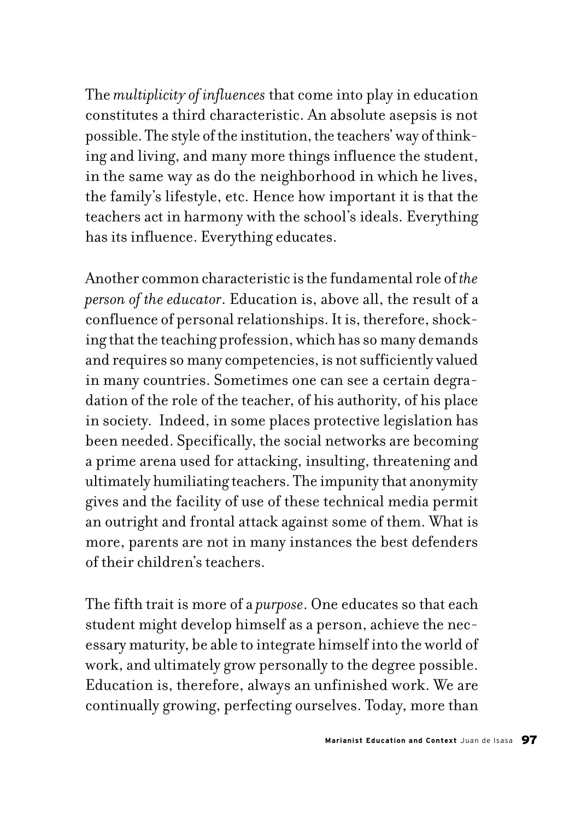The *multiplicity of influences* that come into play in education constitutes a third characteristic. An absolute asepsis is not possible. The style of the institution, the teachers' way of thinking and living, and many more things influence the student, in the same way as do the neighborhood in which he lives, the family's lifestyle, etc. Hence how important it is that the teachers act in harmony with the school's ideals. Everything has its influence. Everything educates.

Another common characteristic is the fundamental role of *the person of the educator*. Education is, above all, the result of a confluence of personal relationships. It is, therefore, shocking that the teaching profession, which has so many demands and requires so many competencies, is not sufficiently valued in many countries. Sometimes one can see a certain degradation of the role of the teacher, of his authority, of his place in society. Indeed, in some places protective legislation has been needed. Specifically, the social networks are becoming a prime arena used for attacking, insulting, threatening and ultimately humiliating teachers. The impunity that anonymity gives and the facility of use of these technical media permit an outright and frontal attack against some of them. What is more, parents are not in many instances the best defenders of their children's teachers.

The fifth trait is more of a *purpose*. One educates so that each student might develop himself as a person, achieve the necessary maturity, be able to integrate himself into the world of work, and ultimately grow personally to the degree possible. Education is, therefore, always an unfinished work. We are continually growing, perfecting ourselves. Today, more than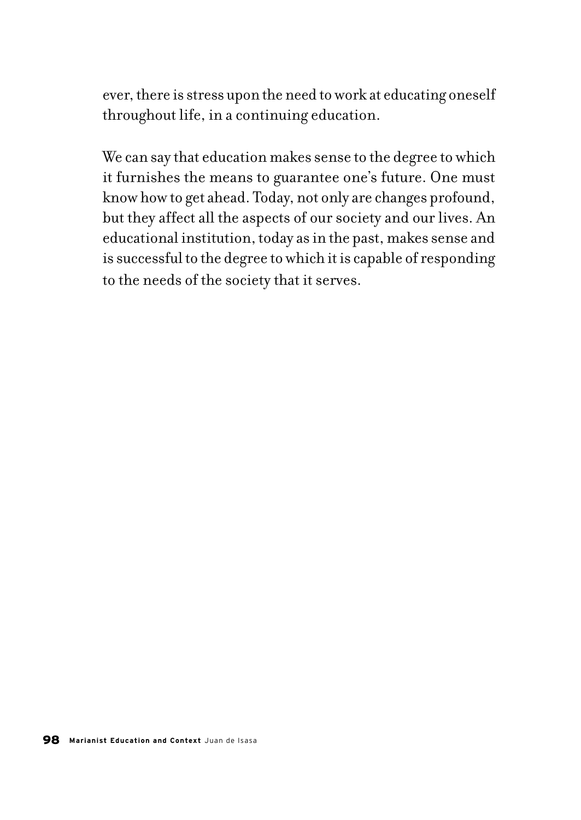ever, there is stress upon the need to work at educating oneself throughout life, in a continuing education.

We can say that education makes sense to the degree to which it furnishes the means to guarantee one's future. One must know how to get ahead. Today, not only are changes profound, but they affect all the aspects of our society and our lives. An educational institution, today as in the past, makes sense and is successful to the degree to which it is capable of responding to the needs of the society that it serves.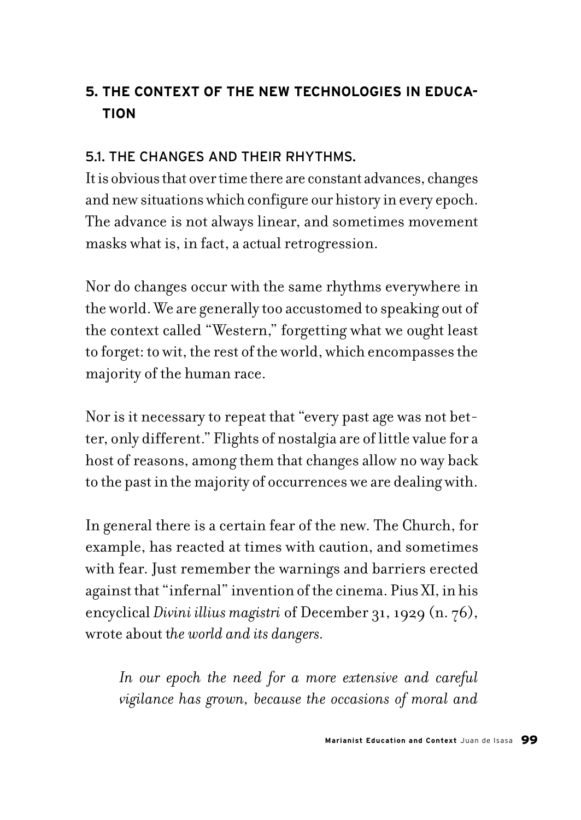# **5. THE CONTEXT OF THE NEW TECHNOLOGIES IN EDUCA-TION**

### 5.1. THE CHANGES AND THEIR RHYTHMS.

It is obvious that over time there are constant advances, changes and new situations which configure our history in every epoch. The advance is not always linear, and sometimes movement masks what is, in fact, a actual retrogression.

Nor do changes occur with the same rhythms everywhere in the world. We are generally too accustomed to speaking out of the context called "Western," forgetting what we ought least to forget: to wit, the rest of the world, which encompasses the majority of the human race.

Nor is it necessary to repeat that "every past age was not better, only different." Flights of nostalgia are of little value for a host of reasons, among them that changes allow no way back to the past in the majority of occurrences we are dealing with.

In general there is a certain fear of the new. The Church, for example, has reacted at times with caution, and sometimes with fear. Just remember the warnings and barriers erected against that "infernal" invention of the cinema. Pius XI, in his encyclical *Divini illius magistri* of December 31, 1929 (n. 76), wrote about t*he world and its dangers.*

*In our epoch the need for a more extensive and careful vigilance has grown, because the occasions of moral and*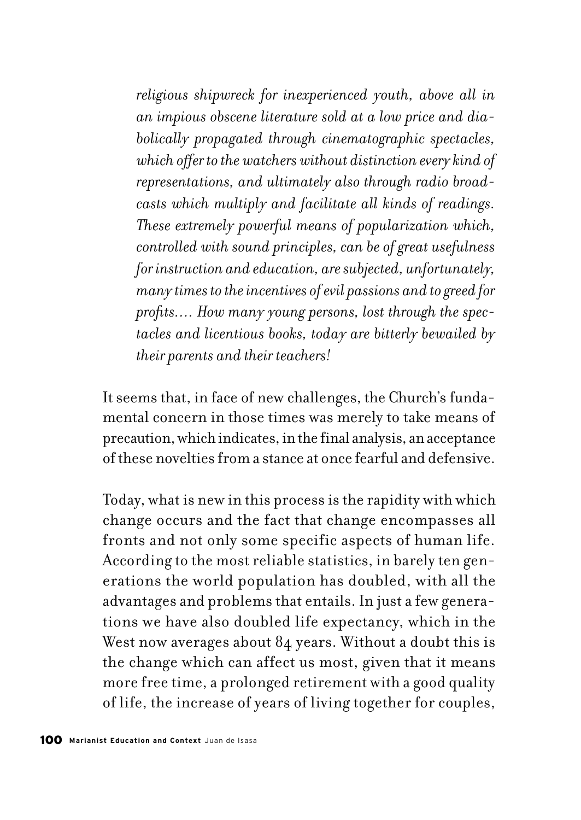*religious shipwreck for inexperienced youth, above all in an impious obscene literature sold at a low price and diabolically propagated through cinematographic spectacles, which offer to the watchers without distinction every kind of representations, and ultimately also through radio broadcasts which multiply and facilitate all kinds of readings. These extremely powerful means of popularization which, controlled with sound principles, can be of great usefulness for instruction and education, are subjected, unfortunately, many times to the incentives of evil passions and to greed for profits…. How many young persons, lost through the spectacles and licentious books, today are bitterly bewailed by their parents and their teachers!* 

It seems that, in face of new challenges, the Church's fundamental concern in those times was merely to take means of precaution, which indicates, in the final analysis, an acceptance of these novelties from a stance at once fearful and defensive.

Today, what is new in this process is the rapidity with which change occurs and the fact that change encompasses all fronts and not only some specific aspects of human life. According to the most reliable statistics, in barely ten generations the world population has doubled, with all the advantages and problems that entails. In just a few generations we have also doubled life expectancy, which in the West now averages about 84 years. Without a doubt this is the change which can affect us most, given that it means more free time, a prolonged retirement with a good quality of life, the increase of years of living together for couples,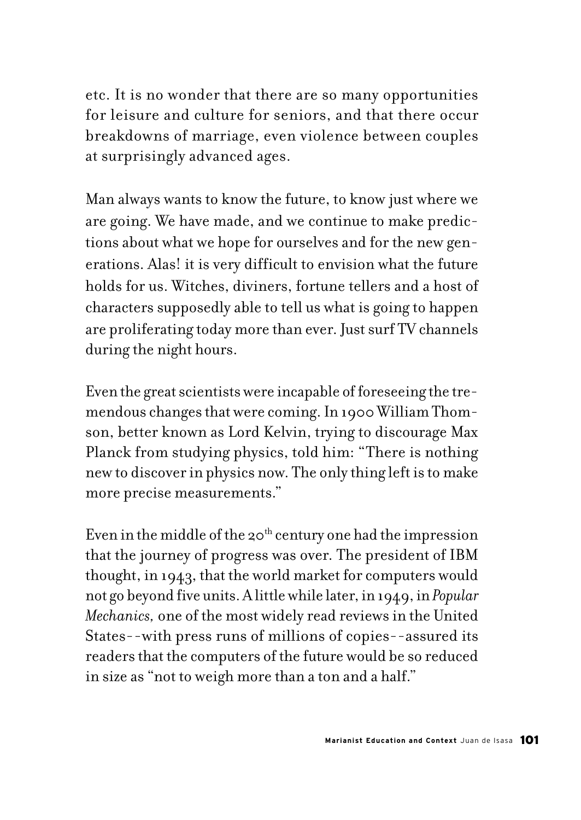etc. It is no wonder that there are so many opportunities for leisure and culture for seniors, and that there occur breakdowns of marriage, even violence between couples at surprisingly advanced ages.

Man always wants to know the future, to know just where we are going. We have made, and we continue to make predictions about what we hope for ourselves and for the new generations. Alas! it is very difficult to envision what the future holds for us. Witches, diviners, fortune tellers and a host of characters supposedly able to tell us what is going to happen are proliferating today more than ever. Just surf TV channels during the night hours.

Even the great scientists were incapable of foreseeing the tremendous changes that were coming. In 1900 William Thomson, better known as Lord Kelvin, trying to discourage Max Planck from studying physics, told him: "There is nothing new to discover in physics now. The only thing left is to make more precise measurements."

Even in the middle of the 20<sup>th</sup> century one had the impression that the journey of progress was over. The president of IBM thought, in 1943, that the world market for computers would not go beyond five units. A little while later, in 1949, in *Popular Mechanics,* one of the most widely read reviews in the United States--with press runs of millions of copies--assured its readers that the computers of the future would be so reduced in size as "not to weigh more than a ton and a half."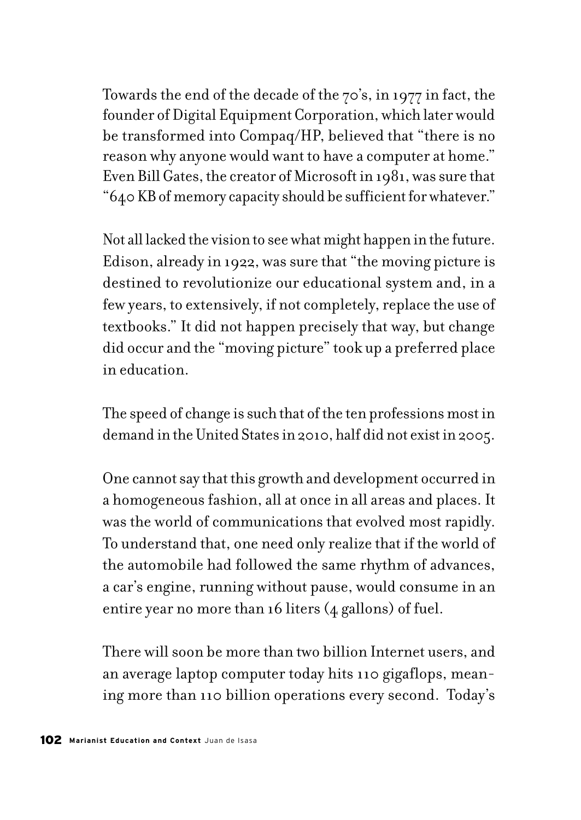Towards the end of the decade of the 70's, in 1977 in fact, the founder of Digital Equipment Corporation, which later would be transformed into Compaq/HP, believed that "there is no reason why anyone would want to have a computer at home." Even Bill Gates, the creator of Microsoft in 1981, was sure that "640 KB of memory capacity should be sufficient for whatever."

Not all lacked the vision to see what might happen in the future. Edison, already in 1922, was sure that "the moving picture is destined to revolutionize our educational system and, in a few years, to extensively, if not completely, replace the use of textbooks." It did not happen precisely that way, but change did occur and the "moving picture" took up a preferred place in education.

The speed of change is such that of the ten professions most in demand in the United States in 2010, half did not exist in 2005.

One cannot say that this growth and development occurred in a homogeneous fashion, all at once in all areas and places. It was the world of communications that evolved most rapidly. To understand that, one need only realize that if the world of the automobile had followed the same rhythm of advances, a car's engine, running without pause, would consume in an entire year no more than 16 liters (4 gallons) of fuel.

There will soon be more than two billion Internet users, and an average laptop computer today hits 110 gigaflops, meaning more than 110 billion operations every second. Today's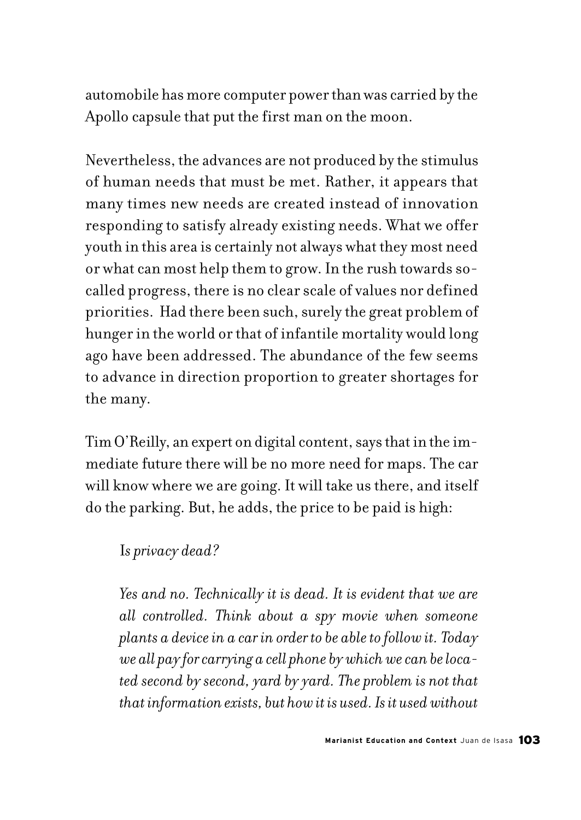automobile has more computer power than was carried by the Apollo capsule that put the first man on the moon.

Nevertheless, the advances are not produced by the stimulus of human needs that must be met. Rather, it appears that many times new needs are created instead of innovation responding to satisfy already existing needs. What we offer youth in this area is certainly not always what they most need or what can most help them to grow. In the rush towards socalled progress, there is no clear scale of values nor defined priorities. Had there been such, surely the great problem of hunger in the world or that of infantile mortality would long ago have been addressed. The abundance of the few seems to advance in direction proportion to greater shortages for the many.

Tim O'Reilly, an expert on digital content, says that in the immediate future there will be no more need for maps. The car will know where we are going. It will take us there, and itself do the parking. But, he adds, the price to be paid is high:

## I*s privacy dead?*

*Yes and no. Technically it is dead. It is evident that we are all controlled. Think about a spy movie when someone plants a device in a car in order to be able to follow it. Today we all pay for carrying a cell phone by which we can be located second by second, yard by yard. The problem is not that that information exists, but how it is used. Is it used without*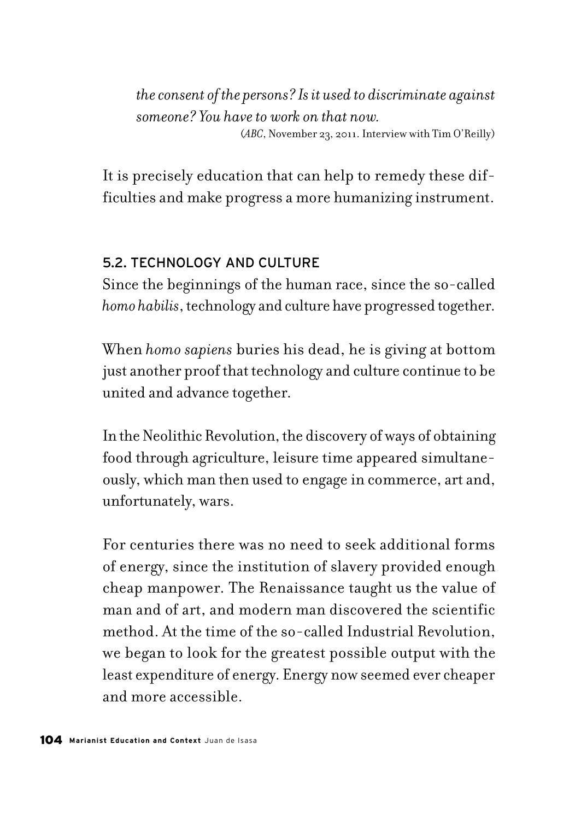*the consent of the persons? Is it used to discriminate against someone? You have to work on that now.* (*ABC*, November 23, 2011. Interview with Tim O'Reilly)

It is precisely education that can help to remedy these difficulties and make progress a more humanizing instrument.

### 5.2. TECHNOLOGY AND CULTURE

Since the beginnings of the human race, since the so-called *homo habilis*, technology and culture have progressed together.

When *homo sapiens* buries his dead, he is giving at bottom just another proof that technology and culture continue to be united and advance together.

In the Neolithic Revolution, the discovery of ways of obtaining food through agriculture, leisure time appeared simultaneously, which man then used to engage in commerce, art and, unfortunately, wars.

For centuries there was no need to seek additional forms of energy, since the institution of slavery provided enough cheap manpower. The Renaissance taught us the value of man and of art, and modern man discovered the scientific method. At the time of the so-called Industrial Revolution, we began to look for the greatest possible output with the least expenditure of energy. Energy now seemed ever cheaper and more accessible.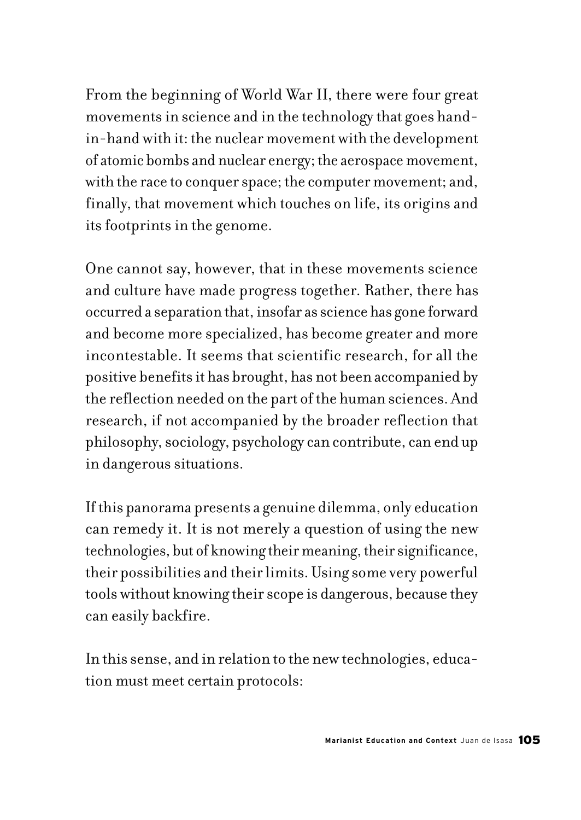From the beginning of World War II, there were four great movements in science and in the technology that goes handin-hand with it: the nuclear movement with the development of atomic bombs and nuclear energy; the aerospace movement, with the race to conquer space; the computer movement; and, finally, that movement which touches on life, its origins and its footprints in the genome.

One cannot say, however, that in these movements science and culture have made progress together. Rather, there has occurred a separation that, insofar as science has gone forward and become more specialized, has become greater and more incontestable. It seems that scientific research, for all the positive benefits it has brought, has not been accompanied by the reflection needed on the part of the human sciences. And research, if not accompanied by the broader reflection that philosophy, sociology, psychology can contribute, can end up in dangerous situations.

If this panorama presents a genuine dilemma, only education can remedy it. It is not merely a question of using the new technologies, but of knowing their meaning, their significance, their possibilities and their limits. Using some very powerful tools without knowing their scope is dangerous, because they can easily backfire.

In this sense, and in relation to the new technologies, education must meet certain protocols: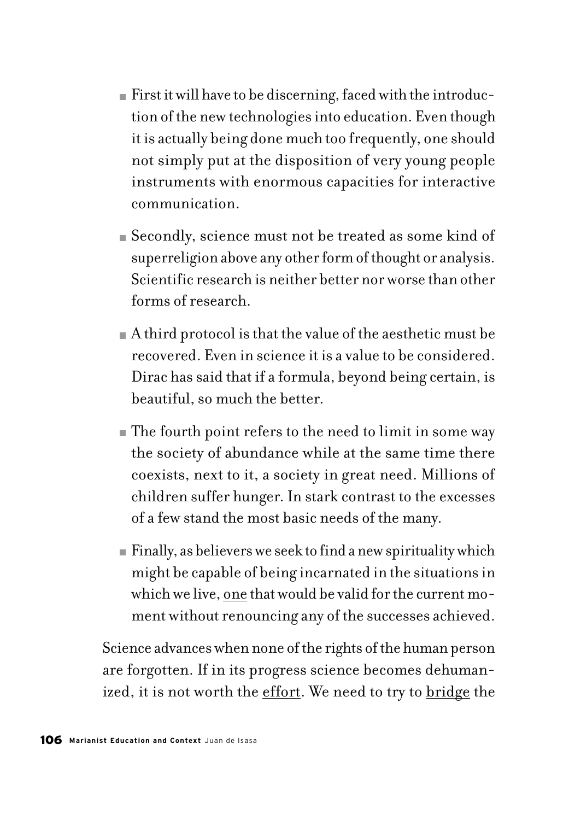- $\blacksquare$  First it will have to be discerning, faced with the introduction of the new technologies into education. Even though it is actually being done much too frequently, one should not simply put at the disposition of very young people instruments with enormous capacities for interactive communication.
- Secondly, science must not be treated as some kind of superreligion above any other form of thought or analysis. Scientific research is neither better nor worse than other forms of research.
- A third protocol is that the value of the aesthetic must be recovered. Even in science it is a value to be considered. Dirac has said that if a formula, beyond being certain, is beautiful, so much the better.
- The fourth point refers to the need to limit in some way the society of abundance while at the same time there coexists, next to it, a society in great need. Millions of children suffer hunger. In stark contrast to the excesses of a few stand the most basic needs of the many.
- Finally, as believers we seek to find a new spirituality which might be capable of being incarnated in the situations in which we live, one that would be valid for the current moment without renouncing any of the successes achieved.

Science advances when none of the rights of the human person are forgotten. If in its progress science becomes dehumanized, it is not worth the effort. We need to try to bridge the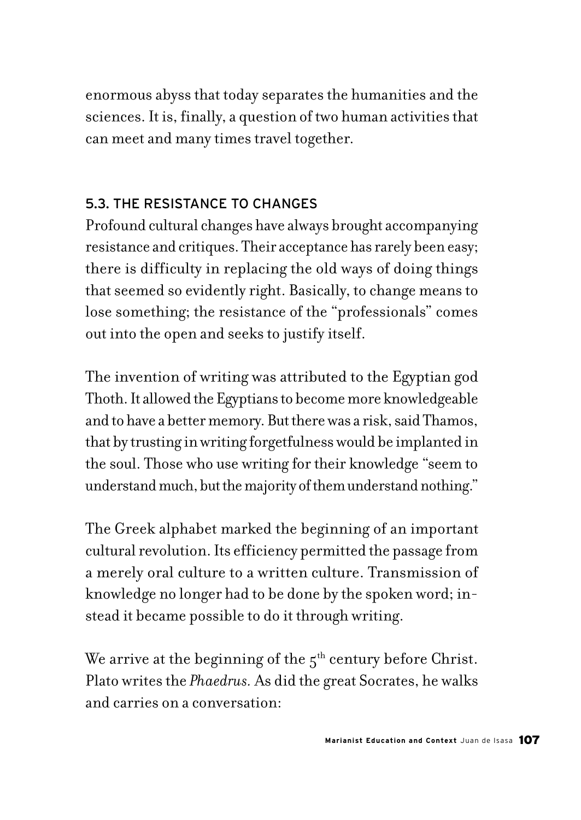enormous abyss that today separates the humanities and the sciences. It is, finally, a question of two human activities that can meet and many times travel together.

# 5.3. THE RESISTANCE TO CHANGES

Profound cultural changes have always brought accompanying resistance and critiques. Their acceptance has rarely been easy; there is difficulty in replacing the old ways of doing things that seemed so evidently right. Basically, to change means to lose something; the resistance of the "professionals" comes out into the open and seeks to justify itself.

The invention of writing was attributed to the Egyptian god Thoth. It allowed the Egyptians to become more knowledgeable and to have a better memory. But there was a risk, said Thamos, that by trusting in writing forgetfulness would be implanted in the soul. Those who use writing for their knowledge "seem to understand much, but the majority of them understand nothing."

The Greek alphabet marked the beginning of an important cultural revolution. Its efficiency permitted the passage from a merely oral culture to a written culture. Transmission of knowledge no longer had to be done by the spoken word; instead it became possible to do it through writing.

We arrive at the beginning of the  $5<sup>th</sup>$  century before Christ. Plato writes the *Phaedrus.* As did the great Socrates, he walks and carries on a conversation: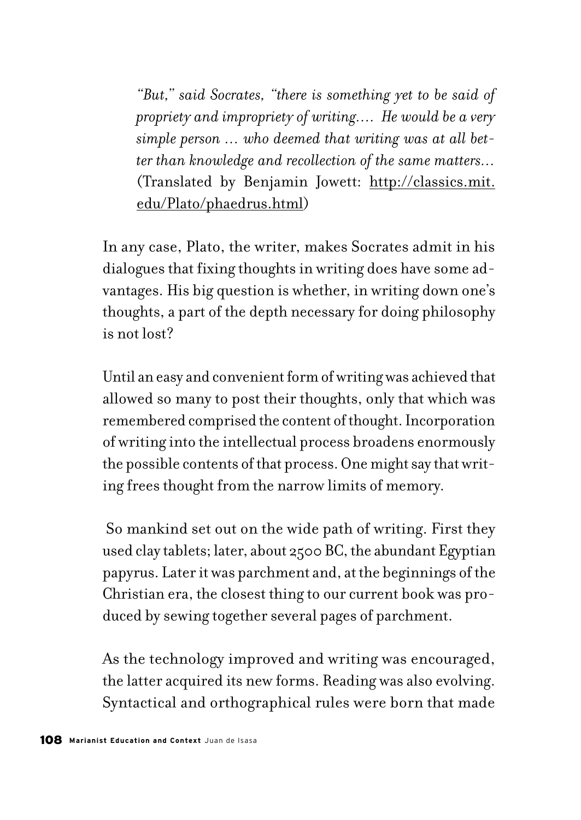*"But," said Socrates, "there is something yet to be said of propriety and impropriety of writing…. He would be a very simple person … who deemed that writing was at all better than knowledge and recollection of the same matters…* (Translated by Benjamin Jowett: http://classics.mit. edu/Plato/phaedrus.html)

In any case, Plato, the writer, makes Socrates admit in his dialogues that fixing thoughts in writing does have some advantages. His big question is whether, in writing down one's thoughts, a part of the depth necessary for doing philosophy is not lost?

Until an easy and convenient form of writing was achieved that allowed so many to post their thoughts, only that which was remembered comprised the content of thought. Incorporation of writing into the intellectual process broadens enormously the possible contents of that process. One might say that writing frees thought from the narrow limits of memory.

 So mankind set out on the wide path of writing. First they used clay tablets; later, about 2500 BC, the abundant Egyptian papyrus. Later it was parchment and, at the beginnings of the Christian era, the closest thing to our current book was produced by sewing together several pages of parchment.

As the technology improved and writing was encouraged, the latter acquired its new forms. Reading was also evolving. Syntactical and orthographical rules were born that made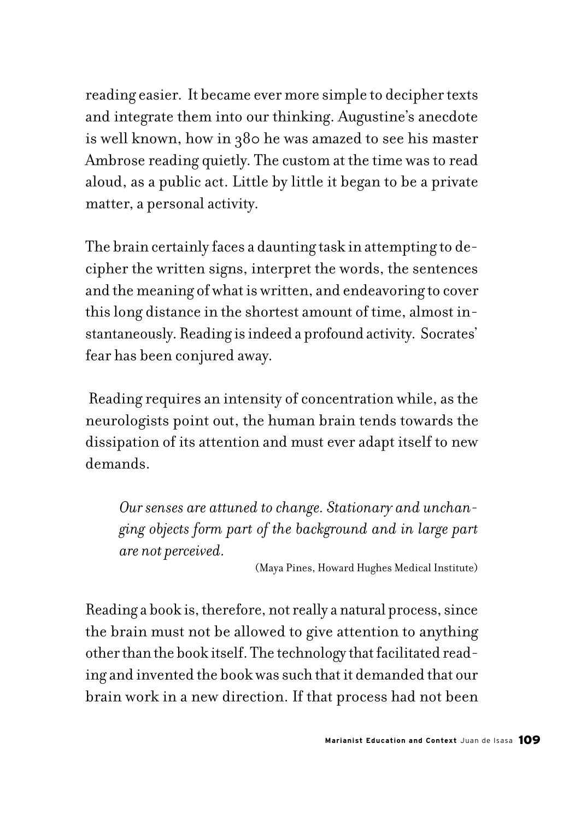reading easier. It became ever more simple to decipher texts and integrate them into our thinking. Augustine's anecdote is well known, how in 380 he was amazed to see his master Ambrose reading quietly. The custom at the time was to read aloud, as a public act. Little by little it began to be a private matter, a personal activity.

The brain certainly faces a daunting task in attempting to decipher the written signs, interpret the words, the sentences and the meaning of what is written, and endeavoring to cover this long distance in the shortest amount of time, almost instantaneously. Reading is indeed a profound activity. Socrates' fear has been conjured away.

 Reading requires an intensity of concentration while, as the neurologists point out, the human brain tends towards the dissipation of its attention and must ever adapt itself to new demands.

*Our senses are attuned to change. Stationary and unchanging objects form part of the background and in large part are not perceived.*

(Maya Pines, Howard Hughes Medical Institute)

Reading a book is, therefore, not really a natural process, since the brain must not be allowed to give attention to anything other than the book itself. The technology that facilitated reading and invented the book was such that it demanded that our brain work in a new direction. If that process had not been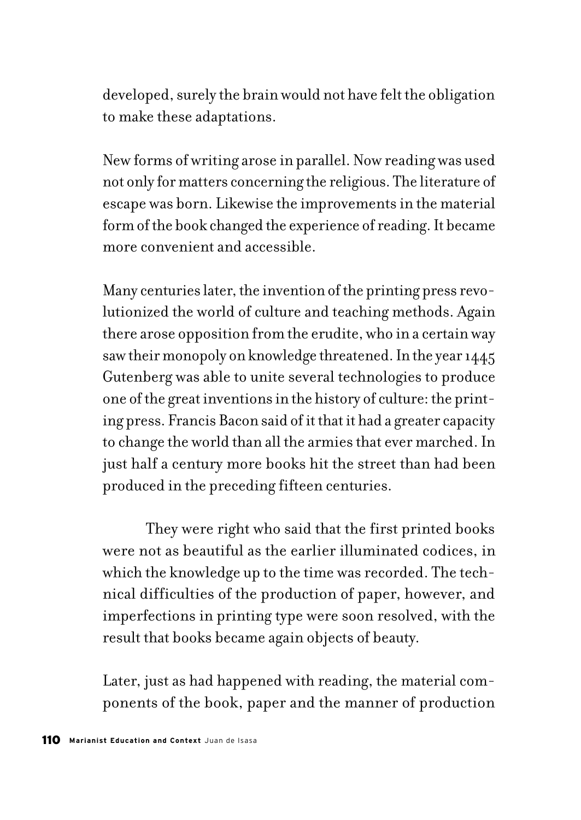developed, surely the brain would not have felt the obligation to make these adaptations.

New forms of writing arose in parallel. Now reading was used not only for matters concerning the religious. The literature of escape was born. Likewise the improvements in the material form of the book changed the experience of reading. It became more convenient and accessible.

Many centuries later, the invention of the printing press revolutionized the world of culture and teaching methods. Again there arose opposition from the erudite, who in a certain way saw their monopoly on knowledge threatened. In the year 1445 Gutenberg was able to unite several technologies to produce one of the great inventions in the history of culture: the printing press. Francis Bacon said of it that it had a greater capacity to change the world than all the armies that ever marched. In just half a century more books hit the street than had been produced in the preceding fifteen centuries.

They were right who said that the first printed books were not as beautiful as the earlier illuminated codices, in which the knowledge up to the time was recorded. The technical difficulties of the production of paper, however, and imperfections in printing type were soon resolved, with the result that books became again objects of beauty.

Later, just as had happened with reading, the material components of the book, paper and the manner of production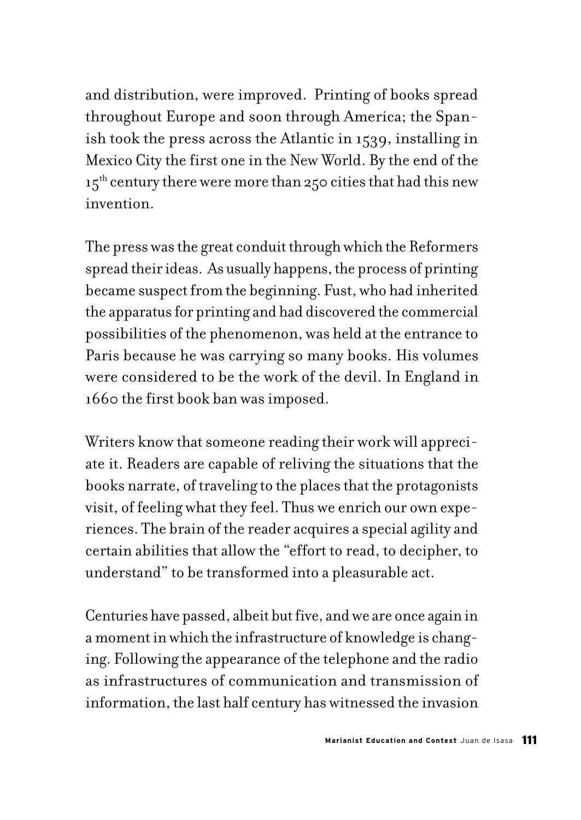and distribution, were improved. Printing of books spread throughout Europe and soon through America; the Spanish took the press across the Atlantic in 1539, installing in Mexico City the first one in the New World. By the end of the  $15<sup>th</sup>$  century there were more than 250 cities that had this new invention.

The press was the great conduit through which the Reformers spread their ideas. As usually happens, the process of printing became suspect from the beginning. Fust, who had inherited the apparatus for printing and had discovered the commercial possibilities of the phenomenon, was held at the entrance to Paris because he was carrying so many books. His volumes were considered to be the work of the devil. In England in 1660 the first book ban was imposed.

Writers know that someone reading their work will appreciate it. Readers are capable of reliving the situations that the books narrate, of traveling to the places that the protagonists visit, of feeling what they feel. Thus we enrich our own experiences. The brain of the reader acquires a special agility and certain abilities that allow the "effort to read, to decipher, to understand" to be transformed into a pleasurable act.

Centuries have passed, albeit but five, and we are once again in a moment in which the infrastructure of knowledge is changing. Following the appearance of the telephone and the radio as infrastructures of communication and transmission of information, the last half century has witnessed the invasion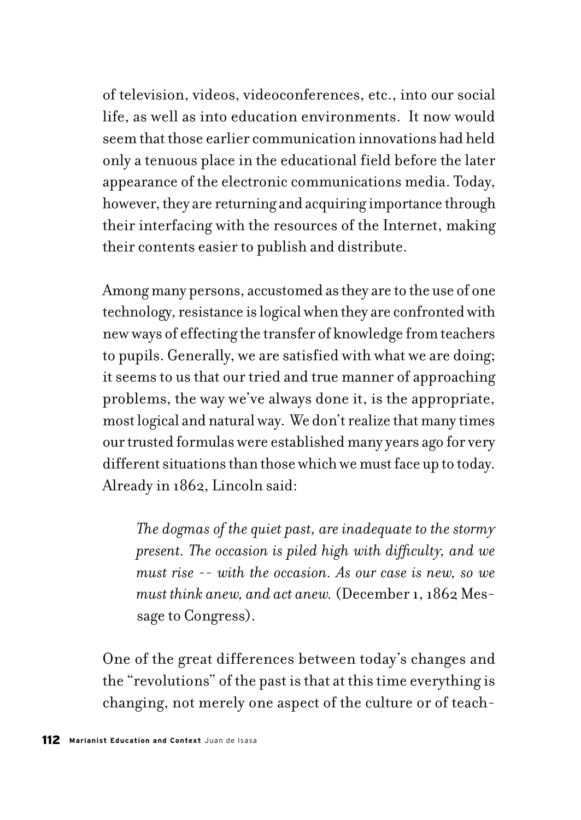of television, videos, videoconferences, etc., into our social life, as well as into education environments. It now would seem that those earlier communication innovations had held only a tenuous place in the educational field before the later appearance of the electronic communications media. Today, however, they are returning and acquiring importance through their interfacing with the resources of the Internet, making their contents easier to publish and distribute.

Among many persons, accustomed as they are to the use of one technology, resistance is logical when they are confronted with new ways of effecting the transfer of knowledge from teachers to pupils. Generally, we are satisfied with what we are doing; it seems to us that our tried and true manner of approaching problems, the way we've always done it, is the appropriate, most logical and natural way. We don't realize that many times our trusted formulas were established many years ago for very different situations than those which we must face up to today. Already in 1862, Lincoln said:

*The dogmas of the quiet past, are inadequate to the stormy present. The occasion is piled high with difficulty, and we must rise -- with the occasion. As our case is new, so we must think anew, and act anew.* (December 1, 1862 Message to Congress).

One of the great differences between today's changes and the "revolutions" of the past is that at this time everything is changing, not merely one aspect of the culture or of teach-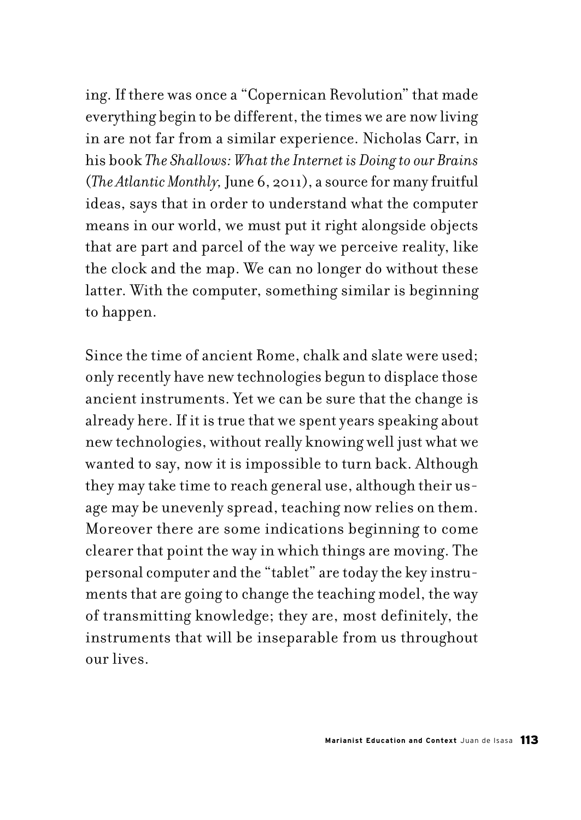ing. If there was once a "Copernican Revolution" that made everything begin to be different, the times we are now living in are not far from a similar experience. Nicholas Carr, in his book *The Shallows: What the Internet is Doing to our Brains* (*The Atlantic Monthly,* June 6, 2011), a source for many fruitful ideas, says that in order to understand what the computer means in our world, we must put it right alongside objects that are part and parcel of the way we perceive reality, like the clock and the map. We can no longer do without these latter. With the computer, something similar is beginning to happen.

Since the time of ancient Rome, chalk and slate were used; only recently have new technologies begun to displace those ancient instruments. Yet we can be sure that the change is already here. If it is true that we spent years speaking about new technologies, without really knowing well just what we wanted to say, now it is impossible to turn back. Although they may take time to reach general use, although their usage may be unevenly spread, teaching now relies on them. Moreover there are some indications beginning to come clearer that point the way in which things are moving. The personal computer and the "tablet" are today the key instruments that are going to change the teaching model, the way of transmitting knowledge; they are, most definitely, the instruments that will be inseparable from us throughout our lives.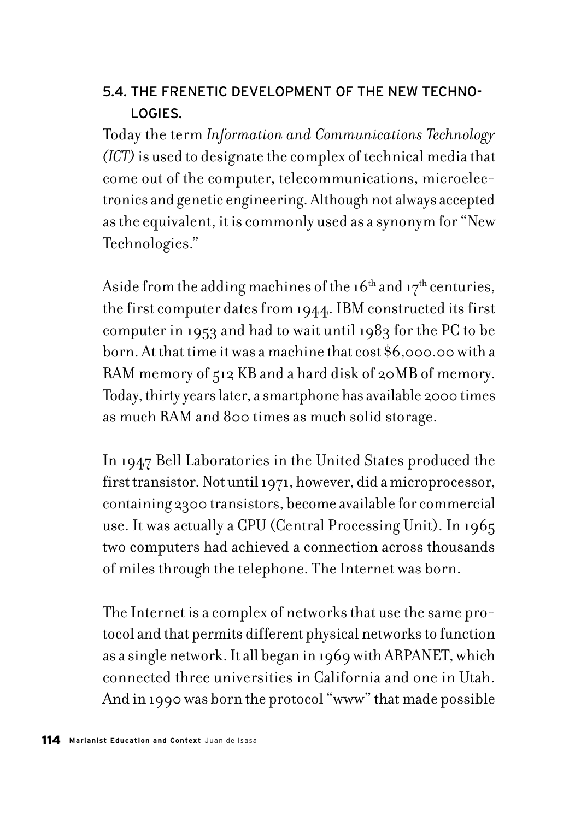# 5.4. THE FRENETIC DEVELOPMENT OF THE NEW TECHNO-LOGIES.

Today the term *Information and Communications Technology (ICT)* is used to designate the complex of technical media that come out of the computer, telecommunications, microelectronics and genetic engineering. Although not always accepted as the equivalent, it is commonly used as a synonym for "New Technologies."

Aside from the adding machines of the  $16<sup>th</sup>$  and  $17<sup>th</sup>$  centuries, the first computer dates from 1944. IBM constructed its first computer in 1953 and had to wait until 1983 for the PC to be born. At that time it was a machine that cost \$6,000.00 with a RAM memory of 512 KB and a hard disk of 20MB of memory. Today, thirty years later, a smartphone has available 2000 times as much RAM and 800 times as much solid storage.

In 1947 Bell Laboratories in the United States produced the first transistor. Not until 1971, however, did a microprocessor, containing 2300 transistors, become available for commercial use. It was actually a CPU (Central Processing Unit). In 1965 two computers had achieved a connection across thousands of miles through the telephone. The Internet was born.

The Internet is a complex of networks that use the same protocol and that permits different physical networks to function as a single network. It all began in 1969 with ARPANET, which connected three universities in California and one in Utah. And in 1990 was born the protocol "www" that made possible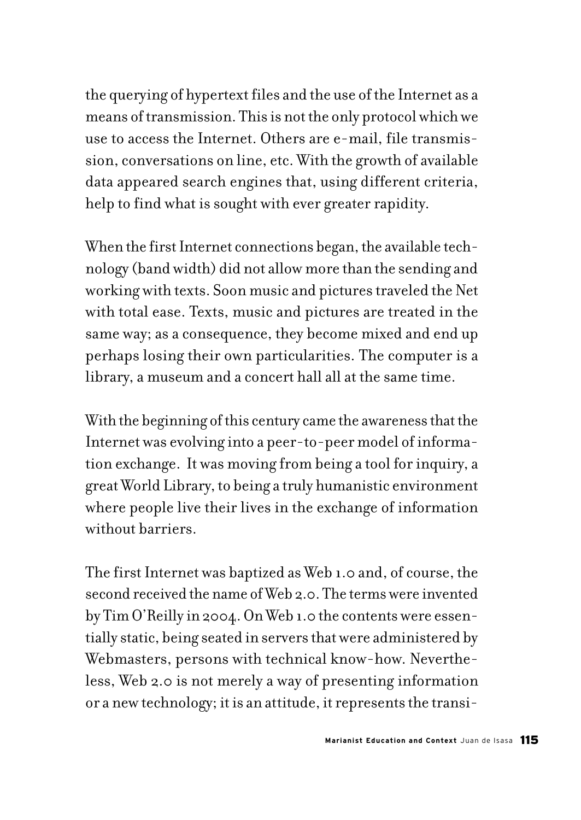the querying of hypertext files and the use of the Internet as a means of transmission. This is not the only protocol which we use to access the Internet. Others are e-mail, file transmission, conversations on line, etc. With the growth of available data appeared search engines that, using different criteria, help to find what is sought with ever greater rapidity.

When the first Internet connections began, the available technology (band width) did not allow more than the sending and working with texts. Soon music and pictures traveled the Net with total ease. Texts, music and pictures are treated in the same way; as a consequence, they become mixed and end up perhaps losing their own particularities. The computer is a library, a museum and a concert hall all at the same time.

With the beginning of this century came the awareness that the Internet was evolving into a peer-to-peer model of information exchange. It was moving from being a tool for inquiry, a great World Library, to being a truly humanistic environment where people live their lives in the exchange of information without barriers.

The first Internet was baptized as Web 1.0 and, of course, the second received the name of Web 2.0. The terms were invented by Tim O'Reilly in 2004. On Web 1.0 the contents were essentially static, being seated in servers that were administered by Webmasters, persons with technical know-how. Nevertheless, Web 2.0 is not merely a way of presenting information or a new technology; it is an attitude, it represents the transi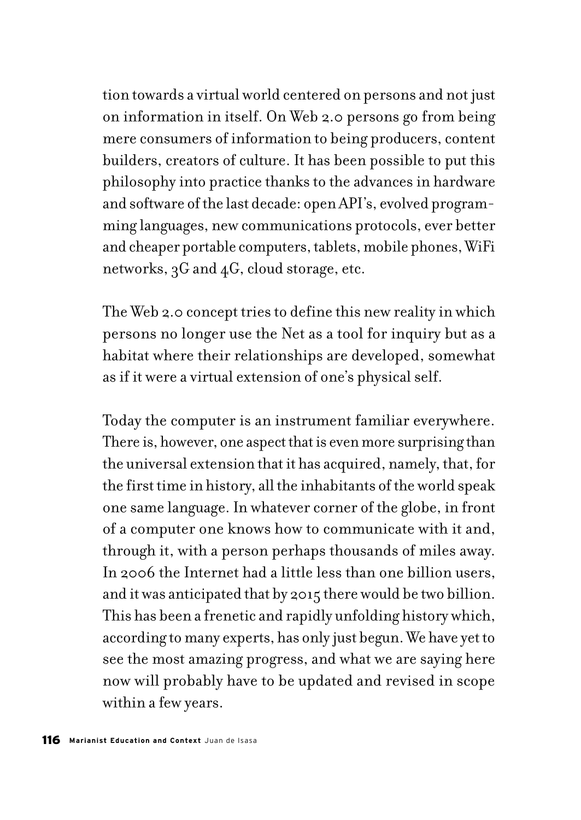tion towards a virtual world centered on persons and not just on information in itself. On Web 2.0 persons go from being mere consumers of information to being producers, content builders, creators of culture. It has been possible to put this philosophy into practice thanks to the advances in hardware and software of the last decade: open API's, evolved programming languages, new communications protocols, ever better and cheaper portable computers, tablets, mobile phones, WiFi networks, 3G and 4G, cloud storage, etc.

The Web 2.0 concept tries to define this new reality in which persons no longer use the Net as a tool for inquiry but as a habitat where their relationships are developed, somewhat as if it were a virtual extension of one's physical self.

Today the computer is an instrument familiar everywhere. There is, however, one aspect that is even more surprising than the universal extension that it has acquired, namely, that, for the first time in history, all the inhabitants of the world speak one same language. In whatever corner of the globe, in front of a computer one knows how to communicate with it and, through it, with a person perhaps thousands of miles away. In 2006 the Internet had a little less than one billion users, and it was anticipated that by 2015 there would be two billion. This has been a frenetic and rapidly unfolding history which, according to many experts, has only just begun. We have yet to see the most amazing progress, and what we are saying here now will probably have to be updated and revised in scope within a few years.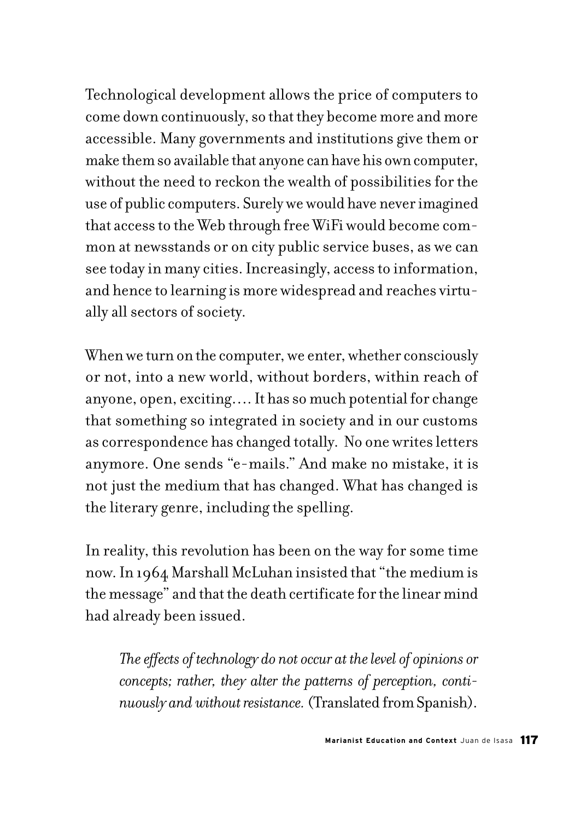Technological development allows the price of computers to come down continuously, so that they become more and more accessible. Many governments and institutions give them or make them so available that anyone can have his own computer, without the need to reckon the wealth of possibilities for the use of public computers. Surely we would have never imagined that access to the Web through free WiFi would become common at newsstands or on city public service buses, as we can see today in many cities. Increasingly, access to information, and hence to learning is more widespread and reaches virtually all sectors of society.

When we turn on the computer, we enter, whether consciously or not, into a new world, without borders, within reach of anyone, open, exciting…. It has so much potential for change that something so integrated in society and in our customs as correspondence has changed totally. No one writes letters anymore. One sends "e-mails." And make no mistake, it is not just the medium that has changed. What has changed is the literary genre, including the spelling.

In reality, this revolution has been on the way for some time now. In 1964 Marshall McLuhan insisted that "the medium is the message" and that the death certificate for the linear mind had already been issued.

*The effects of technology do not occur at the level of opinions or concepts; rather, they alter the patterns of perception, continuously and without resistance.* (Translated from Spanish).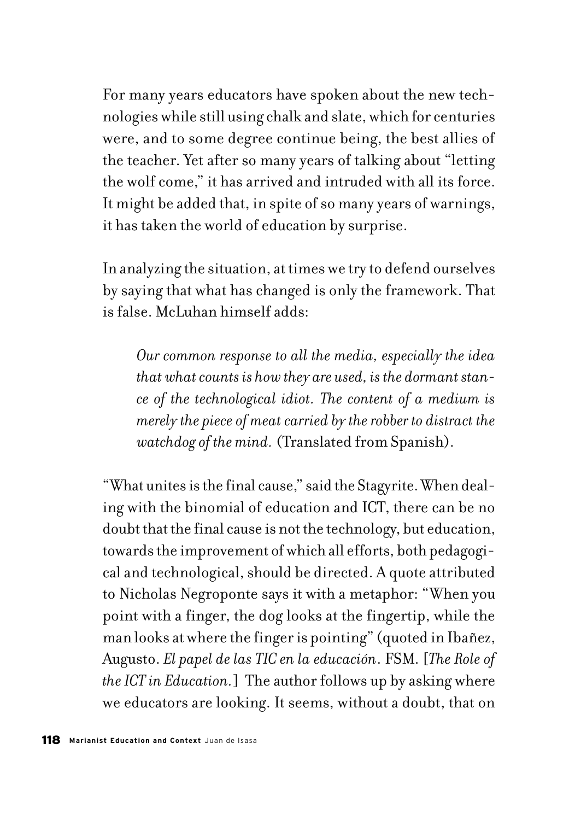For many years educators have spoken about the new technologies while still using chalk and slate, which for centuries were, and to some degree continue being, the best allies of the teacher. Yet after so many years of talking about "letting the wolf come," it has arrived and intruded with all its force. It might be added that, in spite of so many years of warnings, it has taken the world of education by surprise.

In analyzing the situation, at times we try to defend ourselves by saying that what has changed is only the framework. That is false. McLuhan himself adds:

*Our common response to all the media, especially the idea that what counts is how they are used, is the dormant stance of the technological idiot. The content of a medium is merely the piece of meat carried by the robber to distract the watchdog of the mind.* (Translated from Spanish).

"What unites is the final cause," said the Stagyrite. When dealing with the binomial of education and ICT, there can be no doubt that the final cause is not the technology, but education, towards the improvement of which all efforts, both pedagogical and technological, should be directed. A quote attributed to Nicholas Negroponte says it with a metaphor: "When you point with a finger, the dog looks at the fingertip, while the man looks at where the finger is pointing" (quoted in Ibañez, Augusto. *El papel de las TIC en la educación*. FSM. [*The Role of the ICT in Education.*] The author follows up by asking where we educators are looking. It seems, without a doubt, that on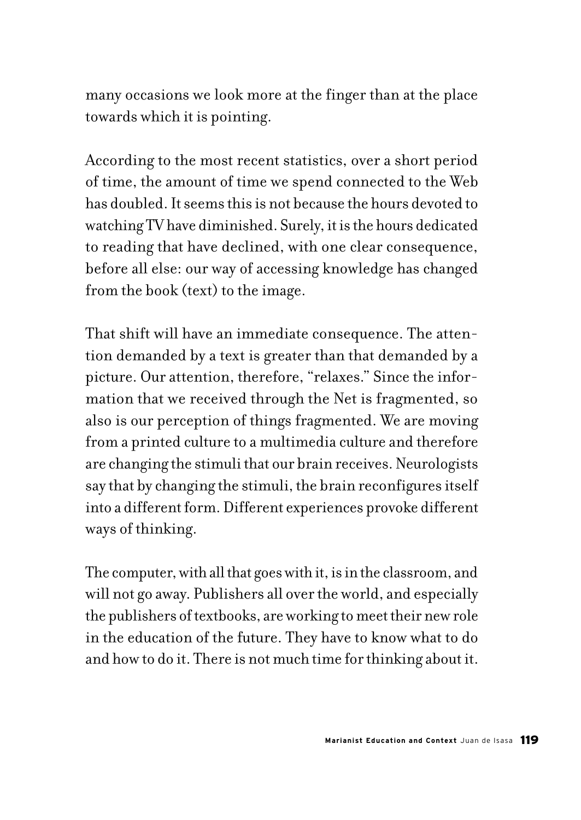many occasions we look more at the finger than at the place towards which it is pointing.

According to the most recent statistics, over a short period of time, the amount of time we spend connected to the Web has doubled. It seems this is not because the hours devoted to watching TV have diminished. Surely, it is the hours dedicated to reading that have declined, with one clear consequence, before all else: our way of accessing knowledge has changed from the book (text) to the image.

That shift will have an immediate consequence. The attention demanded by a text is greater than that demanded by a picture. Our attention, therefore, "relaxes." Since the information that we received through the Net is fragmented, so also is our perception of things fragmented. We are moving from a printed culture to a multimedia culture and therefore are changing the stimuli that our brain receives. Neurologists say that by changing the stimuli, the brain reconfigures itself into a different form. Different experiences provoke different ways of thinking.

The computer, with all that goes with it, is in the classroom, and will not go away. Publishers all over the world, and especially the publishers of textbooks, are working to meet their new role in the education of the future. They have to know what to do and how to do it. There is not much time for thinking about it.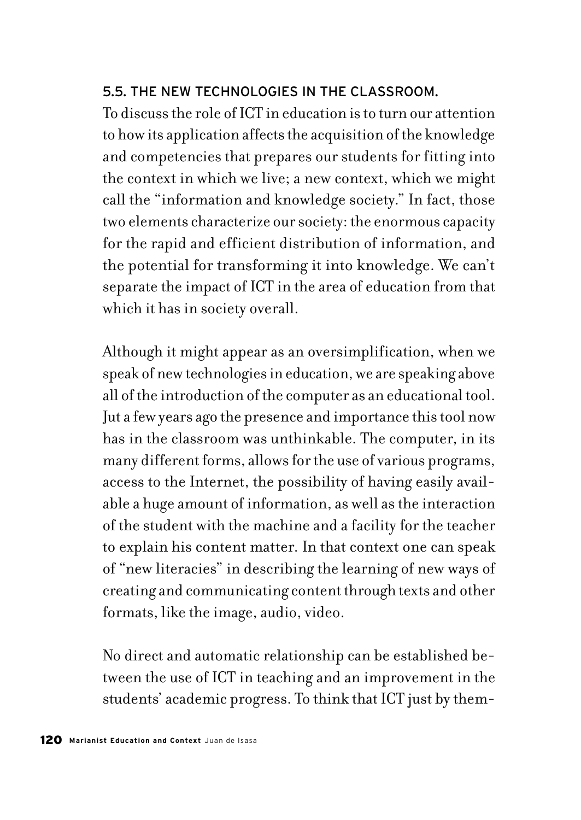### 5.5. THE NEW TECHNOLOGIES IN THE CLASSROOM.

To discuss the role of ICT in education is to turn our attention to how its application affects the acquisition of the knowledge and competencies that prepares our students for fitting into the context in which we live; a new context, which we might call the "information and knowledge society." In fact, those two elements characterize our society: the enormous capacity for the rapid and efficient distribution of information, and the potential for transforming it into knowledge. We can't separate the impact of ICT in the area of education from that which it has in society overall.

Although it might appear as an oversimplification, when we speak of new technologies in education, we are speaking above all of the introduction of the computer as an educational tool. Jut a few years ago the presence and importance this tool now has in the classroom was unthinkable. The computer, in its many different forms, allows for the use of various programs, access to the Internet, the possibility of having easily available a huge amount of information, as well as the interaction of the student with the machine and a facility for the teacher to explain his content matter. In that context one can speak of "new literacies" in describing the learning of new ways of creating and communicating content through texts and other formats, like the image, audio, video.

No direct and automatic relationship can be established between the use of ICT in teaching and an improvement in the students' academic progress. To think that ICT just by them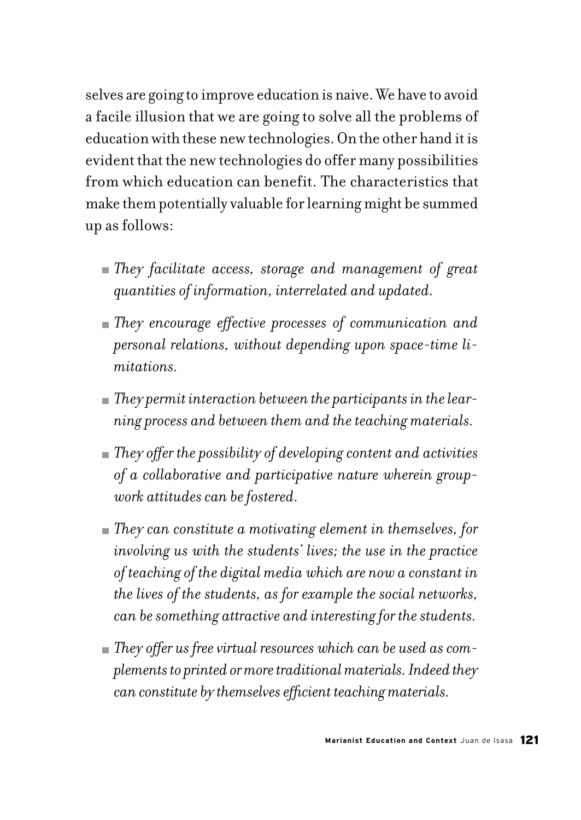selves are going to improve education is naive. We have to avoid a facile illusion that we are going to solve all the problems of education with these new technologies. On the other hand it is evident that the new technologies do offer many possibilities from which education can benefit. The characteristics that make them potentially valuable for learning might be summed up as follows:

- *They facilitate access, storage and management of great quantities of information, interrelated and updated.*
- *They encourage effective processes of communication and personal relations, without depending upon space-time limitations.*
- *They permit interaction between the participants in the learning process and between them and the teaching materials.*
- *They offer the possibility of developing content and activities of a collaborative and participative nature wherein groupwork attitudes can be fostered.*
- *They can constitute a motivating element in themselves, for involving us with the students' lives; the use in the practice of teaching of the digital media which are now a constant in the lives of the students, as for example the social networks, can be something attractive and interesting for the students.*
- *They offer us free virtual resources which can be used as complements to printed or more traditional materials. Indeed they can constitute by themselves efficient teaching materials.*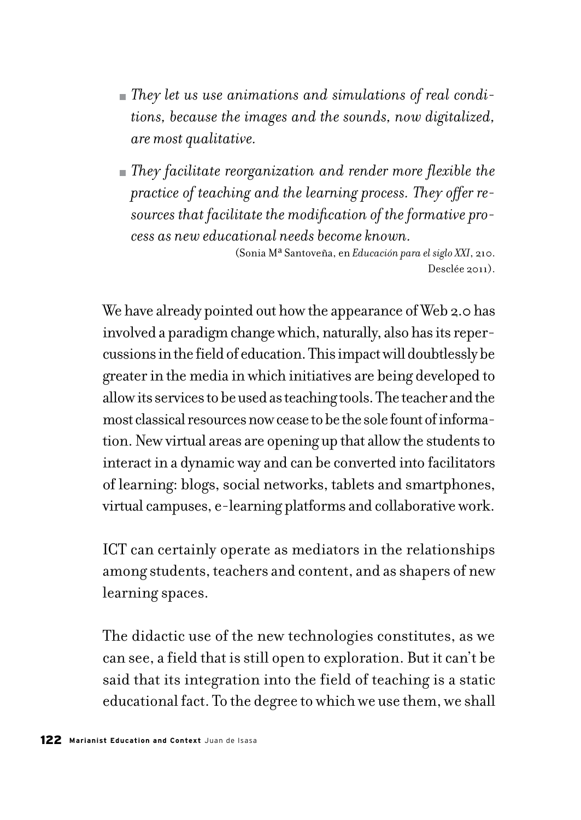- *They let us use animations and simulations of real conditions, because the images and the sounds, now digitalized, are most qualitative.*
- *They facilitate reorganization and render more flexible the practice of teaching and the learning process. They offer resources that facilitate the modification of the formative process as new educational needs become known.*

(Sonia Mª Santoveña, en *Educación para el siglo XXI*, 210. Desclée 2011).

We have already pointed out how the appearance of Web 2.0 has involved a paradigm change which, naturally, also has its repercussions in the field of education. This impact will doubtlessly be greater in the media in which initiatives are being developed to allow its services to be used as teaching tools. The teacher and the most classical resources now cease to be the sole fount of information. New virtual areas are opening up that allow the students to interact in a dynamic way and can be converted into facilitators of learning: blogs, social networks, tablets and smartphones, virtual campuses, e-learning platforms and collaborative work.

ICT can certainly operate as mediators in the relationships among students, teachers and content, and as shapers of new learning spaces.

The didactic use of the new technologies constitutes, as we can see, a field that is still open to exploration. But it can't be said that its integration into the field of teaching is a static educational fact. To the degree to which we use them, we shall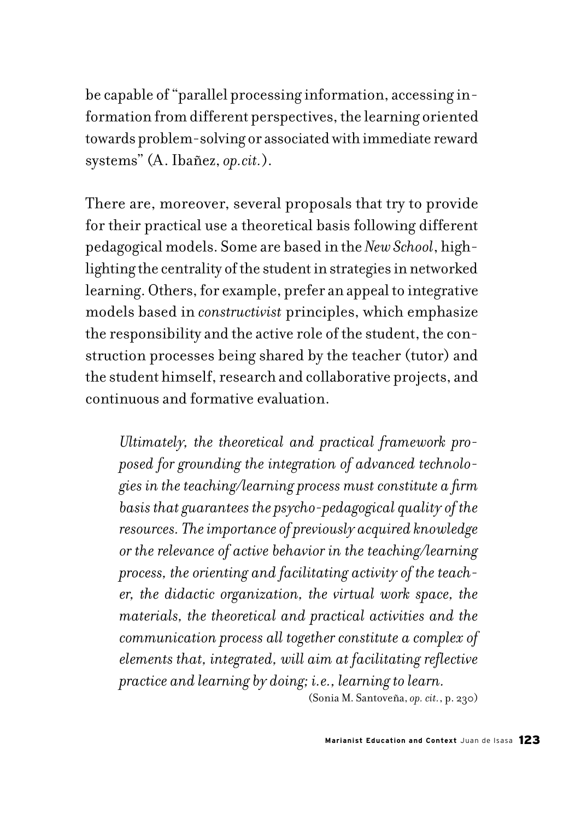be capable of "parallel processing information, accessing information from different perspectives, the learning oriented towards problem-solving or associated with immediate reward systems" (A. Ibañez, *op.cit.*).

There are, moreover, several proposals that try to provide for their practical use a theoretical basis following different pedagogical models. Some are based in the *New School*, highlighting the centrality of the student in strategies in networked learning. Others, for example, prefer an appeal to integrative models based in *constructivist* principles, which emphasize the responsibility and the active role of the student, the construction processes being shared by the teacher (tutor) and the student himself, research and collaborative projects, and continuous and formative evaluation.

*Ultimately, the theoretical and practical framework proposed for grounding the integration of advanced technologies in the teaching/learning process must constitute a firm basis that guarantees the psycho-pedagogical quality of the resources. The importance of previously acquired knowledge or the relevance of active behavior in the teaching/learning process, the orienting and facilitating activity of the teacher, the didactic organization, the virtual work space, the materials, the theoretical and practical activities and the communication process all together constitute a complex of elements that, integrated, will aim at facilitating reflective practice and learning by doing; i.e., learning to learn.* 

(Sonia M. Santoveña, *op. cit.*, p. 230)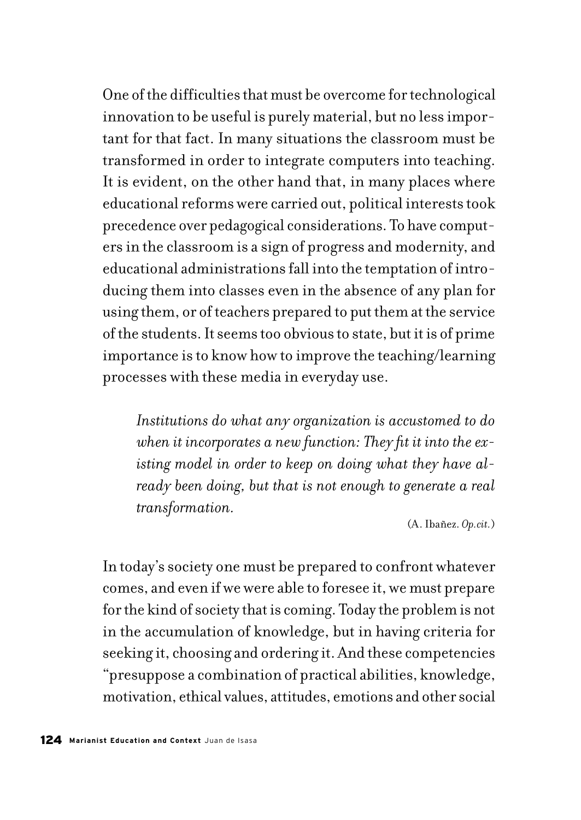One of the difficulties that must be overcome for technological innovation to be useful is purely material, but no less important for that fact. In many situations the classroom must be transformed in order to integrate computers into teaching. It is evident, on the other hand that, in many places where educational reforms were carried out, political interests took precedence over pedagogical considerations. To have computers in the classroom is a sign of progress and modernity, and educational administrations fall into the temptation of introducing them into classes even in the absence of any plan for using them, or of teachers prepared to put them at the service of the students. It seems too obvious to state, but it is of prime importance is to know how to improve the teaching/learning processes with these media in everyday use.

*Institutions do what any organization is accustomed to do when it incorporates a new function: They fit it into the existing model in order to keep on doing what they have already been doing, but that is not enough to generate a real transformation.*

(A. Ibañez. *Op.cit.*)

In today's society one must be prepared to confront whatever comes, and even if we were able to foresee it, we must prepare for the kind of society that is coming. Today the problem is not in the accumulation of knowledge, but in having criteria for seeking it, choosing and ordering it. And these competencies "presuppose a combination of practical abilities, knowledge, motivation, ethical values, attitudes, emotions and other social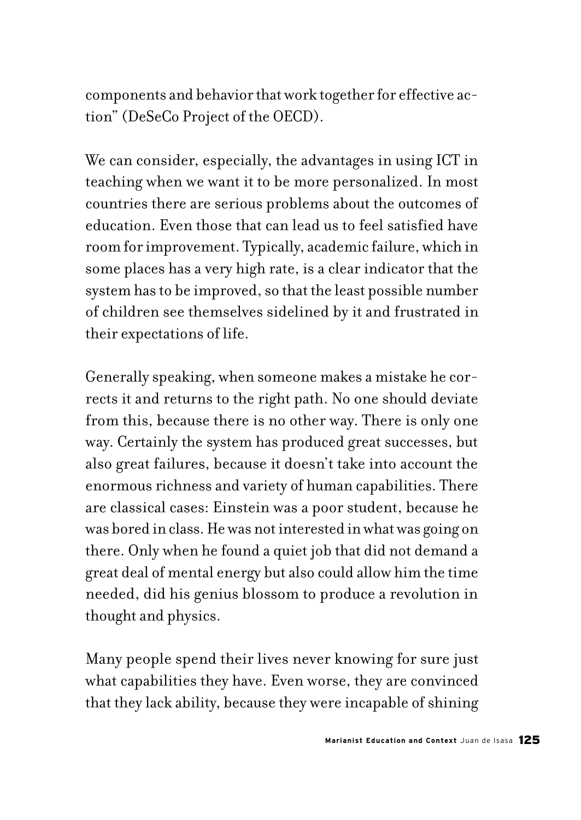components and behavior that work together for effective action" (DeSeCo Project of the OECD).

We can consider, especially, the advantages in using ICT in teaching when we want it to be more personalized. In most countries there are serious problems about the outcomes of education. Even those that can lead us to feel satisfied have room for improvement. Typically, academic failure, which in some places has a very high rate, is a clear indicator that the system has to be improved, so that the least possible number of children see themselves sidelined by it and frustrated in their expectations of life.

Generally speaking, when someone makes a mistake he corrects it and returns to the right path. No one should deviate from this, because there is no other way. There is only one way. Certainly the system has produced great successes, but also great failures, because it doesn't take into account the enormous richness and variety of human capabilities. There are classical cases: Einstein was a poor student, because he was bored in class. He was not interested in what was going on there. Only when he found a quiet job that did not demand a great deal of mental energy but also could allow him the time needed, did his genius blossom to produce a revolution in thought and physics.

Many people spend their lives never knowing for sure just what capabilities they have. Even worse, they are convinced that they lack ability, because they were incapable of shining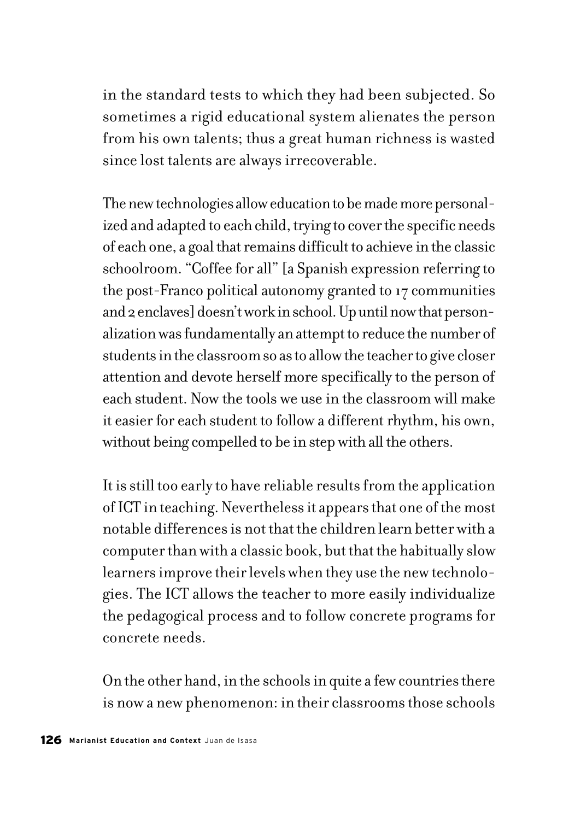in the standard tests to which they had been subjected. So sometimes a rigid educational system alienates the person from his own talents; thus a great human richness is wasted since lost talents are always irrecoverable.

The new technologies allow education to be made more personalized and adapted to each child, trying to cover the specific needs of each one, a goal that remains difficult to achieve in the classic schoolroom. "Coffee for all" [a Spanish expression referring to the post-Franco political autonomy granted to 17 communities and 2 enclaves] doesn't work in school. Up until now that personalization was fundamentally an attempt to reduce the number of students in the classroom so as to allow the teacher to give closer attention and devote herself more specifically to the person of each student. Now the tools we use in the classroom will make it easier for each student to follow a different rhythm, his own, without being compelled to be in step with all the others.

It is still too early to have reliable results from the application of ICT in teaching. Nevertheless it appears that one of the most notable differences is not that the children learn better with a computer than with a classic book, but that the habitually slow learners improve their levels when they use the new technologies. The ICT allows the teacher to more easily individualize the pedagogical process and to follow concrete programs for concrete needs.

On the other hand, in the schools in quite a few countries there is now a new phenomenon: in their classrooms those schools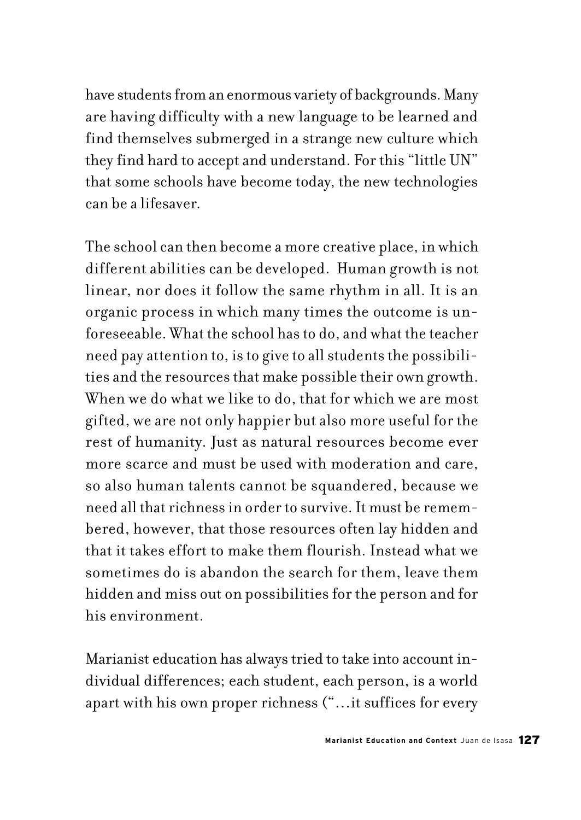have students from an enormous variety of backgrounds. Many are having difficulty with a new language to be learned and find themselves submerged in a strange new culture which they find hard to accept and understand. For this "little UN" that some schools have become today, the new technologies can be a lifesaver.

The school can then become a more creative place, in which different abilities can be developed. Human growth is not linear, nor does it follow the same rhythm in all. It is an organic process in which many times the outcome is unforeseeable. What the school has to do, and what the teacher need pay attention to, is to give to all students the possibilities and the resources that make possible their own growth. When we do what we like to do, that for which we are most gifted, we are not only happier but also more useful for the rest of humanity. Just as natural resources become ever more scarce and must be used with moderation and care, so also human talents cannot be squandered, because we need all that richness in order to survive. It must be remembered, however, that those resources often lay hidden and that it takes effort to make them flourish. Instead what we sometimes do is abandon the search for them, leave them hidden and miss out on possibilities for the person and for his environment.

Marianist education has always tried to take into account individual differences; each student, each person, is a world apart with his own proper richness ("…it suffices for every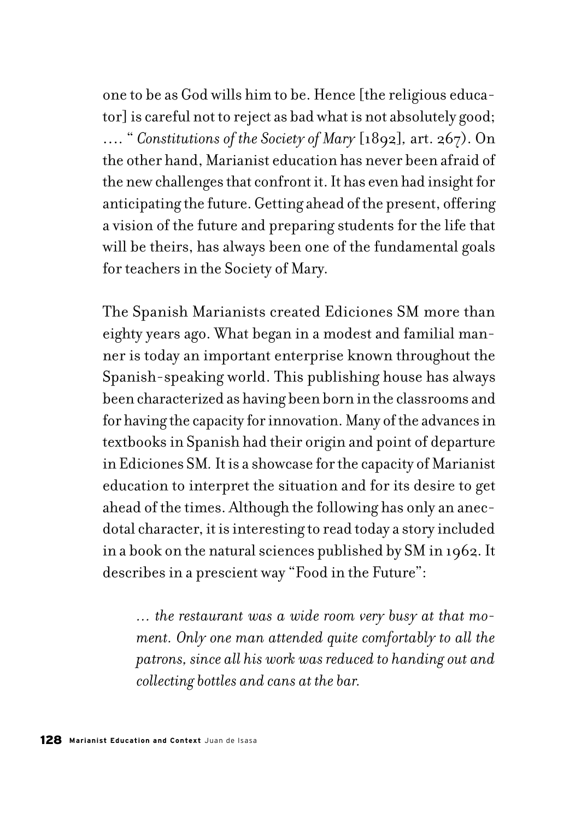one to be as God wills him to be. Hence [the religious educator] is careful not to reject as bad what is not absolutely good; …. " *Constitutions of the Society of Mary* [1892]*,* art. 267). On the other hand, Marianist education has never been afraid of the new challenges that confront it. It has even had insight for anticipating the future. Getting ahead of the present, offering a vision of the future and preparing students for the life that will be theirs, has always been one of the fundamental goals for teachers in the Society of Mary.

The Spanish Marianists created Ediciones SM more than eighty years ago. What began in a modest and familial manner is today an important enterprise known throughout the Spanish-speaking world. This publishing house has always been characterized as having been born in the classrooms and for having the capacity for innovation. Many of the advances in textbooks in Spanish had their origin and point of departure in Ediciones SM*.* It is a showcase for the capacity of Marianist education to interpret the situation and for its desire to get ahead of the times. Although the following has only an anecdotal character, it is interesting to read today a story included in a book on the natural sciences published by SM in 1962. It describes in a prescient way "Food in the Future":

*… the restaurant was a wide room very busy at that moment. Only one man attended quite comfortably to all the patrons, since all his work was reduced to handing out and collecting bottles and cans at the bar.*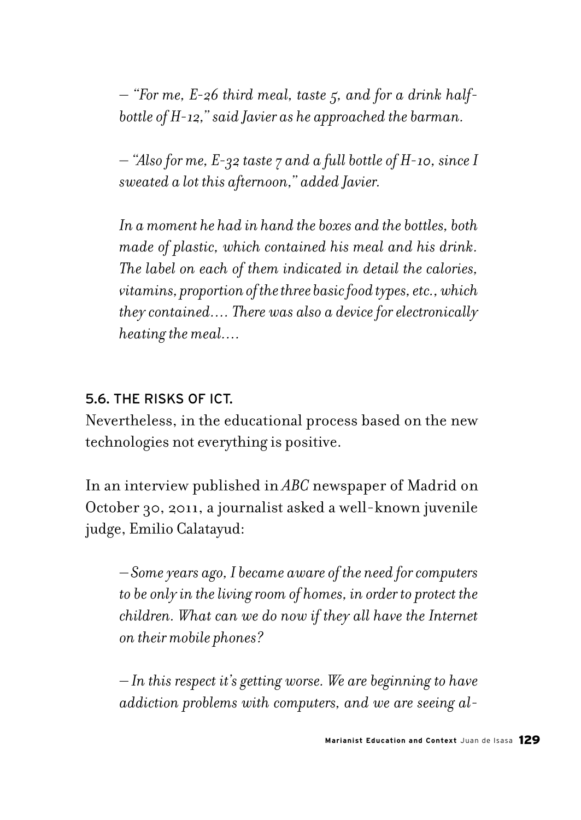*– "For me, E-26 third meal, taste 5, and for a drink halfbottle of H-12," said Javier as he approached the barman.*

*– "Also for me, E-32 taste 7 and a full bottle of H-10, since I sweated a lot this afternoon," added Javier.*

*In a moment he had in hand the boxes and the bottles, both made of plastic, which contained his meal and his drink. The label on each of them indicated in detail the calories, vitamins, proportion of the three basic food types, etc., which they contained…. There was also a device for electronically heating the meal….*

### 5.6. THE RISKS OF ICT.

Nevertheless, in the educational process based on the new technologies not everything is positive.

In an interview published in *ABC* newspaper of Madrid on October 30, 2011, a journalist asked a well-known juvenile judge, Emilio Calatayud:

*– Some years ago, I became aware of the need for computers to be only in the living room of homes, in order to protect the children. What can we do now if they all have the Internet on their mobile phones?*

*– In this respect it's getting worse. We are beginning to have addiction problems with computers, and we are seeing al-*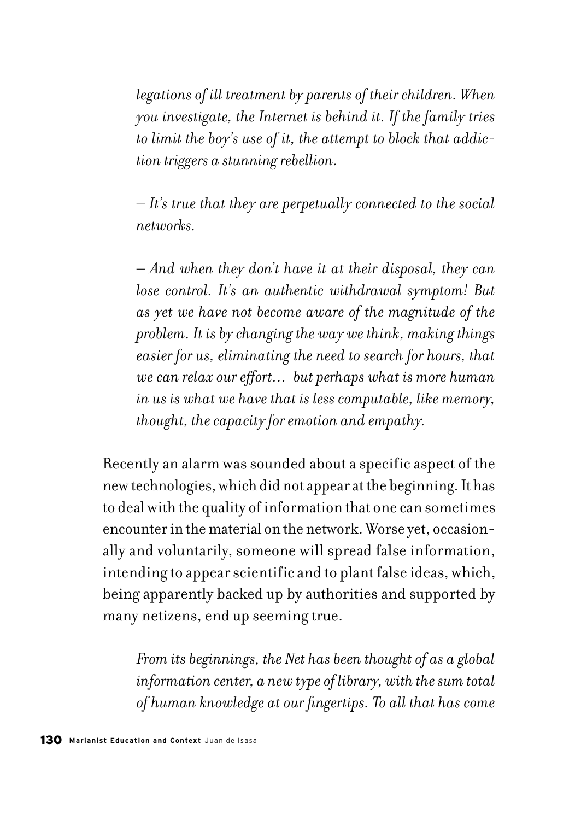*legations of ill treatment by parents of their children. When you investigate, the Internet is behind it. If the family tries to limit the boy's use of it, the attempt to block that addiction triggers a stunning rebellion.*

*– It's true that they are perpetually connected to the social networks.*

*– And when they don't have it at their disposal, they can lose control. It's an authentic withdrawal symptom! But as yet we have not become aware of the magnitude of the problem. It is by changing the way we think, making things easier for us, eliminating the need to search for hours, that we can relax our effort… but perhaps what is more human in us is what we have that is less computable, like memory, thought, the capacity for emotion and empathy.*

Recently an alarm was sounded about a specific aspect of the new technologies, which did not appear at the beginning. It has to deal with the quality of information that one can sometimes encounter in the material on the network. Worse yet, occasionally and voluntarily, someone will spread false information, intending to appear scientific and to plant false ideas, which, being apparently backed up by authorities and supported by many netizens, end up seeming true.

*From its beginnings, the Net has been thought of as a global information center, a new type of library, with the sum total of human knowledge at our fingertips. To all that has come*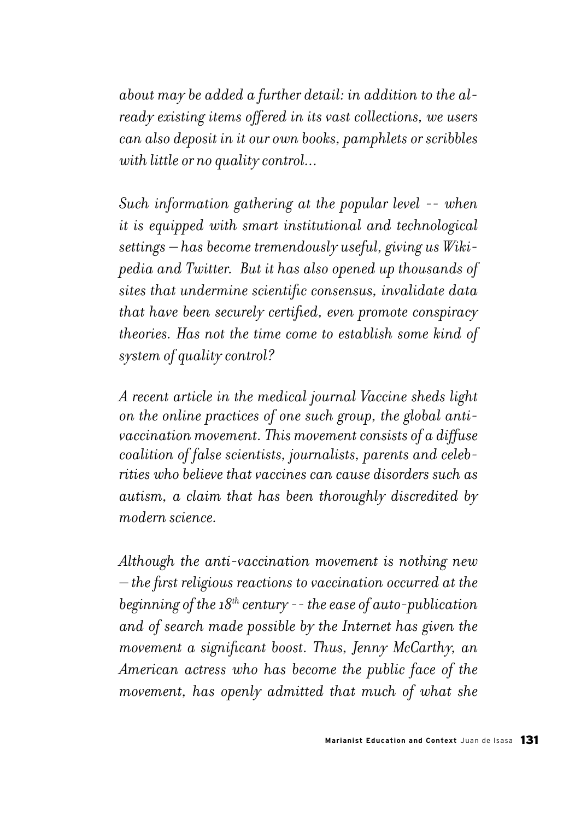*about may be added a further detail: in addition to the already existing items offered in its vast collections, we users can also deposit in it our own books, pamphlets or scribbles with little or no quality control...* 

*Such information gathering at the popular level -- when it is equipped with smart institutional and technological settings – has become tremendously useful, giving us Wikipedia and Twitter. But it has also opened up thousands of sites that undermine scientific consensus, invalidate data that have been securely certified, even promote conspiracy theories. Has not the time come to establish some kind of system of quality control?*

*A recent article in the medical journal Vaccine sheds light on the online practices of one such group, the global antivaccination movement. This movement consists of a diffuse coalition of false scientists, journalists, parents and celebrities who believe that vaccines can cause disorders such as autism, a claim that has been thoroughly discredited by modern science.*

*Although the anti-vaccination movement is nothing new – the first religious reactions to vaccination occurred at the beginning of the 18th century -- the ease of auto-publication and of search made possible by the Internet has given the movement a significant boost. Thus, Jenny McCarthy, an American actress who has become the public face of the movement, has openly admitted that much of what she*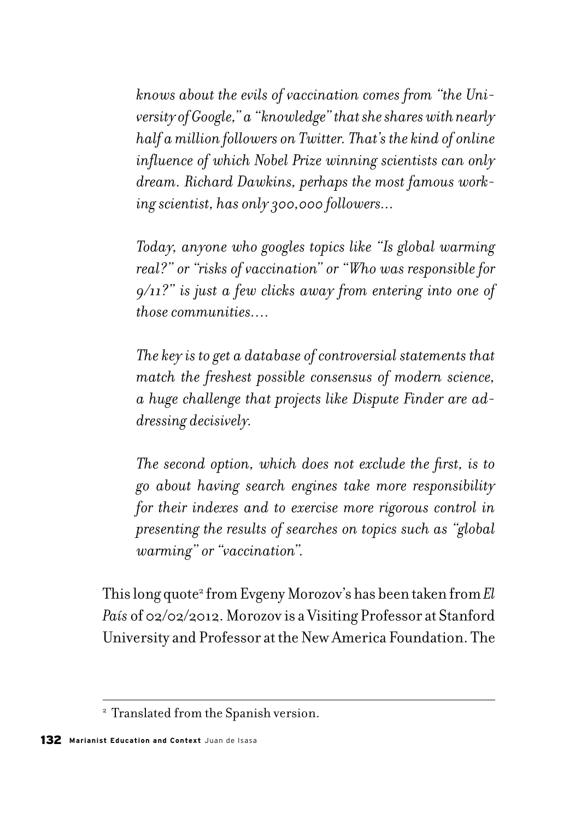*knows about the evils of vaccination comes from "the University of Google," a "knowledge" that she shares with nearly half a million followers on Twitter. That's the kind of online influence of which Nobel Prize winning scientists can only dream. Richard Dawkins, perhaps the most famous working scientist, has only 300,000 followers...*

*Today, anyone who googles topics like "Is global warming real?" or "risks of vaccination" or "Who was responsible for 9/11?" is just a few clicks away from entering into one of those communities….*

*The key is to get a database of controversial statements that match the freshest possible consensus of modern science, a huge challenge that projects like Dispute Finder are addressing decisively.*

*The second option, which does not exclude the first, is to go about having search engines take more responsibility for their indexes and to exercise more rigorous control in presenting the results of searches on topics such as "global warming" or "vaccination".*

This long quote<sup>2</sup> from Evgeny Morozov's has been taken from *El País* of 02/02/2012. Morozov is a Visiting Professor at Stanford University and Professor at the New America Foundation. The

<sup>&</sup>lt;sup>2</sup> Translated from the Spanish version.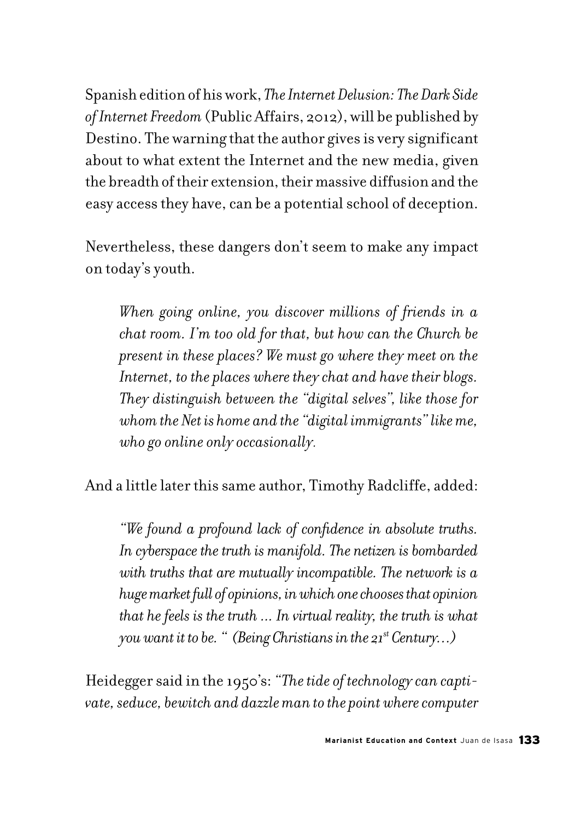Spanish edition of his work, *The Internet Delusion: The Dark Side of Internet Freedom* (Public Affairs, 2012), will be published by Destino. The warning that the author gives is very significant about to what extent the Internet and the new media, given the breadth of their extension, their massive diffusion and the easy access they have, can be a potential school of deception.

Nevertheless, these dangers don't seem to make any impact on today's youth.

*When going online, you discover millions of friends in a chat room. I'm too old for that, but how can the Church be present in these places? We must go where they meet on the Internet, to the places where they chat and have their blogs. They distinguish between the "digital selves", like those for whom the Net is home and the "digital immigrants" like me, who go online only occasionally.* 

And a little later this same author, Timothy Radcliffe, added:

*"We found a profound lack of confidence in absolute truths. In cyberspace the truth is manifold. The netizen is bombarded with truths that are mutually incompatible. The network is a huge market full of opinions, in which one chooses that opinion that he feels is the truth ... In virtual reality, the truth is what you want it to be. " (Being Christians in the 21st Century…)*

Heidegger said in the 1950's: *"The tide of technology can captivate, seduce, bewitch and dazzle man to the point where computer*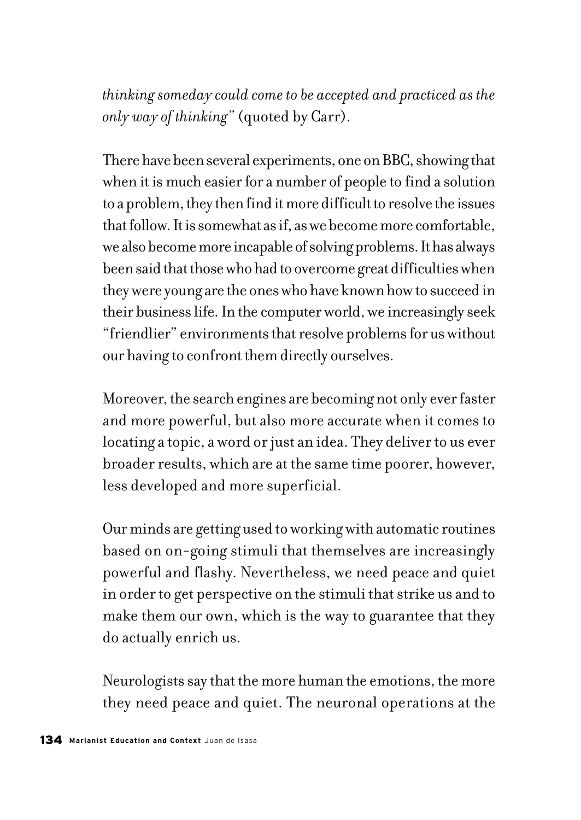*thinking someday could come to be accepted and practiced as the only way of thinking"* (quoted by Carr).

There have been several experiments, one on BBC, showing that when it is much easier for a number of people to find a solution to a problem, they then find it more difficult to resolve the issues that follow. It is somewhat as if, as we become more comfortable, we also become more incapable of solving problems. It has always been said that those who had to overcome great difficulties when they were young are the ones who have known how to succeed in their business life. In the computer world, we increasingly seek "friendlier" environments that resolve problems for us without our having to confront them directly ourselves.

Moreover, the search engines are becoming not only ever faster and more powerful, but also more accurate when it comes to locating a topic, a word or just an idea. They deliver to us ever broader results, which are at the same time poorer, however, less developed and more superficial.

Our minds are getting used to working with automatic routines based on on-going stimuli that themselves are increasingly powerful and flashy. Nevertheless, we need peace and quiet in order to get perspective on the stimuli that strike us and to make them our own, which is the way to guarantee that they do actually enrich us.

Neurologists say that the more human the emotions, the more they need peace and quiet. The neuronal operations at the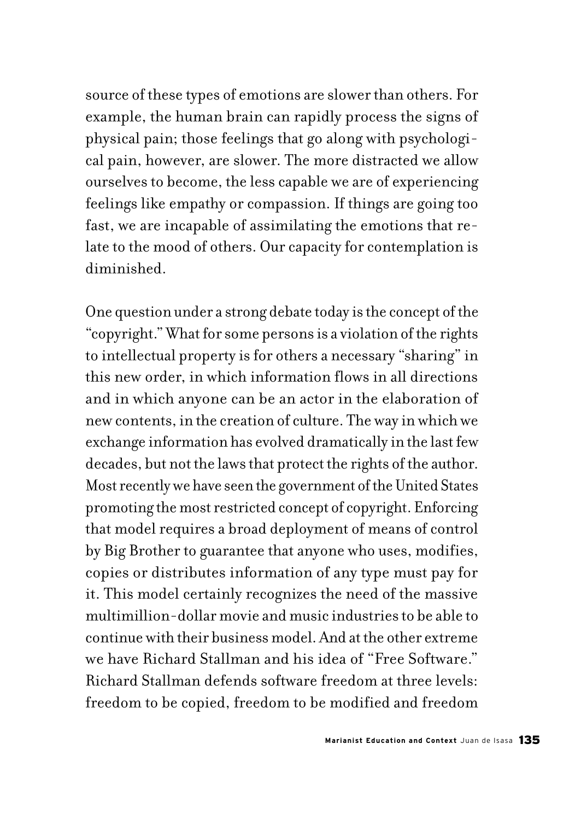source of these types of emotions are slower than others. For example, the human brain can rapidly process the signs of physical pain; those feelings that go along with psychological pain, however, are slower. The more distracted we allow ourselves to become, the less capable we are of experiencing feelings like empathy or compassion. If things are going too fast, we are incapable of assimilating the emotions that relate to the mood of others. Our capacity for contemplation is diminished.

One question under a strong debate today is the concept of the "copyright." What for some persons is a violation of the rights to intellectual property is for others a necessary "sharing" in this new order, in which information flows in all directions and in which anyone can be an actor in the elaboration of new contents, in the creation of culture. The way in which we exchange information has evolved dramatically in the last few decades, but not the laws that protect the rights of the author. Most recently we have seen the government of the United States promoting the most restricted concept of copyright. Enforcing that model requires a broad deployment of means of control by Big Brother to guarantee that anyone who uses, modifies, copies or distributes information of any type must pay for it. This model certainly recognizes the need of the massive multimillion-dollar movie and music industries to be able to continue with their business model. And at the other extreme we have Richard Stallman and his idea of "Free Software." Richard Stallman defends software freedom at three levels: freedom to be copied, freedom to be modified and freedom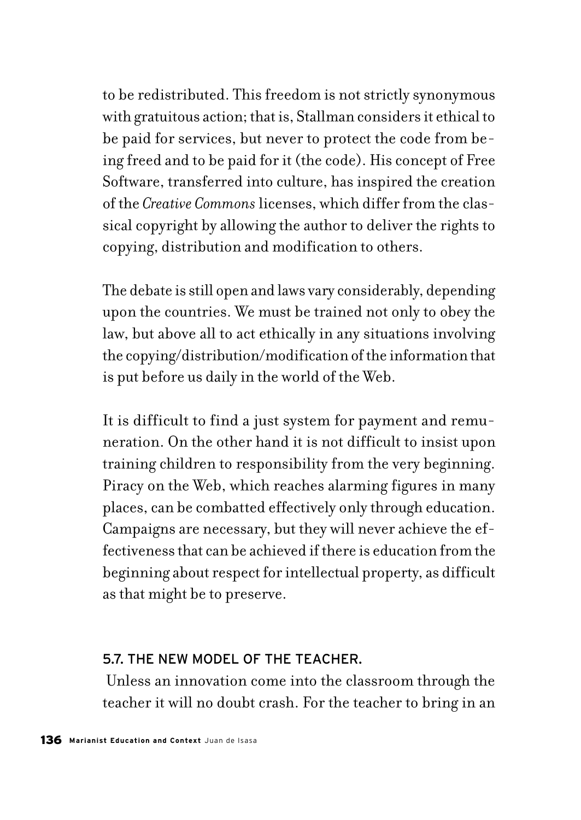to be redistributed. This freedom is not strictly synonymous with gratuitous action; that is, Stallman considers it ethical to be paid for services, but never to protect the code from being freed and to be paid for it (the code). His concept of Free Software, transferred into culture, has inspired the creation of the *Creative Commons* licenses, which differ from the classical copyright by allowing the author to deliver the rights to copying, distribution and modification to others.

The debate is still open and laws vary considerably, depending upon the countries. We must be trained not only to obey the law, but above all to act ethically in any situations involving the copying/distribution/modification of the information that is put before us daily in the world of the Web.

It is difficult to find a just system for payment and remuneration. On the other hand it is not difficult to insist upon training children to responsibility from the very beginning. Piracy on the Web, which reaches alarming figures in many places, can be combatted effectively only through education. Campaigns are necessary, but they will never achieve the effectiveness that can be achieved if there is education from the beginning about respect for intellectual property, as difficult as that might be to preserve.

#### 5.7. THE NEW MODEL OF THE TEACHER.

 Unless an innovation come into the classroom through the teacher it will no doubt crash. For the teacher to bring in an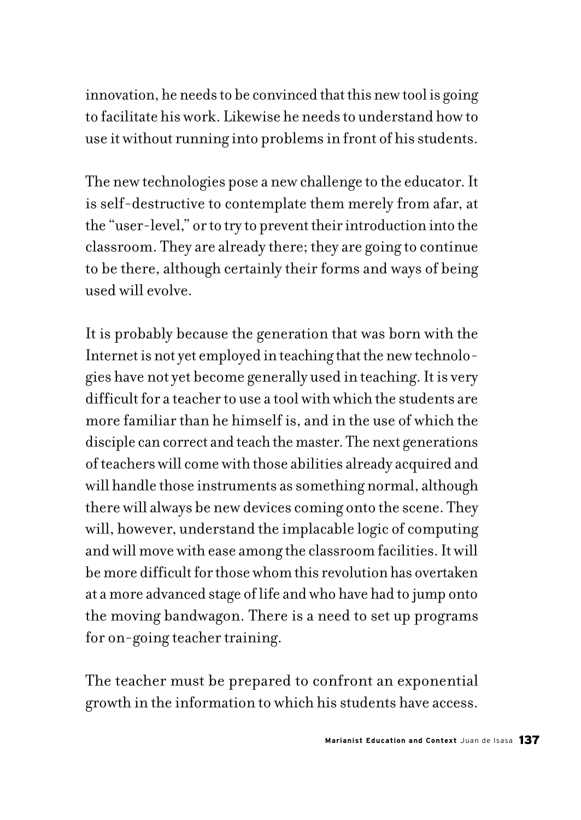innovation, he needs to be convinced that this new tool is going to facilitate his work. Likewise he needs to understand how to use it without running into problems in front of his students.

The new technologies pose a new challenge to the educator. It is self-destructive to contemplate them merely from afar, at the "user-level," or to try to prevent their introduction into the classroom. They are already there; they are going to continue to be there, although certainly their forms and ways of being used will evolve.

It is probably because the generation that was born with the Internet is not yet employed in teaching that the new technologies have not yet become generally used in teaching. It is very difficult for a teacher to use a tool with which the students are more familiar than he himself is, and in the use of which the disciple can correct and teach the master. The next generations of teachers will come with those abilities already acquired and will handle those instruments as something normal, although there will always be new devices coming onto the scene. They will, however, understand the implacable logic of computing and will move with ease among the classroom facilities. It will be more difficult for those whom this revolution has overtaken at a more advanced stage of life and who have had to jump onto the moving bandwagon. There is a need to set up programs for on-going teacher training.

The teacher must be prepared to confront an exponential growth in the information to which his students have access.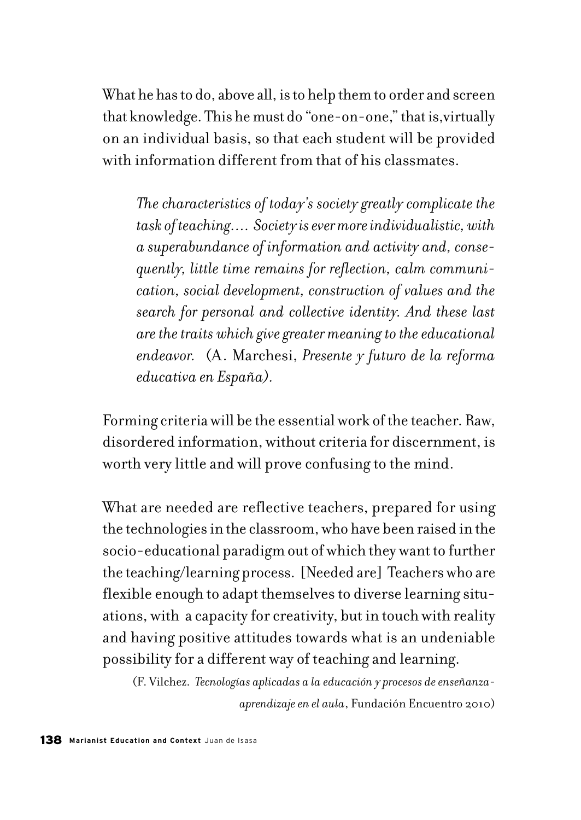What he has to do, above all, is to help them to order and screen that knowledge. This he must do "one-on-one," that is,virtually on an individual basis, so that each student will be provided with information different from that of his classmates.

*The characteristics of today's society greatly complicate the task of teaching…. Society is ever more individualistic, with a superabundance of information and activity and, consequently, little time remains for reflection, calm communication, social development, construction of values and the search for personal and collective identity. And these last are the traits which give greater meaning to the educational endeavor.* (A. Marchesi, *Presente y futuro de la reforma educativa en España).* 

Forming criteria will be the essential work of the teacher. Raw, disordered information, without criteria for discernment, is worth very little and will prove confusing to the mind.

What are needed are reflective teachers, prepared for using the technologies in the classroom, who have been raised in the socio-educational paradigm out of which they want to further the teaching/learning process. [Needed are] Teachers who are flexible enough to adapt themselves to diverse learning situations, with a capacity for creativity, but in touch with reality and having positive attitudes towards what is an undeniable possibility for a different way of teaching and learning.

(F. Vilchez. *Tecnologías aplicadas a la educación y procesos de enseñanzaaprendizaje en el aula*, Fundación Encuentro 2010)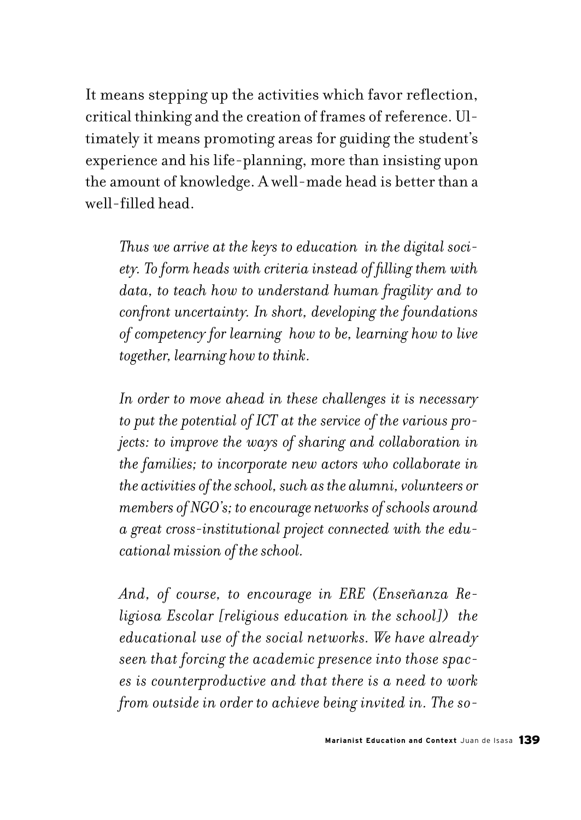It means stepping up the activities which favor reflection, critical thinking and the creation of frames of reference. Ultimately it means promoting areas for guiding the student's experience and his life-planning, more than insisting upon the amount of knowledge. A well-made head is better than a well-filled head.

*Thus we arrive at the keys to education in the digital society. To form heads with criteria instead of filling them with data, to teach how to understand human fragility and to confront uncertainty. In short, developing the foundations of competency for learning how to be, learning how to live together, learning how to think.* 

*In order to move ahead in these challenges it is necessary to put the potential of ICT at the service of the various projects: to improve the ways of sharing and collaboration in the families; to incorporate new actors who collaborate in the activities of the school, such as the alumni, volunteers or members of NGO's; to encourage networks of schools around a great cross-institutional project connected with the educational mission of the school.* 

*And, of course, to encourage in ERE (Enseñanza Religiosa Escolar [religious education in the school]) the educational use of the social networks. We have already seen that forcing the academic presence into those spaces is counterproductive and that there is a need to work from outside in order to achieve being invited in. The so-*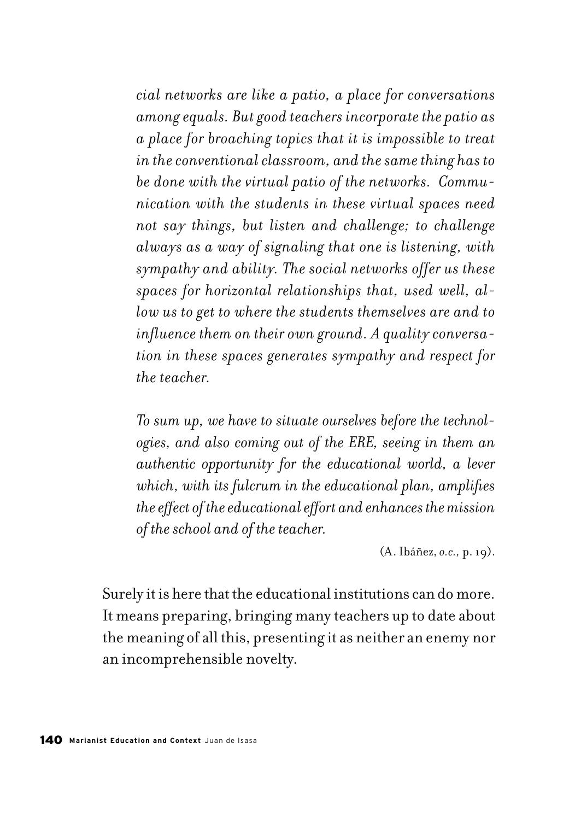*cial networks are like a patio, a place for conversations among equals. But good teachers incorporate the patio as a place for broaching topics that it is impossible to treat in the conventional classroom, and the same thing has to be done with the virtual patio of the networks. Communication with the students in these virtual spaces need not say things, but listen and challenge; to challenge always as a way of signaling that one is listening, with sympathy and ability. The social networks offer us these spaces for horizontal relationships that, used well, allow us to get to where the students themselves are and to influence them on their own ground. A quality conversation in these spaces generates sympathy and respect for the teacher.*

*To sum up, we have to situate ourselves before the technologies, and also coming out of the ERE, seeing in them an authentic opportunity for the educational world, a lever which, with its fulcrum in the educational plan, amplifies the effect of the educational effort and enhances the mission of the school and of the teacher.*

(A. Ibáñez, *o.c.,* p. 19).

Surely it is here that the educational institutions can do more. It means preparing, bringing many teachers up to date about the meaning of all this, presenting it as neither an enemy nor an incomprehensible novelty.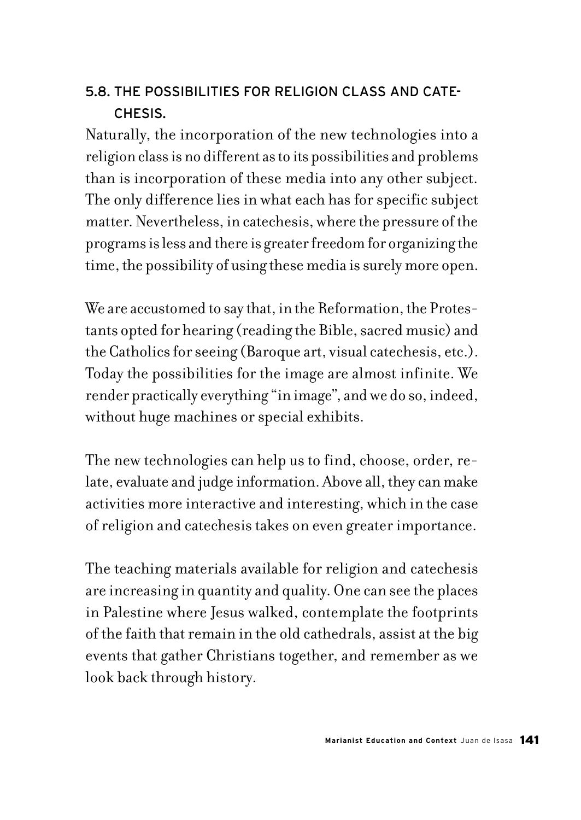# 5.8. THE POSSIBILITIES FOR RELIGION CLASS AND CATE-CHESIS.

Naturally, the incorporation of the new technologies into a religion class is no different as to its possibilities and problems than is incorporation of these media into any other subject. The only difference lies in what each has for specific subject matter. Nevertheless, in catechesis, where the pressure of the programs is less and there is greater freedom for organizing the time, the possibility of using these media is surely more open.

We are accustomed to say that, in the Reformation, the Protestants opted for hearing (reading the Bible, sacred music) and the Catholics for seeing (Baroque art, visual catechesis, etc.). Today the possibilities for the image are almost infinite. We render practically everything "in image", and we do so, indeed, without huge machines or special exhibits.

The new technologies can help us to find, choose, order, relate, evaluate and judge information. Above all, they can make activities more interactive and interesting, which in the case of religion and catechesis takes on even greater importance.

The teaching materials available for religion and catechesis are increasing in quantity and quality. One can see the places in Palestine where Jesus walked, contemplate the footprints of the faith that remain in the old cathedrals, assist at the big events that gather Christians together, and remember as we look back through history.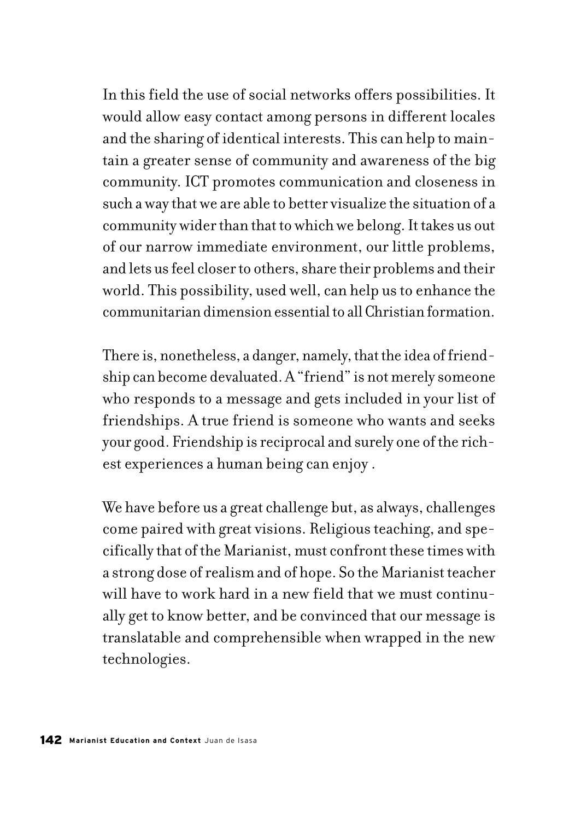In this field the use of social networks offers possibilities. It would allow easy contact among persons in different locales and the sharing of identical interests. This can help to maintain a greater sense of community and awareness of the big community. ICT promotes communication and closeness in such a way that we are able to better visualize the situation of a community wider than that to which we belong. It takes us out of our narrow immediate environment, our little problems, and lets us feel closer to others, share their problems and their world. This possibility, used well, can help us to enhance the communitarian dimension essential to all Christian formation.

There is, nonetheless, a danger, namely, that the idea of friendship can become devaluated. A "friend" is not merely someone who responds to a message and gets included in your list of friendships. A true friend is someone who wants and seeks your good. Friendship is reciprocal and surely one of the richest experiences a human being can enjoy .

We have before us a great challenge but, as always, challenges come paired with great visions. Religious teaching, and specifically that of the Marianist, must confront these times with a strong dose of realism and of hope. So the Marianist teacher will have to work hard in a new field that we must continually get to know better, and be convinced that our message is translatable and comprehensible when wrapped in the new technologies.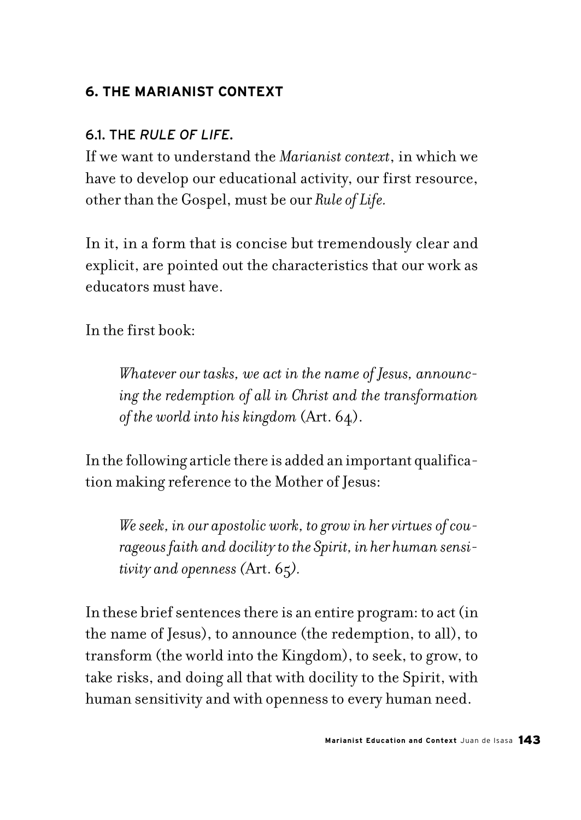## **6. THE MARIANIST CONTEXT**

## 6.1. THE *RULE OF LIFE*.

If we want to understand the *Marianist context*, in which we have to develop our educational activity, our first resource, other than the Gospel, must be our *Rule of Life.*

In it, in a form that is concise but tremendously clear and explicit, are pointed out the characteristics that our work as educators must have.

In the first book:

*Whatever our tasks, we act in the name of Jesus, announcing the redemption of all in Christ and the transformation of the world into his kingdom* (Art. 64).

In the following article there is added an important qualification making reference to the Mother of Jesus:

*We seek, in our apostolic work, to grow in her virtues of courageous faith and docility to the Spirit, in her human sensitivity and openness (*Art. 65*).*

In these brief sentences there is an entire program: to act (in the name of Jesus), to announce (the redemption, to all), to transform (the world into the Kingdom), to seek, to grow, to take risks, and doing all that with docility to the Spirit, with human sensitivity and with openness to every human need.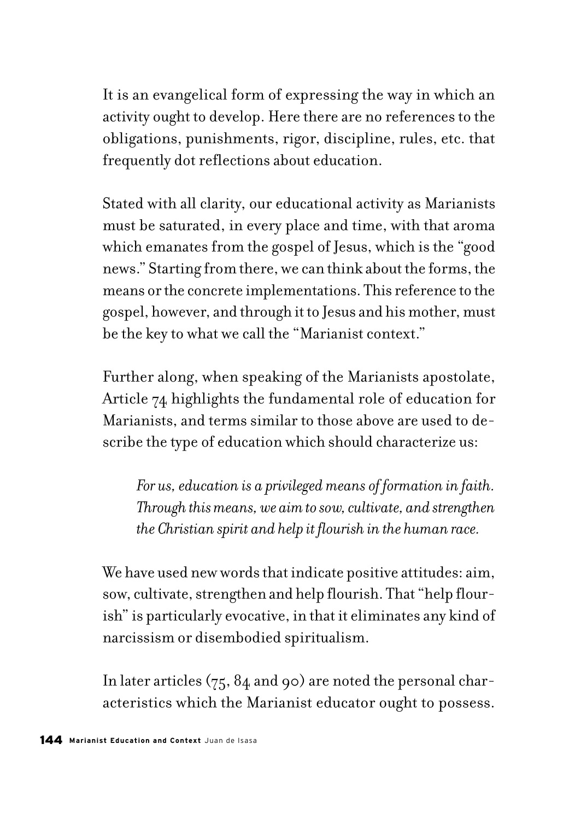It is an evangelical form of expressing the way in which an activity ought to develop. Here there are no references to the obligations, punishments, rigor, discipline, rules, etc. that frequently dot reflections about education.

Stated with all clarity, our educational activity as Marianists must be saturated, in every place and time, with that aroma which emanates from the gospel of Jesus, which is the "good news." Starting from there, we can think about the forms, the means or the concrete implementations. This reference to the gospel, however, and through it to Jesus and his mother, must be the key to what we call the "Marianist context."

Further along, when speaking of the Marianists apostolate, Article 74 highlights the fundamental role of education for Marianists, and terms similar to those above are used to describe the type of education which should characterize us:

*For us, education is a privileged means of formation in faith. Through this means, we aim to sow, cultivate, and strengthen the Christian spirit and help it flourish in the human race.*

We have used new words that indicate positive attitudes: aim, sow, cultivate, strengthen and help flourish. That "help flourish" is particularly evocative, in that it eliminates any kind of narcissism or disembodied spiritualism.

In later articles (75, 84 and 90) are noted the personal characteristics which the Marianist educator ought to possess.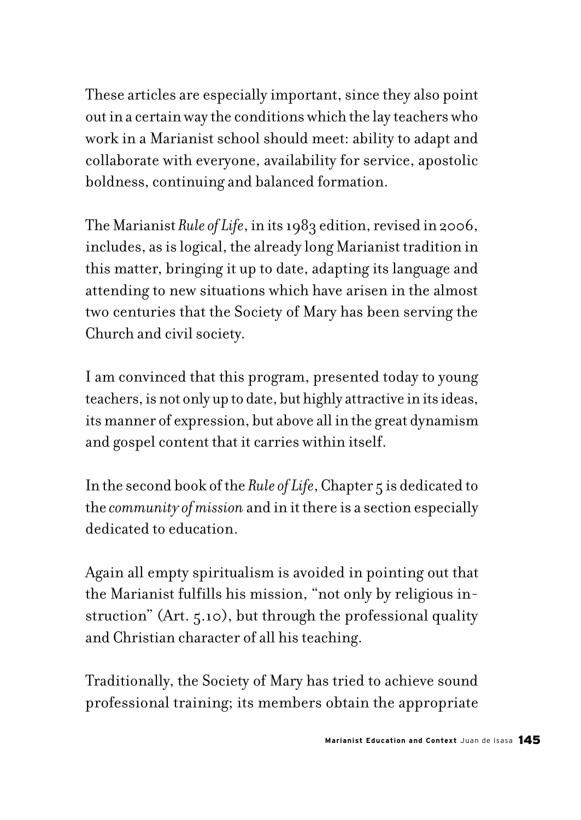These articles are especially important, since they also point out in a certain way the conditions which the lay teachers who work in a Marianist school should meet: ability to adapt and collaborate with everyone, availability for service, apostolic boldness, continuing and balanced formation.

The Marianist *Rule of Life*, in its 1983 edition, revised in 2006, includes, as is logical, the already long Marianist tradition in this matter, bringing it up to date, adapting its language and attending to new situations which have arisen in the almost two centuries that the Society of Mary has been serving the Church and civil society.

I am convinced that this program, presented today to young teachers, is not only up to date, but highly attractive in its ideas, its manner of expression, but above all in the great dynamism and gospel content that it carries within itself.

In the second book of the *Rule of Life*, Chapter 5 is dedicated to the *community of mission* and in it there is a section especially dedicated to education.

Again all empty spiritualism is avoided in pointing out that the Marianist fulfills his mission, "not only by religious instruction" (Art. 5.10), but through the professional quality and Christian character of all his teaching.

Traditionally, the Society of Mary has tried to achieve sound professional training; its members obtain the appropriate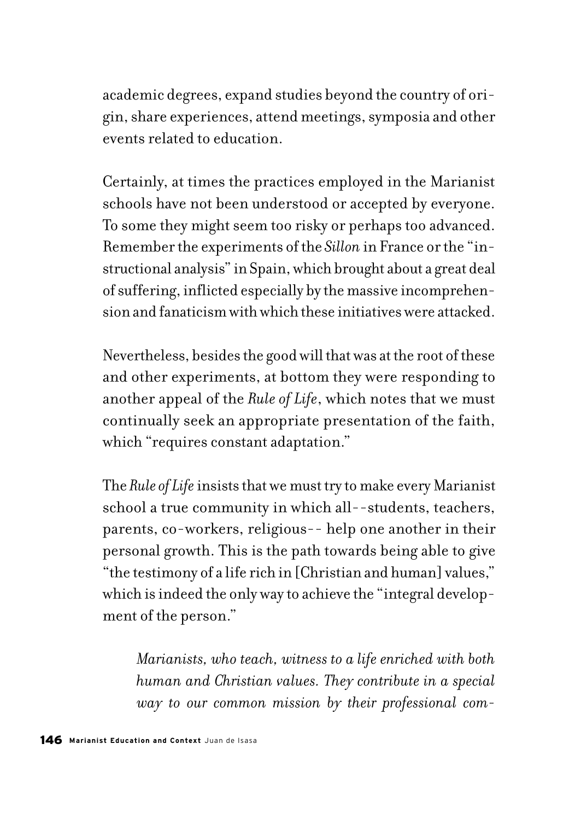academic degrees, expand studies beyond the country of origin, share experiences, attend meetings, symposia and other events related to education.

Certainly, at times the practices employed in the Marianist schools have not been understood or accepted by everyone. To some they might seem too risky or perhaps too advanced. Remember the experiments of the *Sillon* in France or the "instructional analysis" in Spain, which brought about a great deal of suffering, inflicted especially by the massive incomprehension and fanaticism with which these initiatives were attacked.

Nevertheless, besides the good will that was at the root of these and other experiments, at bottom they were responding to another appeal of the *Rule of Life*, which notes that we must continually seek an appropriate presentation of the faith, which "requires constant adaptation."

The *Rule of Life* insists that we must try to make every Marianist school a true community in which all--students, teachers, parents, co-workers, religious-- help one another in their personal growth. This is the path towards being able to give "the testimony of a life rich in [Christian and human] values," which is indeed the only way to achieve the "integral development of the person."

*Marianists, who teach, witness to a life enriched with both human and Christian values. They contribute in a special way to our common mission by their professional com-*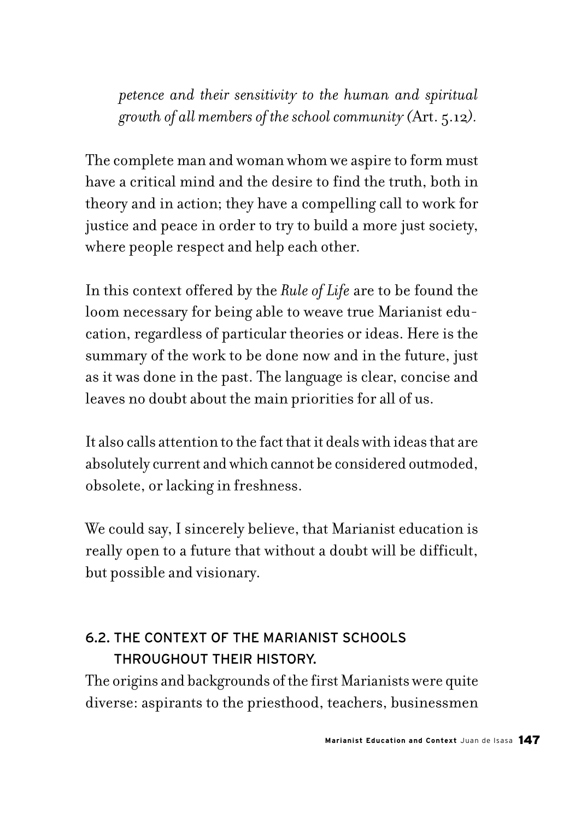*petence and their sensitivity to the human and spiritual growth of all members of the school community (*Art. 5.12*).*

The complete man and woman whom we aspire to form must have a critical mind and the desire to find the truth, both in theory and in action; they have a compelling call to work for justice and peace in order to try to build a more just society, where people respect and help each other.

In this context offered by the *Rule of Life* are to be found the loom necessary for being able to weave true Marianist education, regardless of particular theories or ideas. Here is the summary of the work to be done now and in the future, just as it was done in the past. The language is clear, concise and leaves no doubt about the main priorities for all of us.

It also calls attention to the fact that it deals with ideas that are absolutely current and which cannot be considered outmoded, obsolete, or lacking in freshness.

We could say, I sincerely believe, that Marianist education is really open to a future that without a doubt will be difficult, but possible and visionary.

# 6.2. THE CONTEXT OF THE MARIANIST SCHOOLS THROUGHOUT THEIR HISTORY.

The origins and backgrounds of the first Marianists were quite diverse: aspirants to the priesthood, teachers, businessmen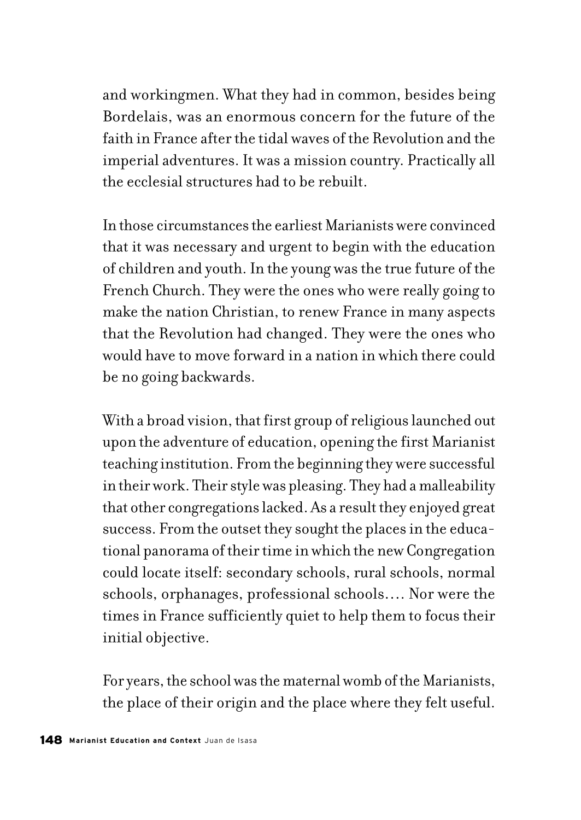and workingmen. What they had in common, besides being Bordelais, was an enormous concern for the future of the faith in France after the tidal waves of the Revolution and the imperial adventures. It was a mission country. Practically all the ecclesial structures had to be rebuilt.

In those circumstances the earliest Marianists were convinced that it was necessary and urgent to begin with the education of children and youth. In the young was the true future of the French Church. They were the ones who were really going to make the nation Christian, to renew France in many aspects that the Revolution had changed. They were the ones who would have to move forward in a nation in which there could be no going backwards.

With a broad vision, that first group of religious launched out upon the adventure of education, opening the first Marianist teaching institution. From the beginning they were successful in their work. Their style was pleasing. They had a malleability that other congregations lacked. As a result they enjoyed great success. From the outset they sought the places in the educational panorama of their time in which the new Congregation could locate itself: secondary schools, rural schools, normal schools, orphanages, professional schools…. Nor were the times in France sufficiently quiet to help them to focus their initial objective.

For years, the school was the maternal womb of the Marianists, the place of their origin and the place where they felt useful.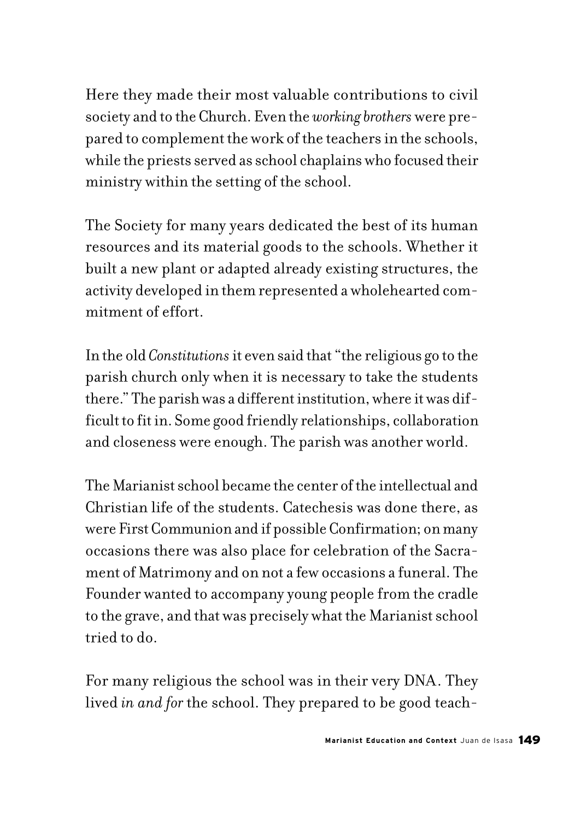Here they made their most valuable contributions to civil society and to the Church. Even the *working brothers* were prepared to complement the work of the teachers in the schools, while the priests served as school chaplains who focused their ministry within the setting of the school.

The Society for many years dedicated the best of its human resources and its material goods to the schools. Whether it built a new plant or adapted already existing structures, the activity developed in them represented a wholehearted commitment of effort.

In the old *Constitutions* it even said that "the religious go to the parish church only when it is necessary to take the students there." The parish was a different institution, where it was difficult to fit in. Some good friendly relationships, collaboration and closeness were enough. The parish was another world.

The Marianist school became the center of the intellectual and Christian life of the students. Catechesis was done there, as were First Communion and if possible Confirmation; on many occasions there was also place for celebration of the Sacrament of Matrimony and on not a few occasions a funeral. The Founder wanted to accompany young people from the cradle to the grave, and that was precisely what the Marianist school tried to do.

For many religious the school was in their very DNA. They lived *in and for* the school. They prepared to be good teach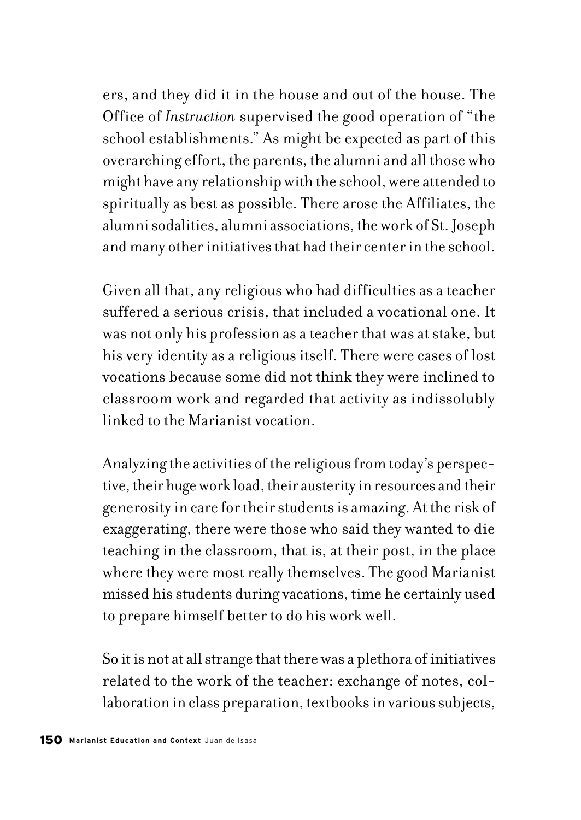ers, and they did it in the house and out of the house. The Office of *Instruction* supervised the good operation of "the school establishments." As might be expected as part of this overarching effort, the parents, the alumni and all those who might have any relationship with the school, were attended to spiritually as best as possible. There arose the Affiliates, the alumni sodalities, alumni associations, the work of St. Joseph and many other initiatives that had their center in the school.

Given all that, any religious who had difficulties as a teacher suffered a serious crisis, that included a vocational one. It was not only his profession as a teacher that was at stake, but his very identity as a religious itself. There were cases of lost vocations because some did not think they were inclined to classroom work and regarded that activity as indissolubly linked to the Marianist vocation.

Analyzing the activities of the religious from today's perspective, their huge work load, their austerity in resources and their generosity in care for their students is amazing. At the risk of exaggerating, there were those who said they wanted to die teaching in the classroom, that is, at their post, in the place where they were most really themselves. The good Marianist missed his students during vacations, time he certainly used to prepare himself better to do his work well.

So it is not at all strange that there was a plethora of initiatives related to the work of the teacher: exchange of notes, collaboration in class preparation, textbooks in various subjects,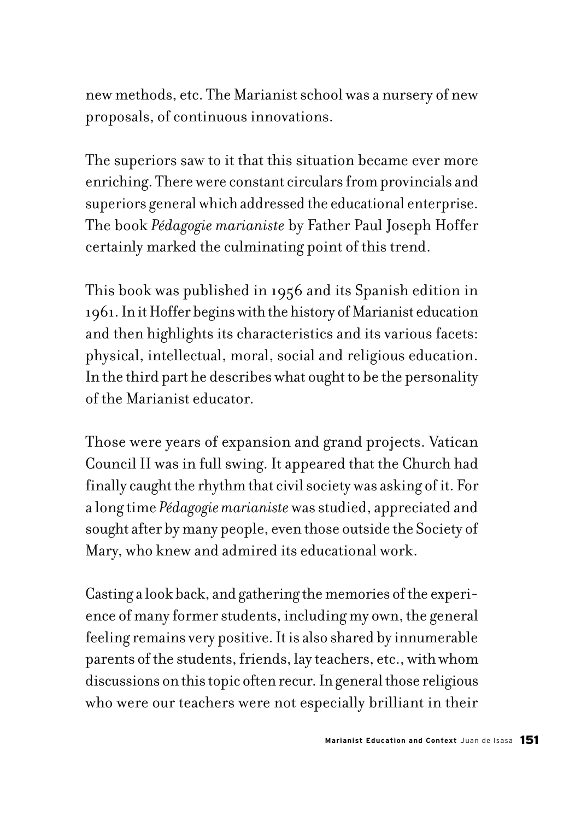new methods, etc. The Marianist school was a nursery of new proposals, of continuous innovations.

The superiors saw to it that this situation became ever more enriching. There were constant circulars from provincials and superiors general which addressed the educational enterprise. The book *Pédagogie marianiste* by Father Paul Joseph Hoffer certainly marked the culminating point of this trend.

This book was published in 1956 and its Spanish edition in 1961. In it Hoffer begins with the history of Marianist education and then highlights its characteristics and its various facets: physical, intellectual, moral, social and religious education. In the third part he describes what ought to be the personality of the Marianist educator.

Those were years of expansion and grand projects. Vatican Council II was in full swing. It appeared that the Church had finally caught the rhythm that civil society was asking of it. For a long time *Pédagogie marianiste* was studied, appreciated and sought after by many people, even those outside the Society of Mary, who knew and admired its educational work.

Casting a look back, and gathering the memories of the experience of many former students, including my own, the general feeling remains very positive. It is also shared by innumerable parents of the students, friends, lay teachers, etc., with whom discussions on this topic often recur. In general those religious who were our teachers were not especially brilliant in their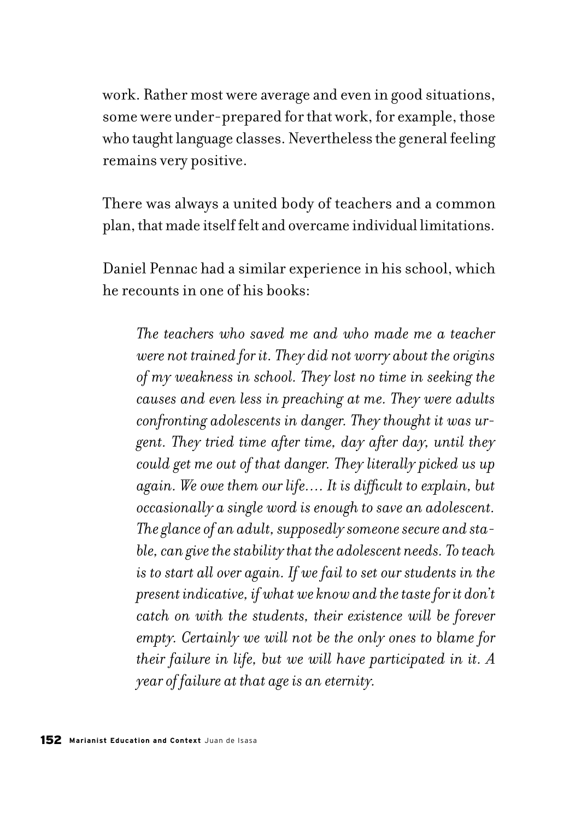work. Rather most were average and even in good situations, some were under-prepared for that work, for example, those who taught language classes. Nevertheless the general feeling remains very positive.

There was always a united body of teachers and a common plan, that made itself felt and overcame individual limitations.

Daniel Pennac had a similar experience in his school, which he recounts in one of his books:

*The teachers who saved me and who made me a teacher were not trained for it. They did not worry about the origins of my weakness in school. They lost no time in seeking the causes and even less in preaching at me. They were adults confronting adolescents in danger. They thought it was urgent. They tried time after time, day after day, until they could get me out of that danger. They literally picked us up again. We owe them our life…. It is difficult to explain, but occasionally a single word is enough to save an adolescent. The glance of an adult, supposedly someone secure and stable, can give the stability that the adolescent needs. To teach is to start all over again. If we fail to set our students in the present indicative, if what we know and the taste for it don't catch on with the students, their existence will be forever empty. Certainly we will not be the only ones to blame for their failure in life, but we will have participated in it. A year of failure at that age is an eternity.*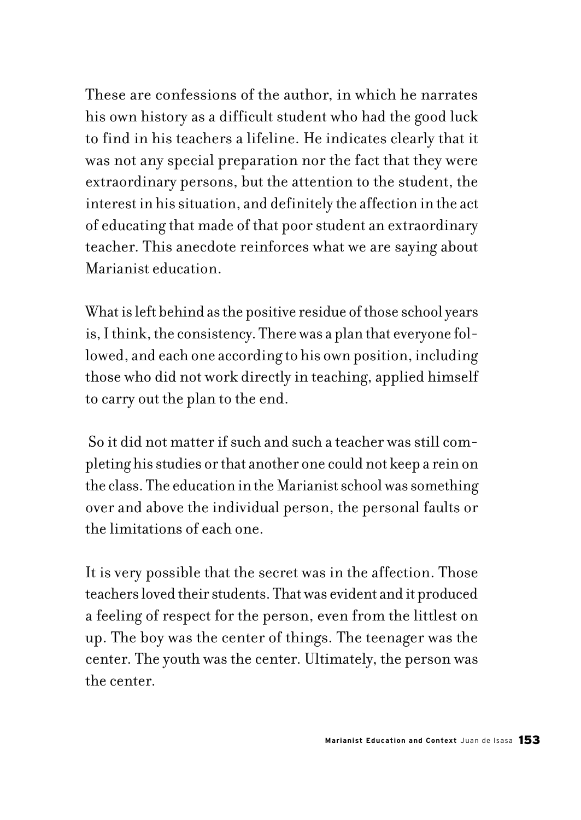These are confessions of the author, in which he narrates his own history as a difficult student who had the good luck to find in his teachers a lifeline. He indicates clearly that it was not any special preparation nor the fact that they were extraordinary persons, but the attention to the student, the interest in his situation, and definitely the affection in the act of educating that made of that poor student an extraordinary teacher. This anecdote reinforces what we are saying about Marianist education.

What is left behind as the positive residue of those school years is, I think, the consistency. There was a plan that everyone followed, and each one according to his own position, including those who did not work directly in teaching, applied himself to carry out the plan to the end.

 So it did not matter if such and such a teacher was still completing his studies or that another one could not keep a rein on the class. The education in the Marianist school was something over and above the individual person, the personal faults or the limitations of each one.

It is very possible that the secret was in the affection. Those teachers loved their students. That was evident and it produced a feeling of respect for the person, even from the littlest on up. The boy was the center of things. The teenager was the center. The youth was the center. Ultimately, the person was the center.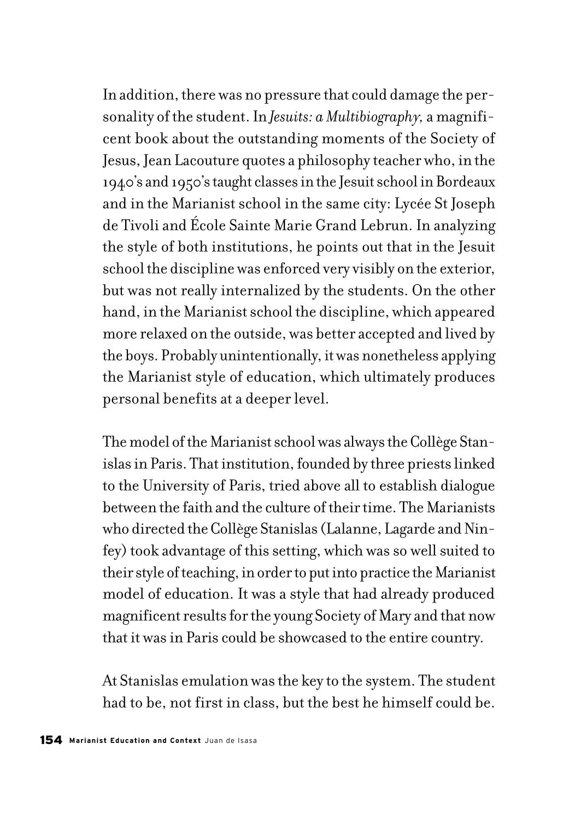In addition, there was no pressure that could damage the personality of the student. In *Jesuits: a Multibiography,* a magnificent book about the outstanding moments of the Society of Jesus, Jean Lacouture quotes a philosophy teacher who, in the 1940's and 1950's taught classes in the Jesuit school in Bordeaux and in the Marianist school in the same city: Lycée St Joseph de Tivoli and École Sainte Marie Grand Lebrun. In analyzing the style of both institutions, he points out that in the Jesuit school the discipline was enforced very visibly on the exterior, but was not really internalized by the students. On the other hand, in the Marianist school the discipline, which appeared more relaxed on the outside, was better accepted and lived by the boys. Probably unintentionally, it was nonetheless applying the Marianist style of education, which ultimately produces personal benefits at a deeper level.

The model of the Marianist school was always the Collège Stanislas in Paris. That institution, founded by three priests linked to the University of Paris, tried above all to establish dialogue between the faith and the culture of their time. The Marianists who directed the Collège Stanislas (Lalanne, Lagarde and Ninfey) took advantage of this setting, which was so well suited to their style of teaching, in order to put into practice the Marianist model of education. It was a style that had already produced magnificent results for the young Society of Mary and that now that it was in Paris could be showcased to the entire country.

At Stanislas emulation was the key to the system. The student had to be, not first in class, but the best he himself could be.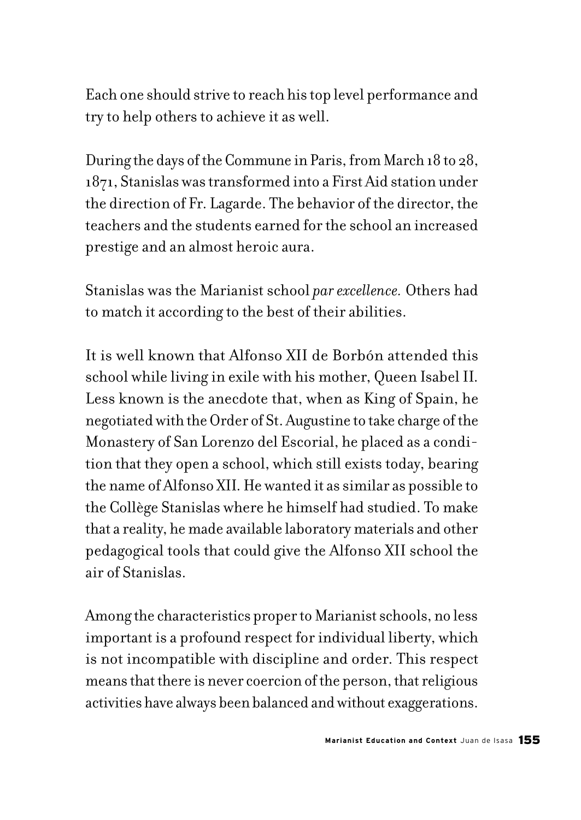Each one should strive to reach his top level performance and try to help others to achieve it as well.

During the days of the Commune in Paris, from March 18 to 28, 1871, Stanislas was transformed into a First Aid station under the direction of Fr. Lagarde. The behavior of the director, the teachers and the students earned for the school an increased prestige and an almost heroic aura.

Stanislas was the Marianist school *par excellence.* Others had to match it according to the best of their abilities.

It is well known that Alfonso XII de Borbón attended this school while living in exile with his mother, Queen Isabel II. Less known is the anecdote that, when as King of Spain, he negotiated with the Order of St. Augustine to take charge of the Monastery of San Lorenzo del Escorial, he placed as a condition that they open a school, which still exists today, bearing the name of Alfonso XII. He wanted it as similar as possible to the Collège Stanislas where he himself had studied. To make that a reality, he made available laboratory materials and other pedagogical tools that could give the Alfonso XII school the air of Stanislas.

Among the characteristics proper to Marianist schools, no less important is a profound respect for individual liberty, which is not incompatible with discipline and order. This respect means that there is never coercion of the person, that religious activities have always been balanced and without exaggerations.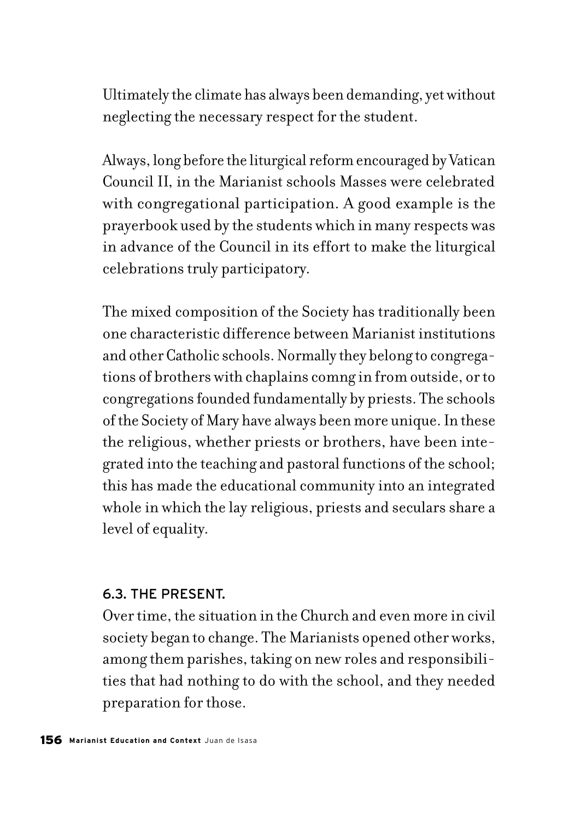Ultimately the climate has always been demanding, yet without neglecting the necessary respect for the student.

Always, long before the liturgical reform encouraged by Vatican Council II, in the Marianist schools Masses were celebrated with congregational participation. A good example is the prayerbook used by the students which in many respects was in advance of the Council in its effort to make the liturgical celebrations truly participatory.

The mixed composition of the Society has traditionally been one characteristic difference between Marianist institutions and other Catholic schools. Normally they belong to congregations of brothers with chaplains comng in from outside, or to congregations founded fundamentally by priests. The schools of the Society of Mary have always been more unique. In these the religious, whether priests or brothers, have been integrated into the teaching and pastoral functions of the school; this has made the educational community into an integrated whole in which the lay religious, priests and seculars share a level of equality.

### 6.3. THE PRESENT.

Over time, the situation in the Church and even more in civil society began to change. The Marianists opened other works, among them parishes, taking on new roles and responsibilities that had nothing to do with the school, and they needed preparation for those.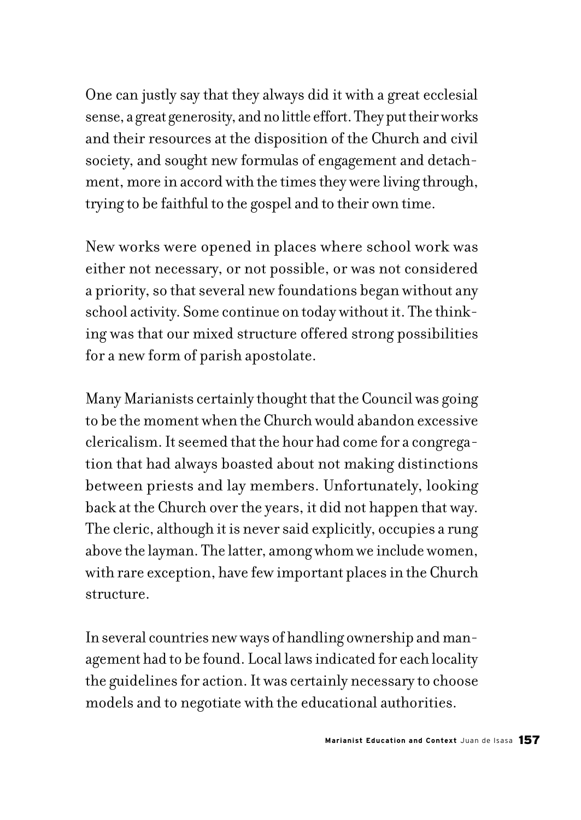One can justly say that they always did it with a great ecclesial sense, a great generosity, and no little effort. They put their works and their resources at the disposition of the Church and civil society, and sought new formulas of engagement and detachment, more in accord with the times they were living through, trying to be faithful to the gospel and to their own time.

New works were opened in places where school work was either not necessary, or not possible, or was not considered a priority, so that several new foundations began without any school activity. Some continue on today without it. The thinking was that our mixed structure offered strong possibilities for a new form of parish apostolate.

Many Marianists certainly thought that the Council was going to be the moment when the Church would abandon excessive clericalism. It seemed that the hour had come for a congregation that had always boasted about not making distinctions between priests and lay members. Unfortunately, looking back at the Church over the years, it did not happen that way. The cleric, although it is never said explicitly, occupies a rung above the layman. The latter, among whom we include women, with rare exception, have few important places in the Church structure.

In several countries new ways of handling ownership and management had to be found. Local laws indicated for each locality the guidelines for action. It was certainly necessary to choose models and to negotiate with the educational authorities.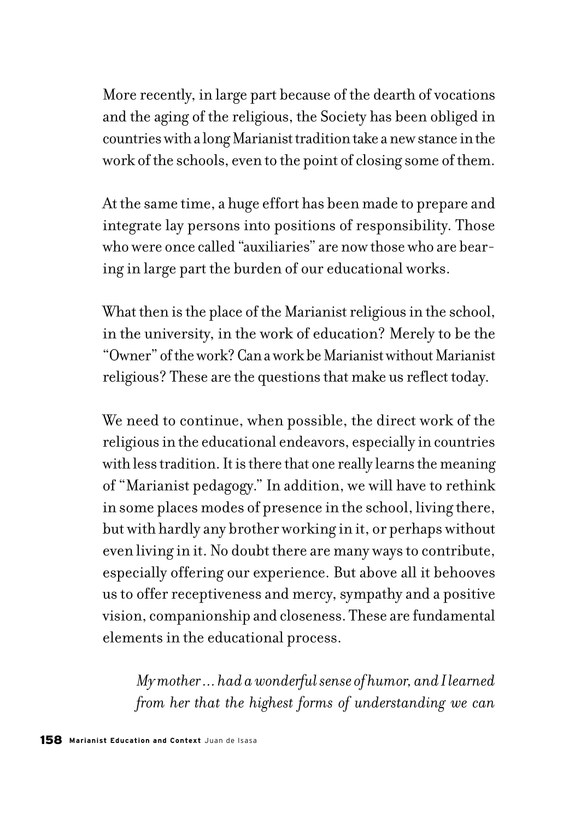More recently, in large part because of the dearth of vocations and the aging of the religious, the Society has been obliged in countries with a long Marianist tradition take a new stance in the work of the schools, even to the point of closing some of them.

At the same time, a huge effort has been made to prepare and integrate lay persons into positions of responsibility. Those who were once called "auxiliaries" are now those who are bearing in large part the burden of our educational works.

What then is the place of the Marianist religious in the school, in the university, in the work of education? Merely to be the "Owner" of the work? Can a work be Marianist without Marianist religious? These are the questions that make us reflect today.

We need to continue, when possible, the direct work of the religious in the educational endeavors, especially in countries with less tradition. It is there that one really learns the meaning of "Marianist pedagogy." In addition, we will have to rethink in some places modes of presence in the school, living there, but with hardly any brother working in it, or perhaps without even living in it. No doubt there are many ways to contribute, especially offering our experience. But above all it behooves us to offer receptiveness and mercy, sympathy and a positive vision, companionship and closeness. These are fundamental elements in the educational process.

*My mother ... had a wonderful sense of humor, and I learned from her that the highest forms of understanding we can*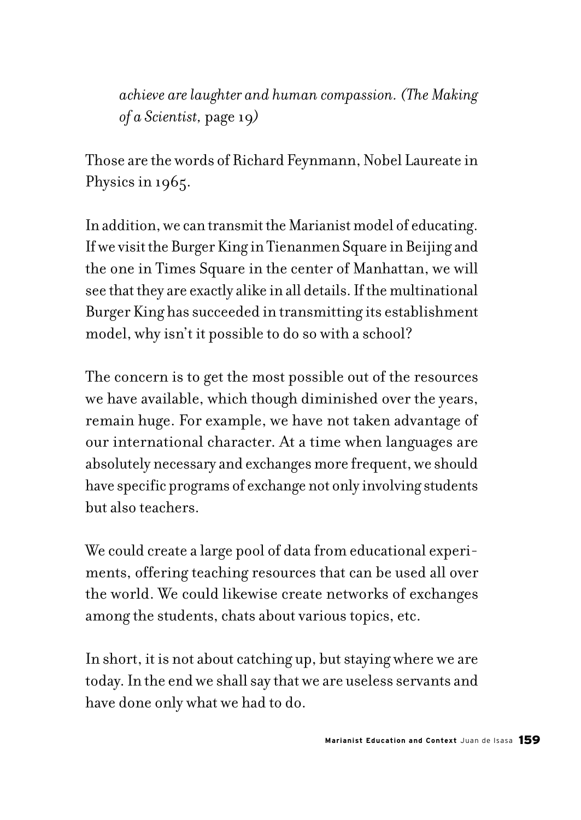*achieve arelaughter and human compassion. (The Making of a Scientist,* page 19*)*

Those are the words of Richard Feynmann, Nobel Laureate in Physics in 1965.

In addition, we can transmit the Marianist model of educating. If we visit the Burger King in Tienanmen Square in Beijing and the one in Times Square in the center of Manhattan, we will see that they are exactly alike in all details. If the multinational Burger King has succeeded in transmitting its establishment model, why isn't it possible to do so with a school?

The concern is to get the most possible out of the resources we have available, which though diminished over the years, remain huge. For example, we have not taken advantage of our international character. At a time when languages are absolutely necessary and exchanges more frequent, we should have specific programs of exchange not only involving students but also teachers.

We could create a large pool of data from educational experiments, offering teaching resources that can be used all over the world. We could likewise create networks of exchanges among the students, chats about various topics, etc.

In short, it is not about catching up, but staying where we are today. In the end we shall say that we are useless servants and have done only what we had to do.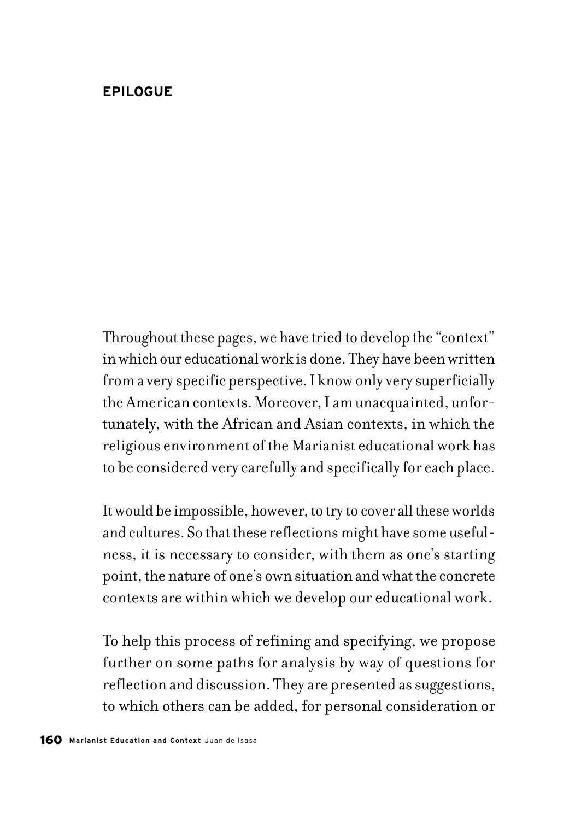### **EPILOGUE**

Throughout these pages, we have tried to develop the "context" in which our educational work is done. They have been written from a very specific perspective. I know only very superficially the American contexts. Moreover, I am unacquainted, unfortunately, with the African and Asian contexts, in which the religious environment of the Marianist educational work has to be considered very carefully and specifically for each place.

It would be impossible, however, to try to cover all these worlds and cultures. So that these reflections might have some usefulness, it is necessary to consider, with them as one's starting point, the nature of one's own situation and what the concrete contexts are within which we develop our educational work.

To help this process of refining and specifying, we propose further on some paths for analysis by way of questions for reflection and discussion. They are presented as suggestions, to which others can be added, for personal consideration or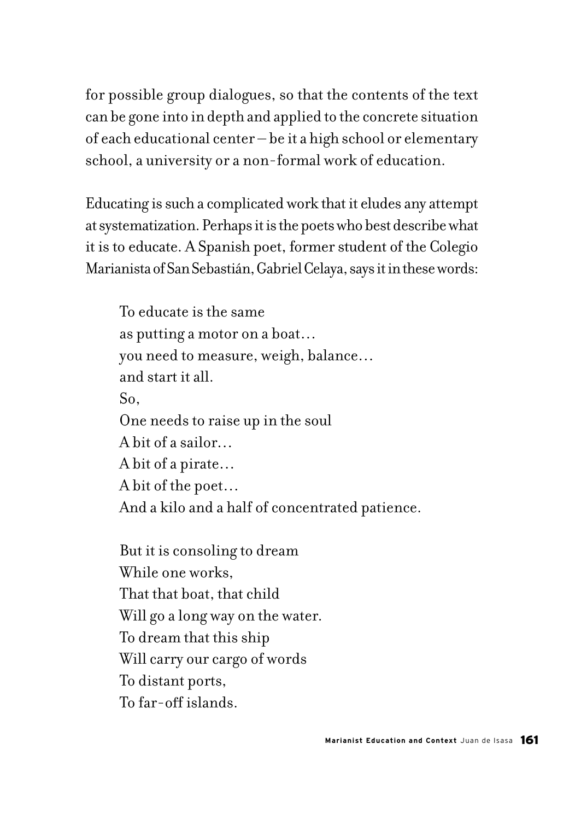for possible group dialogues, so that the contents of the text can be gone into in depth and applied to the concrete situation of each educational center – be it a high school or elementary school, a university or a non-formal work of education.

Educating is such a complicated work that it eludes any attempt at systematization. Perhaps it is the poets who best describe what it is to educate. A Spanish poet, former student of the Colegio Marianista of San Sebastián, Gabriel Celaya, says it in these words:

To educate is the same as putting a motor on a boat… you need to measure, weigh, balance… and start it all. So, One needs to raise up in the soul A bit of a sailor… A bit of a pirate… A bit of the poet… And a kilo and a half of concentrated patience.

But it is consoling to dream While one works, That that boat, that child Will go a long way on the water. To dream that this ship Will carry our cargo of words To distant ports, To far-off islands.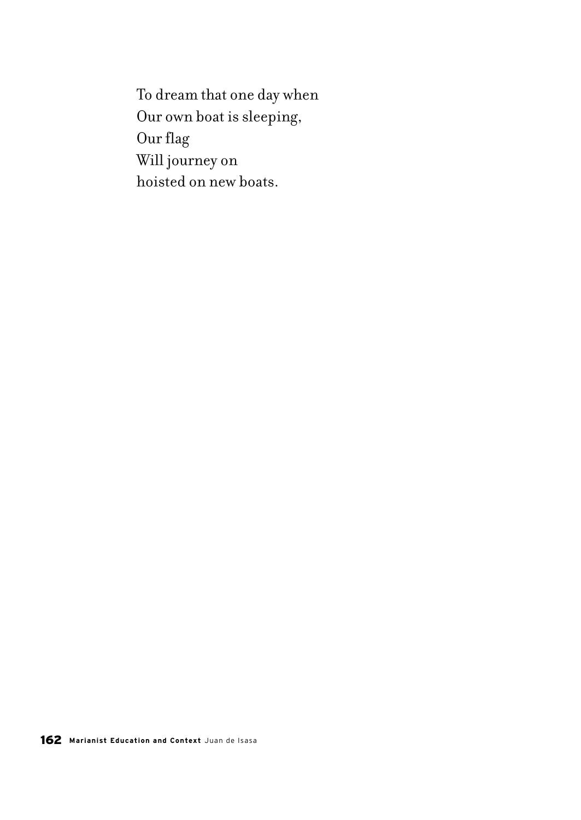To dream that one day when Our own boat is sleeping, Our flag Will journey on hoisted on new boats.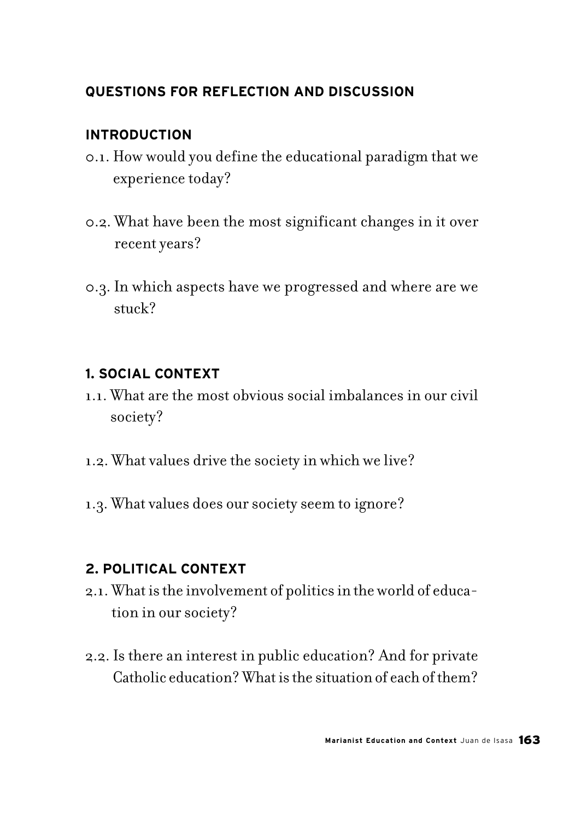# **QUESTIONS FOR REFLECTION AND DISCUSSION**

### **INTRODUCTION**

- 0.1. How would you define the educational paradigm that we experience today?
- 0.2. What have been the most significant changes in it over recent years?
- 0.3. In which aspects have we progressed and where are we stuck?

### **1. SOCIAL CONTEXT**

- 1.1. What are the most obvious social imbalances in our civil society?
- 1.2. What values drive the society in which we live?
- 1.3. What values does our society seem to ignore?

## **2. POLITICAL CONTEXT**

- 2.1. What is the involvement of politics in the world of education in our society?
- 2.2. Is there an interest in public education? And for private Catholic education? What is the situation of each of them?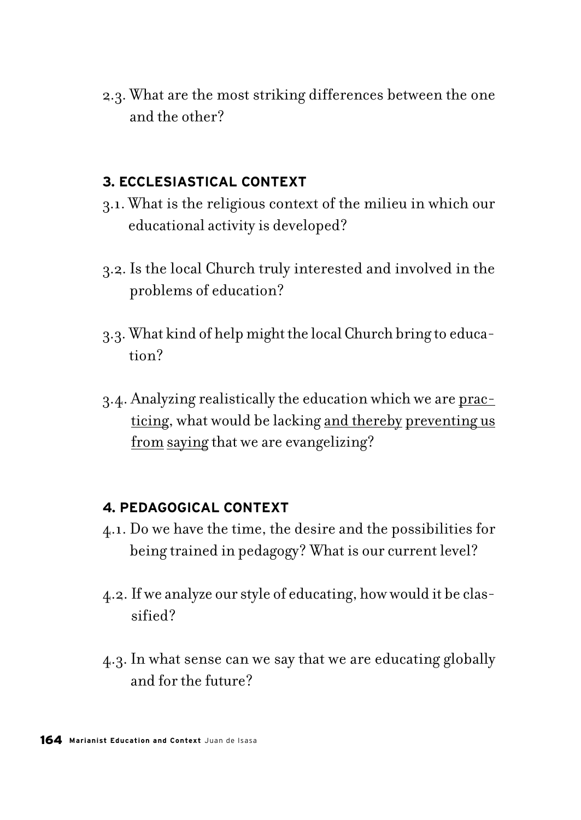2.3. What are the most striking differences between the one and the other?

### **3. ECCLESIASTICAL CONTEXT**

- 3.1. What is the religious context of the milieu in which our educational activity is developed?
- 3.2. Is the local Church truly interested and involved in the problems of education?
- 3.3. What kind of help might the local Church bring to education?
- 3.4. Analyzing realistically the education which we are practicing, what would be lacking and thereby preventing us from saying that we are evangelizing?

### **4. PEDAGOGICAL CONTEXT**

- 4.1. Do we have the time, the desire and the possibilities for being trained in pedagogy? What is our current level?
- 4.2. If we analyze our style of educating, how would it be classified?
- 4.3. In what sense can we say that we are educating globally and for the future?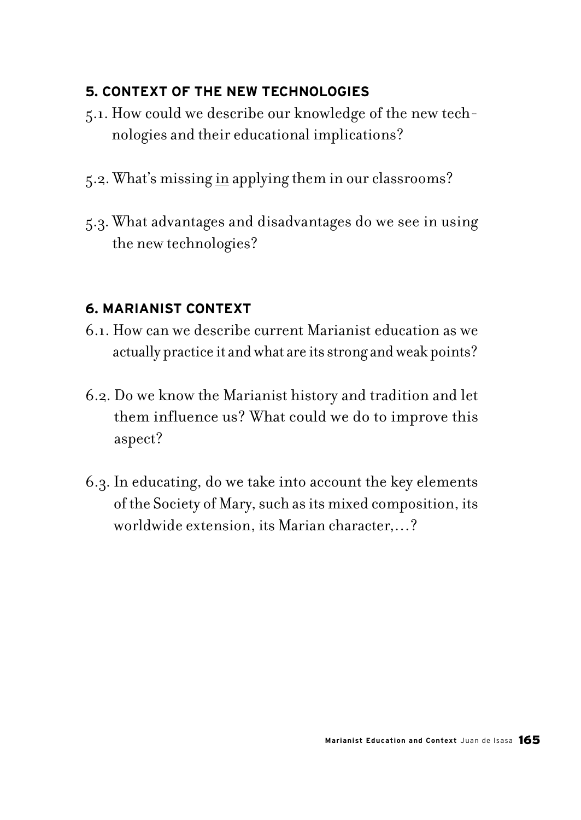# **5. CONTEXT OF THE NEW TECHNOLOGIES**

- 5.1. How could we describe our knowledge of the new technologies and their educational implications?
- 5.2. What's missing in applying them in our classrooms?
- 5.3. What advantages and disadvantages do we see in using the new technologies?

### **6. MARIANIST CONTEXT**

- 6.1. How can we describe current Marianist education as we actually practice it and what are its strong and weak points?
- 6.2. Do we know the Marianist history and tradition and let them influence us? What could we do to improve this aspect?
- 6.3. In educating, do we take into account the key elements of the Society of Mary, such as its mixed composition, its worldwide extension, its Marian character,…?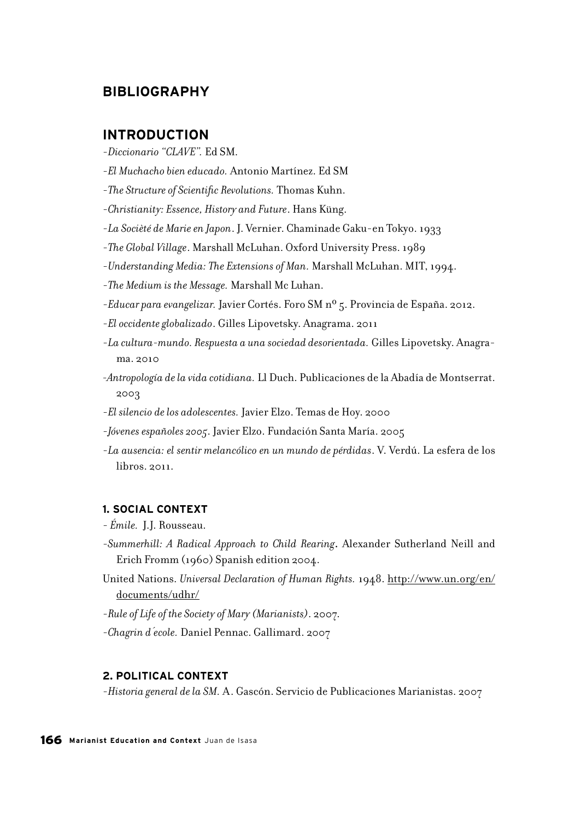#### **BIBLIOGRAPHY**

#### **INTRODUCTION**

-*Diccionario "CLAVE".* Ed SM.

- -*El Muchacho bien educado.* Antonio Martínez. Ed SM
- -*The Structure of Scientific Revolutions.* Thomas Kuhn.
- -*Christianity: Essence, History and Future*. Hans Küng.
- -*La Socièté de Marie en Japon*. J. Vernier. Chaminade Gaku-en Tokyo. 1933
- -*The Global Village*. Marshall McLuhan. Oxford University Press. 1989
- -*Understanding Media: The Extensions of Man.* Marshall McLuhan. MIT, 1994.
- -*The Medium is the Message.* Marshall Mc Luhan.
- -*Educar para evangelizar.* Javier Cortés. Foro SM nº 5. Provincia de España. 2012.
- -*El occidente globalizado*. Gilles Lipovetsky. Anagrama. 2011
- -*La cultura-mundo. Respuesta a una sociedad desorientada.* Gilles Lipovetsky. Anagrama. 2010
- *-Antropología de la vida cotidiana.* Ll Duch. Publicaciones de la Abadía de Montserrat. 2003
- -*El silencio de los adolescentes.* Javier Elzo. Temas de Hoy. 2000
- -*Jóvenes españoles 2005*. Javier Elzo. Fundación Santa María. 2005
- -*La ausencia: el sentir melancólico en un mundo de pérdidas*. V. Verdú. La esfera de los libros. 2011.

#### **1. SOCIAL CONTEXT**

- *Émile.* J.J. Rousseau.
- -*Summerhill: A Radical Approach to Child Rearing***.** Alexander Sutherland Neill and Erich Fromm (1960) Spanish edition 2004.
- United Nations. *Universal Declaration of Human Rights.* 1948. http://www.un.org/en/ documents/udhr/
- -*Rule of Life of the Society of Mary (Marianists)*. 2007.
- -*Chagrin d´ecole.* Daniel Pennac. Gallimard. 2007

#### **2. POLITICAL CONTEXT**

-*Historia general de la SM.* A. Gascón. Servicio de Publicaciones Marianistas. 2007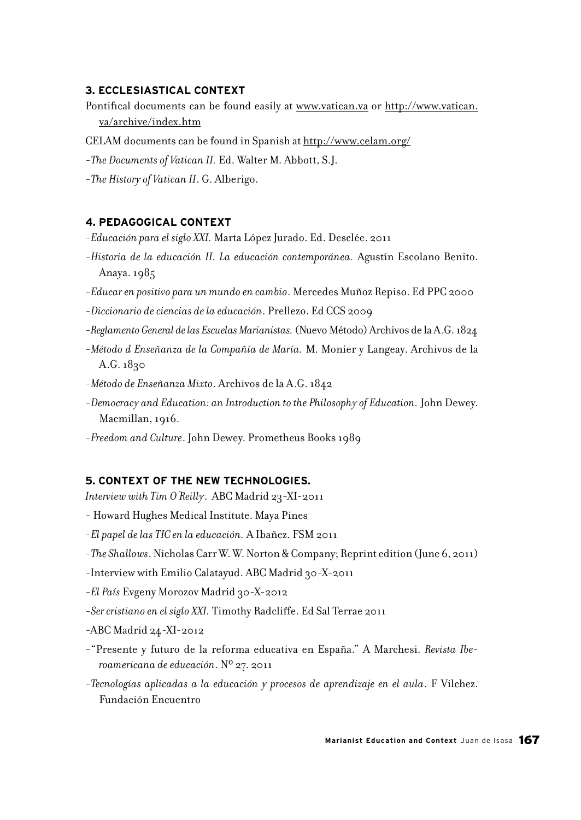#### **3. ECCLESIASTICAL CONTEXT**

- Pontifical documents can be found easily at www.vatican.va or http://www.vatican. va/archive/index.htm
- CELAM documents can be found in Spanish at http://www.celam.org/
- -*The Documents of Vatican II.* Ed. Walter M. Abbott, S.J.
- -*The History of Vatican II*. G. Alberigo.

#### **4. PEDAGOGICAL CONTEXT**

- -*Educación para el siglo XXI.* Marta López Jurado. Ed. Desclée. 2011
- -*Historia de la educación II. La educación contemporánea.* Agustín Escolano Benito. Anaya. 1985
- -*Educar en positivo para un mundo en cambio*. Mercedes Muñoz Repiso. Ed PPC 2000
- -*Diccionario de ciencias de la educación*. Prellezo. Ed CCS 2009
- -*Reglamento General de las Escuelas Marianistas.* (Nuevo Método) Archivos de la A.G. 1824
- -*Método d Enseñanza de la Compañía de María.* M. Monier y Langeay. Archivos de la A.G. 1830
- -*Método de Enseñanza Mixto*. Archivos de la A.G. 1842
- -*Democracy and Education: an Introduction to the Philosophy of Education.* John Dewey. Macmillan, 1916.
- -*Freedom and Culture*. John Dewey. Prometheus Books 1989

#### **5. CONTEXT OF THE NEW TECHNOLOGIES.**

*Interview with Tim O´Reilly*. ABC Madrid 23-XI-2011

- Howard Hughes Medical Institute. Maya Pines
- -*El papel de las TIC en la educación.* A Ibañez. FSM 2011
- -*The Shallows*. Nicholas Carr W. W. Norton & Company; Reprint edition (June 6, 2011)
- -Interview with Emilio Calatayud. ABC Madrid 30-X-2011
- -*El País* Evgeny Morozov Madrid 30-X-2012
- -*Ser cristiano en el siglo XXI.* Timothy Radcliffe. Ed Sal Terrae 2011
- -ABC Madrid 24-XI-2012
- -"Presente y futuro de la reforma educativa en España." A Marchesi. *Revista Iberoamericana de educación*. Nº 27. 2011
- -*Tecnologías aplicadas a la educación y procesos de aprendizaje en el aula*. F Vilchez. Fundación Encuentro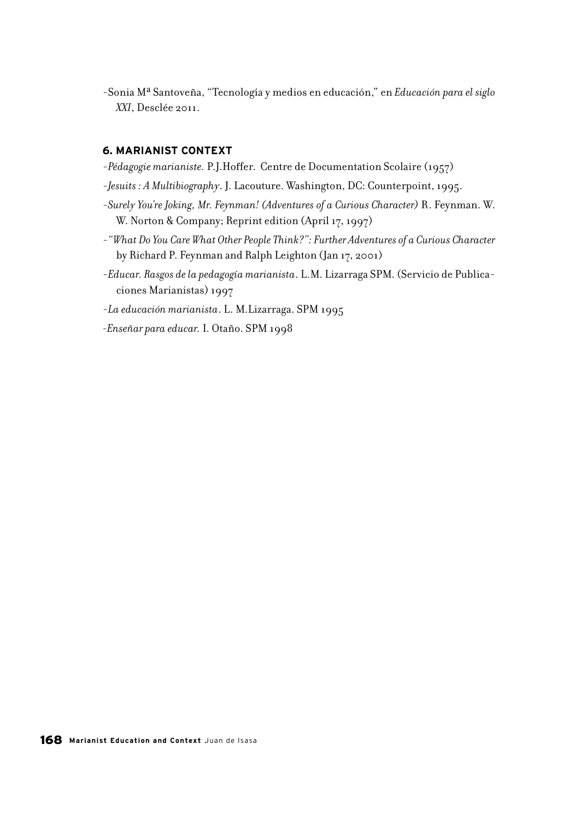-Sonia Mª Santoveña, "Tecnología y medios en educación," en *Educación para el siglo XXI*, Desclée 2011.

#### **6. MARIANIST CONTEXT**

- -*Pédagogie marianiste.* P.J.Hoffer. Centre de Documentation Scolaire (1957)
- -*Jesuits : A Multibiography*. J. Lacouture. Washington, DC: Counterpoint, 1995.
- -*Surely You're Joking, Mr. Feynman! (Adventures of a Curious Character)* R. Feynman. W. W. Norton & Company; Reprint edition (April 17, 1997)
- -*"What Do You Care What Other People Think?": Further Adventures of a Curious Character*  by Richard P. Feynman and Ralph Leighton (Jan 17, 2001)
- -*Educar. Rasgos de la pedagogía marianista*. L.M. Lizarraga SPM. (Servicio de Publicaciones Marianistas) 1997
- -*La educación marianista*. L. M.Lizarraga. SPM 1995

*-Enseñar para educar.* I. Otaño. SPM 1998